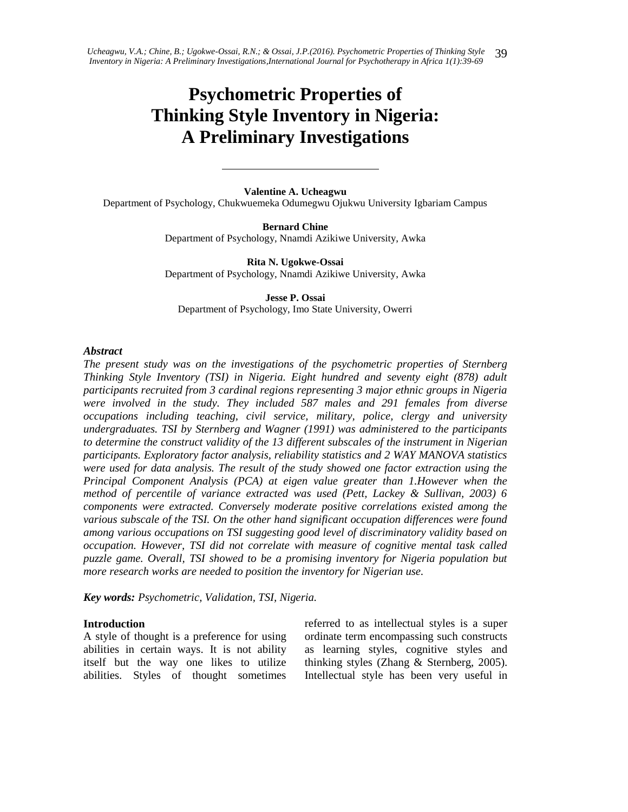# **Psychometric Properties of Thinking Style Inventory in Nigeria: A Preliminary Investigations**

**Valentine A. Ucheagwu** Department of Psychology, Chukwuemeka Odumegwu Ojukwu University Igbariam Campus

> **Bernard Chine**  Department of Psychology, Nnamdi Azikiwe University, Awka

> **Rita N. Ugokwe-Ossai** Department of Psychology, Nnamdi Azikiwe University, Awka

**Jesse P. Ossai** Department of Psychology, Imo State University, Owerri

#### *Abstract*

*The present study was on the investigations of the psychometric properties of Sternberg Thinking Style Inventory (TSI) in Nigeria. Eight hundred and seventy eight (878) adult participants recruited from 3 cardinal regions representing 3 major ethnic groups in Nigeria were involved in the study. They included 587 males and 291 females from diverse occupations including teaching, civil service, military, police, clergy and university undergraduates. TSI by Sternberg and Wagner (1991) was administered to the participants to determine the construct validity of the 13 different subscales of the instrument in Nigerian participants. Exploratory factor analysis, reliability statistics and 2 WAY MANOVA statistics were used for data analysis. The result of the study showed one factor extraction using the Principal Component Analysis (PCA) at eigen value greater than 1.However when the method of percentile of variance extracted was used (Pett, Lackey & Sullivan, 2003) 6 components were extracted. Conversely moderate positive correlations existed among the various subscale of the TSI. On the other hand significant occupation differences were found among various occupations on TSI suggesting good level of discriminatory validity based on occupation. However, TSI did not correlate with measure of cognitive mental task called puzzle game. Overall, TSI showed to be a promising inventory for Nigeria population but more research works are needed to position the inventory for Nigerian use.*

*Key words: Psychometric, Validation, TSI, Nigeria.*

#### **Introduction**

A style of thought is a preference for using abilities in certain ways. It is not ability itself but the way one likes to utilize abilities. Styles of thought sometimes

referred to as intellectual styles is a super ordinate term encompassing such constructs as learning styles, cognitive styles and thinking styles (Zhang & Sternberg, 2005). Intellectual style has been very useful in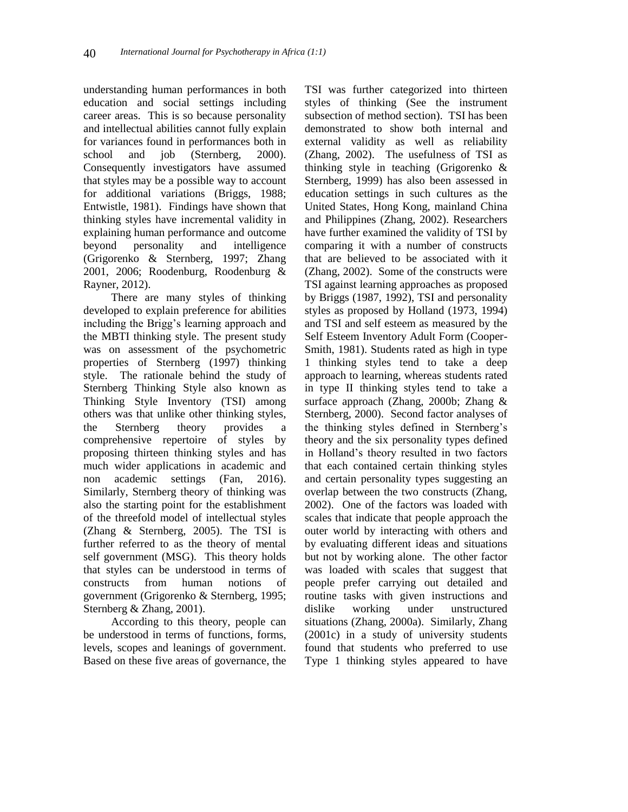understanding human performances in both education and social settings including career areas. This is so because personality and intellectual abilities cannot fully explain for variances found in performances both in school and job (Sternberg, 2000). Consequently investigators have assumed that styles may be a possible way to account for additional variations (Briggs, 1988; Entwistle, 1981). Findings have shown that thinking styles have incremental validity in explaining human performance and outcome beyond personality and intelligence (Grigorenko & Sternberg, 1997; Zhang 2001, 2006; Roodenburg, Roodenburg & Rayner, 2012).

There are many styles of thinking developed to explain preference for abilities including the Brigg's learning approach and the MBTI thinking style. The present study was on assessment of the psychometric properties of Sternberg (1997) thinking style. The rationale behind the study of Sternberg Thinking Style also known as Thinking Style Inventory (TSI) among others was that unlike other thinking styles, the Sternberg theory provides a comprehensive repertoire of styles by proposing thirteen thinking styles and has much wider applications in academic and non academic settings (Fan, 2016). Similarly, Sternberg theory of thinking was also the starting point for the establishment of the threefold model of intellectual styles (Zhang & Sternberg, 2005). The TSI is further referred to as the theory of mental self government (MSG). This theory holds that styles can be understood in terms of constructs from human notions of government (Grigorenko & Sternberg, 1995; Sternberg & Zhang, 2001).

According to this theory, people can be understood in terms of functions, forms, levels, scopes and leanings of government. Based on these five areas of governance, the

TSI was further categorized into thirteen styles of thinking (See the instrument subsection of method section). TSI has been demonstrated to show both internal and external validity as well as reliability (Zhang, 2002). The usefulness of TSI as thinking style in teaching (Grigorenko & Sternberg, 1999) has also been assessed in education settings in such cultures as the United States, Hong Kong, mainland China and Philippines (Zhang, 2002). Researchers have further examined the validity of TSI by comparing it with a number of constructs that are believed to be associated with it (Zhang, 2002). Some of the constructs were TSI against learning approaches as proposed by Briggs (1987, 1992), TSI and personality styles as proposed by Holland (1973, 1994) and TSI and self esteem as measured by the Self Esteem Inventory Adult Form (Cooper-Smith, 1981). Students rated as high in type 1 thinking styles tend to take a deep approach to learning, whereas students rated in type II thinking styles tend to take a surface approach (Zhang, 2000b; Zhang & Sternberg, 2000). Second factor analyses of the thinking styles defined in Sternberg's theory and the six personality types defined in Holland's theory resulted in two factors that each contained certain thinking styles and certain personality types suggesting an overlap between the two constructs (Zhang, 2002). One of the factors was loaded with scales that indicate that people approach the outer world by interacting with others and by evaluating different ideas and situations but not by working alone. The other factor was loaded with scales that suggest that people prefer carrying out detailed and routine tasks with given instructions and dislike working under unstructured situations (Zhang, 2000a). Similarly, Zhang (2001c) in a study of university students found that students who preferred to use Type 1 thinking styles appeared to have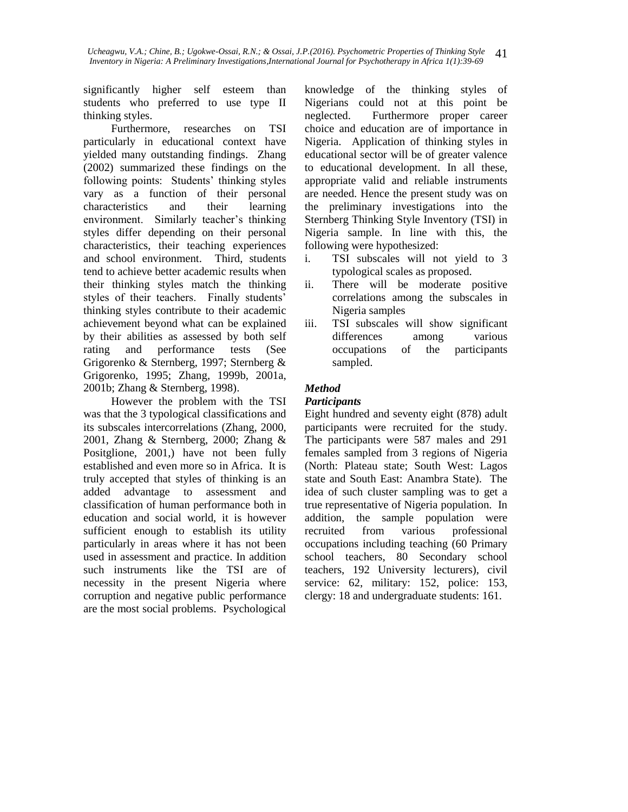significantly higher self esteem than students who preferred to use type II thinking styles.

Furthermore, researches on TSI particularly in educational context have yielded many outstanding findings. Zhang (2002) summarized these findings on the following points: Students' thinking styles vary as a function of their personal characteristics and their learning environment. Similarly teacher's thinking styles differ depending on their personal characteristics, their teaching experiences and school environment. Third, students tend to achieve better academic results when their thinking styles match the thinking styles of their teachers. Finally students' thinking styles contribute to their academic achievement beyond what can be explained by their abilities as assessed by both self rating and performance tests (See Grigorenko & Sternberg, 1997; Sternberg & Grigorenko, 1995; Zhang, 1999b, 2001a, 2001b; Zhang & Sternberg, 1998).

However the problem with the TSI was that the 3 typological classifications and its subscales intercorrelations (Zhang, 2000, 2001, Zhang & Sternberg, 2000; Zhang & Positglione, 2001,) have not been fully established and even more so in Africa. It is truly accepted that styles of thinking is an added advantage to assessment and classification of human performance both in education and social world, it is however sufficient enough to establish its utility particularly in areas where it has not been used in assessment and practice. In addition such instruments like the TSI are of necessity in the present Nigeria where corruption and negative public performance are the most social problems. Psychological

knowledge of the thinking styles of Nigerians could not at this point be neglected. Furthermore proper career choice and education are of importance in Nigeria. Application of thinking styles in educational sector will be of greater valence to educational development. In all these, appropriate valid and reliable instruments are needed. Hence the present study was on the preliminary investigations into the Sternberg Thinking Style Inventory (TSI) in Nigeria sample. In line with this, the following were hypothesized:

- i. TSI subscales will not yield to 3 typological scales as proposed.
- ii. There will be moderate positive correlations among the subscales in Nigeria samples
- iii. TSI subscales will show significant differences among various occupations of the participants sampled.

## *Method*

#### *Participants*

Eight hundred and seventy eight (878) adult participants were recruited for the study. The participants were 587 males and 291 females sampled from 3 regions of Nigeria (North: Plateau state; South West: Lagos state and South East: Anambra State). The idea of such cluster sampling was to get a true representative of Nigeria population. In addition, the sample population were recruited from various professional occupations including teaching (60 Primary school teachers, 80 Secondary school teachers, 192 University lecturers), civil service: 62, military: 152, police: 153, clergy: 18 and undergraduate students: 161.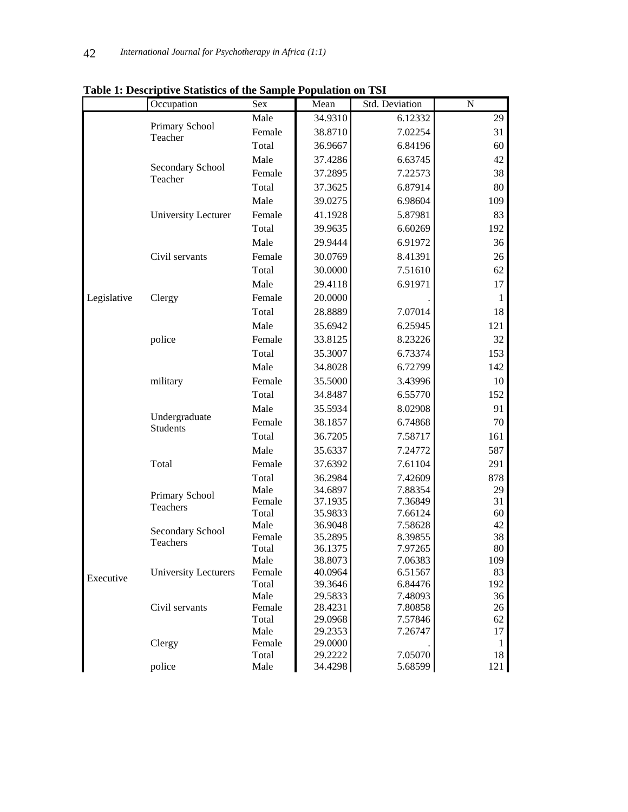|             | Occupation                  | Sex           | Mean               | Std. Deviation     | N                                        |
|-------------|-----------------------------|---------------|--------------------|--------------------|------------------------------------------|
|             |                             | Male          | 34.9310            | 6.12332            | 29                                       |
|             | Primary School<br>Teacher   | Female        | 38.8710            | 7.02254            | 31                                       |
|             |                             | Total         | 36.9667            | 6.84196            | 60                                       |
|             |                             | Male          | 37.4286            | 6.63745            | 42                                       |
|             | Secondary School            | Female        | 37.2895            | 7.22573            | 38                                       |
|             | Teacher                     | Total         | 37.3625            | 6.87914            | 80                                       |
|             |                             | Male          | 39.0275            | 6.98604            | 109                                      |
|             | University Lecturer         | Female        | 41.1928            | 5.87981            | 83                                       |
|             |                             | Total         | 39.9635            | 6.60269            | 192                                      |
|             |                             | Male          | 29.9444            | 6.91972            | 36                                       |
|             | Civil servants              | Female        | 30.0769            | 8.41391            | 26                                       |
|             |                             | Total         | 30.0000            | 7.51610            | 62                                       |
|             |                             | Male          | 29.4118            | 6.91971            | 17                                       |
| Legislative | Clergy                      | Female        | 20.0000            |                    | $\mathbf{1}$                             |
|             |                             | Total         | 28.8889            | 7.07014            | 18                                       |
|             |                             | Male          | 35.6942            | 6.25945            | 121                                      |
|             | police                      | Female        | 33.8125            | 8.23226            | 32                                       |
|             |                             | Total         | 35.3007            | 6.73374            | 153                                      |
|             |                             | Male          | 34.8028            | 6.72799            | 142                                      |
|             | military                    | Female        | 35.5000            | 3.43996            | 10                                       |
|             |                             | Total         | 34.8487            | 6.55770            | 152                                      |
|             | Undergraduate               | Male          | 35.5934            | 8.02908            | 91                                       |
|             |                             | Female        | 38.1857            | 6.74868            | 70                                       |
|             | <b>Students</b>             | Total         | 36.7205            | 7.58717            | 161                                      |
|             |                             | Male          | 35.6337            | 7.24772            | 587                                      |
|             | Total                       | Female        | 37.6392            | 7.61104            | 291                                      |
|             |                             | Total         | 36.2984            | 7.42609            | 878                                      |
|             |                             | Male          | 34.6897            | 7.88354            | 29                                       |
|             | Primary School<br>Teachers  | Female        | 37.1935            | 7.36849            | 31                                       |
|             |                             | Total         | 35.9833            | 7.66124            | 60                                       |
|             | Secondary School            | Male          | 36.9048            | 7.58628            | 42                                       |
|             | <b>Teachers</b>             | Female        | 35.2895            | 8.39855            |                                          |
|             |                             | Total<br>Male | 36.1375<br>38.8073 | 7.97265<br>7.06383 |                                          |
|             | <b>University Lecturers</b> | Female        | 40.0964            | 6.51567            |                                          |
| Executive   |                             | Total         | 39.3646            | 6.84476            | 192                                      |
|             |                             | Male          | 29.5833            | 7.48093            | 36                                       |
|             | Civil servants              | Female        | 28.4231            | 7.80858            | 38<br>80<br>109<br>83<br>26<br>18<br>121 |
|             |                             | Total         | 29.0968            | 7.57846            | 62                                       |
|             |                             | Male          | 29.2353            | 7.26747            | 17                                       |
|             | Clergy                      | Female        | 29.0000            |                    | 1                                        |
|             | police                      | Total<br>Male | 29.2222<br>34.4298 | 7.05070<br>5.68599 |                                          |
|             |                             |               |                    |                    |                                          |

**Table 1: Descriptive Statistics of the Sample Population on TSI**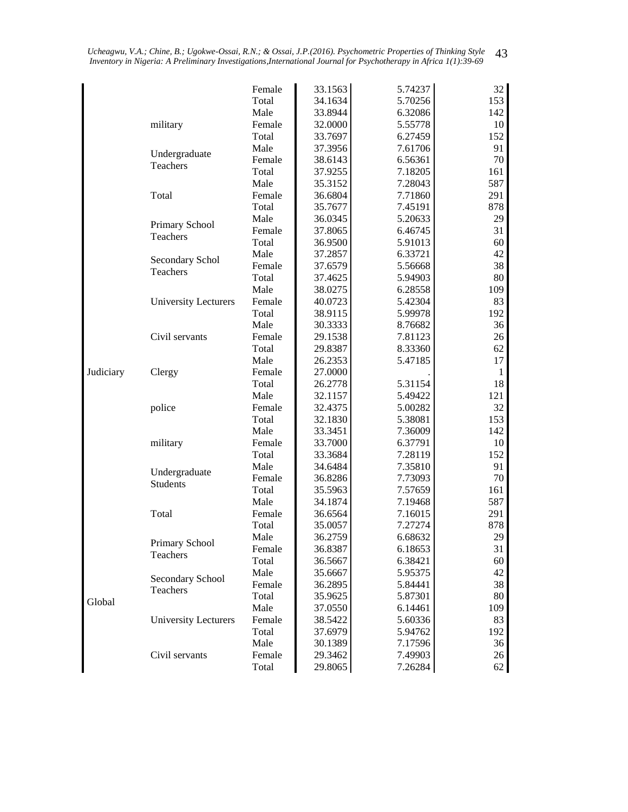|           |                             | Female | 33.1563            | 5.74237 | 32           |
|-----------|-----------------------------|--------|--------------------|---------|--------------|
|           |                             | Total  | 34.1634            | 5.70256 | 153          |
|           |                             | Male   | 33.8944            | 6.32086 | 142          |
|           | military                    | Female | 32.0000            | 5.55778 | 10           |
|           |                             | Total  | 33.7697            | 6.27459 | 152          |
|           |                             | Male   | 37.3956            | 7.61706 | 91           |
|           | Undergraduate               | Female | 38.6143            | 6.56361 | 70           |
|           | Teachers                    | Total  | 37.9255            | 7.18205 | 161          |
|           |                             | Male   | 35.3152            | 7.28043 | 587          |
|           | Total                       | Female | 36.6804            | 7.71860 | 291          |
|           |                             | Total  | 35.7677            | 7.45191 | 878          |
|           |                             | Male   | 36.0345            | 5.20633 | 29           |
|           | Primary School              | Female | 37.8065            | 6.46745 | 31           |
|           | Teachers                    | Total  | 36.9500            | 5.91013 | 60           |
|           |                             | Male   | 37.2857            | 6.33721 | 42           |
|           | Secondary Schol             | Female | 37.6579            | 5.56668 | 38           |
|           | Teachers                    | Total  | 37.4625            | 5.94903 | 80           |
|           |                             | Male   | 38.0275            | 6.28558 | 109          |
|           | <b>University Lecturers</b> | Female | 40.0723            | 5.42304 | 83           |
|           |                             | Total  | 38.9115            | 5.99978 | 192          |
|           |                             | Male   | 30.3333            | 8.76682 | 36           |
|           | Civil servants              | Female | 29.1538            | 7.81123 | 26           |
|           |                             | Total  | 29.8387            | 8.33360 | 62           |
|           |                             | Male   | 26.2353            | 5.47185 | 17           |
|           |                             | Female | 27.0000            |         | $\mathbf{1}$ |
| Judiciary | Clergy                      |        |                    |         | 18           |
|           |                             | Total  | 26.2778<br>32.1157 | 5.31154 | 121          |
|           |                             | Male   |                    | 5.49422 | 32           |
|           | police                      | Female | 32.4375            | 5.00282 |              |
|           |                             | Total  | 32.1830            | 5.38081 | 153          |
|           |                             | Male   | 33.3451            | 7.36009 | 142          |
|           | military                    | Female | 33.7000            | 6.37791 | 10           |
|           |                             | Total  | 33.3684            | 7.28119 | 152          |
|           | Undergraduate               | Male   | 34.6484            | 7.35810 | 91           |
|           | Students                    | Female | 36.8286            | 7.73093 | 70           |
|           |                             | Total  | 35.5963            | 7.57659 | 161          |
|           |                             | Male   | 34.1874            | 7.19468 | 587          |
|           | Total                       | Female | 36.6564            | 7.16015 | 291          |
|           |                             | Total  | 35.0057            | 7.27274 | 878          |
|           | Primary School              | Male   | 36.2759            | 6.68632 | 29           |
|           | Teachers                    | Female | 36.8387            | 6.18653 | 31           |
|           |                             | Total  | 36.5667            | 6.38421 | 60           |
|           | Secondary School            | Male   | 35.6667            | 5.95375 | 42           |
|           | Teachers                    | Female | 36.2895            | 5.84441 | 38           |
| Global    |                             | Total  | 35.9625            | 5.87301 | 80           |
|           |                             | Male   | 37.0550            | 6.14461 | 109          |
|           | <b>University Lecturers</b> | Female | 38.5422            | 5.60336 | 83           |
|           |                             | Total  | 37.6979            | 5.94762 | 192          |
|           |                             | Male   | 30.1389            | 7.17596 | 36           |
|           | Civil servants              | Female | 29.3462            | 7.49903 | 26           |
|           |                             | Total  | 29.8065            | 7.26284 | 62           |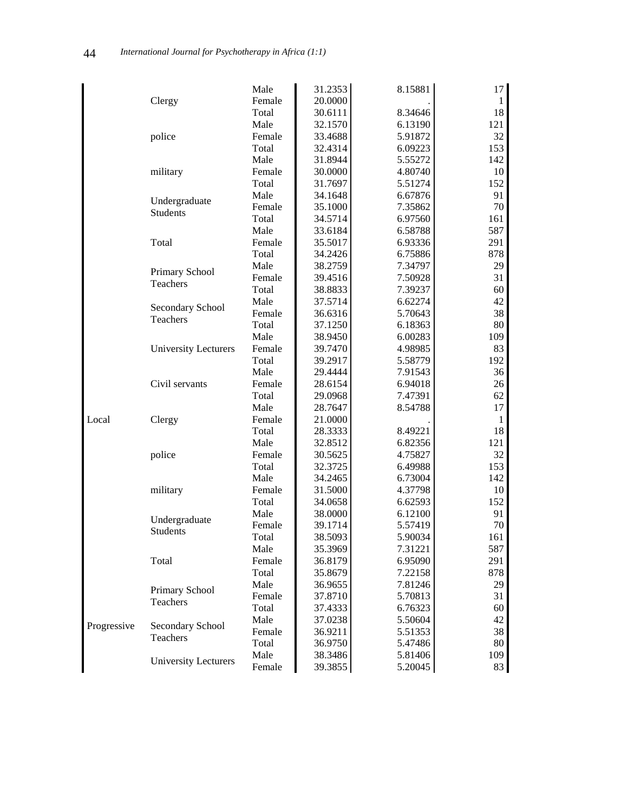|             |                             | Male   | 31.2353 | 8.15881 | 17                                                                                                                                                                                        |
|-------------|-----------------------------|--------|---------|---------|-------------------------------------------------------------------------------------------------------------------------------------------------------------------------------------------|
|             |                             | Female | 20.0000 |         | $\mathbf{1}$                                                                                                                                                                              |
|             | Clergy                      | Total  | 30.6111 | 8.34646 | 18                                                                                                                                                                                        |
|             |                             |        |         |         |                                                                                                                                                                                           |
|             |                             | Male   | 32.1570 | 6.13190 | 121                                                                                                                                                                                       |
|             | police                      | Female | 33.4688 | 5.91872 | 32                                                                                                                                                                                        |
|             |                             | Total  | 32.4314 | 6.09223 | 153                                                                                                                                                                                       |
|             |                             | Male   | 31.8944 | 5.55272 | 142                                                                                                                                                                                       |
|             | military                    | Female | 30.0000 | 4.80740 | 10                                                                                                                                                                                        |
|             |                             | Total  | 31.7697 | 5.51274 | 152                                                                                                                                                                                       |
|             | Undergraduate               | Male   | 34.1648 | 6.67876 | 91                                                                                                                                                                                        |
|             | Students                    | Female | 35.1000 | 7.35862 | 70                                                                                                                                                                                        |
|             |                             | Total  | 34.5714 | 6.97560 | 161                                                                                                                                                                                       |
|             |                             | Male   | 33.6184 | 6.58788 | 587                                                                                                                                                                                       |
|             | Total                       | Female | 35.5017 | 6.93336 | 291                                                                                                                                                                                       |
|             |                             | Total  | 34.2426 | 6.75886 | 878                                                                                                                                                                                       |
|             | Primary School              | Male   | 38.2759 | 7.34797 | 29                                                                                                                                                                                        |
|             | Teachers                    | Female | 39.4516 | 7.50928 | 31                                                                                                                                                                                        |
|             |                             | Total  | 38.8833 | 7.39237 | 60                                                                                                                                                                                        |
|             |                             | Male   | 37.5714 | 6.62274 | 42                                                                                                                                                                                        |
|             | Secondary School            | Female | 36.6316 | 5.70643 | 38                                                                                                                                                                                        |
|             | Teachers                    | Total  | 37.1250 | 6.18363 | 80                                                                                                                                                                                        |
|             |                             | Male   | 38.9450 | 6.00283 |                                                                                                                                                                                           |
|             | <b>University Lecturers</b> | Female | 39.7470 | 4.98985 |                                                                                                                                                                                           |
|             |                             | Total  | 39.2917 | 5.58779 |                                                                                                                                                                                           |
|             | Civil servants              | Male   | 29.4444 | 7.91543 |                                                                                                                                                                                           |
|             |                             | Female | 28.6154 | 6.94018 |                                                                                                                                                                                           |
|             |                             | Total  | 29.0968 | 7.47391 |                                                                                                                                                                                           |
|             |                             | Male   | 28.7647 | 8.54788 |                                                                                                                                                                                           |
| Local       | Clergy                      | Female | 21.0000 |         |                                                                                                                                                                                           |
|             |                             | Total  | 28.3333 | 8.49221 |                                                                                                                                                                                           |
|             |                             | Male   | 32.8512 | 6.82356 |                                                                                                                                                                                           |
|             | police                      | Female | 30.5625 | 4.75827 |                                                                                                                                                                                           |
|             |                             | Total  | 32.3725 | 6.49988 |                                                                                                                                                                                           |
|             |                             | Male   | 34.2465 | 6.73004 |                                                                                                                                                                                           |
|             | military                    | Female | 31.5000 | 4.37798 |                                                                                                                                                                                           |
|             |                             | Total  | 34.0658 | 6.62593 |                                                                                                                                                                                           |
|             |                             | Male   | 38.0000 | 6.12100 |                                                                                                                                                                                           |
|             | Undergraduate               | Female | 39.1714 | 5.57419 |                                                                                                                                                                                           |
|             | <b>Students</b>             | Total  | 38.5093 | 5.90034 |                                                                                                                                                                                           |
|             |                             | Male   | 35.3969 | 7.31221 |                                                                                                                                                                                           |
|             | Total                       | Female | 36.8179 | 6.95090 |                                                                                                                                                                                           |
|             |                             | Total  |         | 7.22158 |                                                                                                                                                                                           |
|             |                             |        | 35.8679 |         |                                                                                                                                                                                           |
|             | Primary School              | Male   | 36.9655 | 7.81246 |                                                                                                                                                                                           |
|             | Teachers                    | Female | 37.8710 | 5.70813 | 109<br>83<br>192<br>36<br>26<br>62<br>17<br>$\mathbf{1}$<br>18<br>121<br>32<br>153<br>142<br>10<br>152<br>91<br>70<br>161<br>587<br>291<br>878<br>29<br>31<br>60<br>42<br>38<br>80<br>109 |
|             |                             | Total  | 37.4333 | 6.76323 |                                                                                                                                                                                           |
| Progressive | Secondary School            | Male   | 37.0238 | 5.50604 |                                                                                                                                                                                           |
|             | Teachers                    | Female | 36.9211 | 5.51353 |                                                                                                                                                                                           |
|             |                             | Total  | 36.9750 | 5.47486 |                                                                                                                                                                                           |
|             | University Lecturers        | Male   | 38.3486 | 5.81406 |                                                                                                                                                                                           |
|             |                             | Female | 39.3855 | 5.20045 | 83                                                                                                                                                                                        |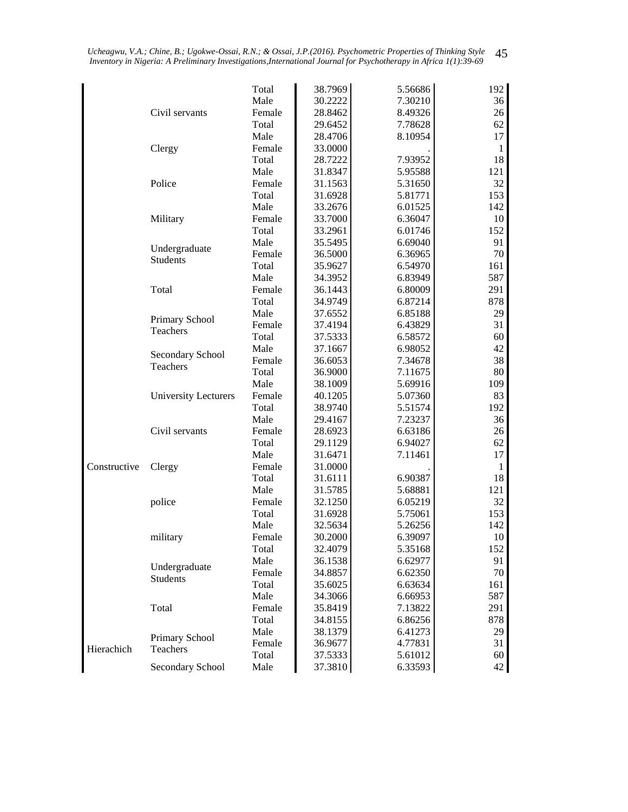|              |                             | Total          | 38.7969 | 5.56686 |                                                                                                                                                                                                                                                                                            |
|--------------|-----------------------------|----------------|---------|---------|--------------------------------------------------------------------------------------------------------------------------------------------------------------------------------------------------------------------------------------------------------------------------------------------|
|              |                             | Male           | 30.2222 | 7.30210 |                                                                                                                                                                                                                                                                                            |
|              | Civil servants              | Female         | 28.8462 | 8.49326 |                                                                                                                                                                                                                                                                                            |
|              |                             | Total          | 29.6452 | 7.78628 |                                                                                                                                                                                                                                                                                            |
|              |                             | Male           | 28.4706 | 8.10954 |                                                                                                                                                                                                                                                                                            |
|              | Clergy                      | Female         | 33.0000 |         |                                                                                                                                                                                                                                                                                            |
|              |                             | Total          | 28.7222 | 7.93952 |                                                                                                                                                                                                                                                                                            |
|              |                             | Male           | 31.8347 | 5.95588 | 192<br>36<br>26<br>62<br>17<br>1<br>18<br>121<br>32<br>153<br>142<br>10<br>152<br>91<br>70<br>161<br>587<br>291<br>878<br>29<br>31<br>60<br>42<br>38<br>80<br>109<br>83<br>192<br>36<br>26<br>62<br>17<br>1<br>18<br>121<br>32<br>153<br>142<br>10<br>152<br>91<br>70<br>161<br>587<br>291 |
|              | Police                      | Female         | 31.1563 | 5.31650 |                                                                                                                                                                                                                                                                                            |
|              |                             | Total          | 31.6928 | 5.81771 |                                                                                                                                                                                                                                                                                            |
|              |                             | Male           | 33.2676 | 6.01525 |                                                                                                                                                                                                                                                                                            |
|              | Military                    | Female         | 33.7000 | 6.36047 |                                                                                                                                                                                                                                                                                            |
|              |                             | Total          | 33.2961 | 6.01746 |                                                                                                                                                                                                                                                                                            |
|              |                             | Male           | 35.5495 | 6.69040 |                                                                                                                                                                                                                                                                                            |
|              | Undergraduate               | Female         | 36.5000 | 6.36965 |                                                                                                                                                                                                                                                                                            |
|              | <b>Students</b>             | Total          | 35.9627 | 6.54970 |                                                                                                                                                                                                                                                                                            |
|              |                             | Male           | 34.3952 | 6.83949 |                                                                                                                                                                                                                                                                                            |
|              | Total                       | Female         | 36.1443 | 6.80009 |                                                                                                                                                                                                                                                                                            |
|              |                             | Total          | 34.9749 | 6.87214 |                                                                                                                                                                                                                                                                                            |
|              |                             | Male           | 37.6552 | 6.85188 |                                                                                                                                                                                                                                                                                            |
|              | Primary School              | Female         | 37.4194 | 6.43829 |                                                                                                                                                                                                                                                                                            |
|              | Teachers                    | Total          | 37.5333 | 6.58572 |                                                                                                                                                                                                                                                                                            |
|              |                             | Male           | 37.1667 | 6.98052 |                                                                                                                                                                                                                                                                                            |
|              | Secondary School            | Female         | 36.6053 | 7.34678 |                                                                                                                                                                                                                                                                                            |
|              | Teachers                    | Total          | 36.9000 | 7.11675 |                                                                                                                                                                                                                                                                                            |
|              |                             | Male           | 38.1009 | 5.69916 |                                                                                                                                                                                                                                                                                            |
|              | <b>University Lecturers</b> | Female         | 40.1205 | 5.07360 |                                                                                                                                                                                                                                                                                            |
|              |                             | Total          | 38.9740 | 5.51574 |                                                                                                                                                                                                                                                                                            |
|              |                             | Male           | 29.4167 | 7.23237 |                                                                                                                                                                                                                                                                                            |
|              | Civil servants              | Female         | 28.6923 | 6.63186 |                                                                                                                                                                                                                                                                                            |
|              |                             | Total          | 29.1129 | 6.94027 |                                                                                                                                                                                                                                                                                            |
|              |                             | Male           | 31.6471 | 7.11461 |                                                                                                                                                                                                                                                                                            |
| Constructive | Clergy                      | Female         | 31.0000 |         |                                                                                                                                                                                                                                                                                            |
|              |                             | Total          | 31.6111 | 6.90387 |                                                                                                                                                                                                                                                                                            |
|              |                             | Male           | 31.5785 | 5.68881 |                                                                                                                                                                                                                                                                                            |
|              | police                      | Female         | 32.1250 | 6.05219 |                                                                                                                                                                                                                                                                                            |
|              |                             | Total          | 31.6928 | 5.75061 |                                                                                                                                                                                                                                                                                            |
|              |                             |                |         |         |                                                                                                                                                                                                                                                                                            |
|              | military                    | Male<br>Female | 32.5634 | 5.26256 |                                                                                                                                                                                                                                                                                            |
|              |                             |                | 30.2000 | 6.39097 |                                                                                                                                                                                                                                                                                            |
|              |                             | Total<br>Male  | 32.4079 | 5.35168 |                                                                                                                                                                                                                                                                                            |
|              | Undergraduate               |                | 36.1538 | 6.62977 |                                                                                                                                                                                                                                                                                            |
|              | Students                    | Female         | 34.8857 | 6.62350 |                                                                                                                                                                                                                                                                                            |
|              |                             | Total          | 35.6025 | 6.63634 |                                                                                                                                                                                                                                                                                            |
|              |                             | Male           | 34.3066 | 6.66953 |                                                                                                                                                                                                                                                                                            |
|              | Total                       | Female         | 35.8419 | 7.13822 |                                                                                                                                                                                                                                                                                            |
|              |                             | Total          | 34.8155 | 6.86256 | 878                                                                                                                                                                                                                                                                                        |
|              | Primary School              | Male           | 38.1379 | 6.41273 | 29                                                                                                                                                                                                                                                                                         |
| Hierachich   | Teachers                    | Female         | 36.9677 | 4.77831 | 31                                                                                                                                                                                                                                                                                         |
|              |                             | Total          | 37.5333 | 5.61012 | 60                                                                                                                                                                                                                                                                                         |
|              | Secondary School            | Male           | 37.3810 | 6.33593 | 42                                                                                                                                                                                                                                                                                         |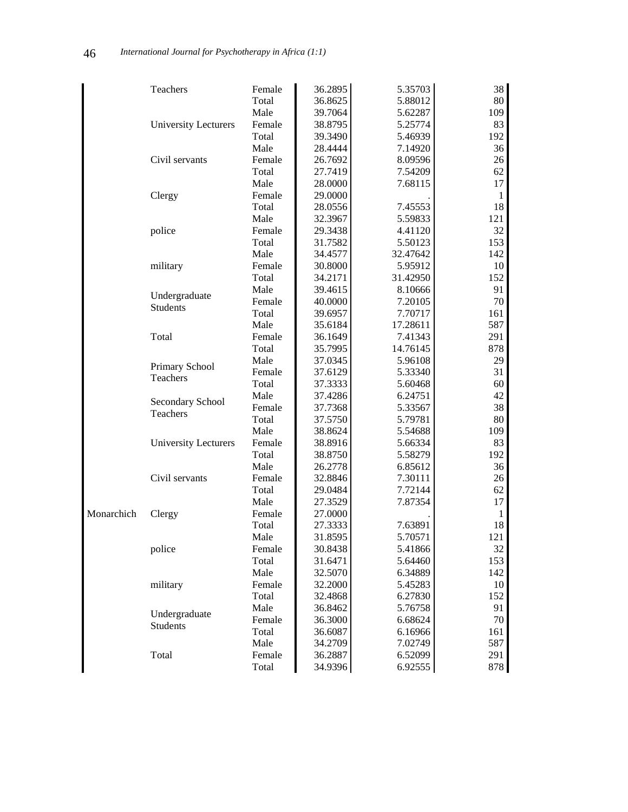|            | Teachers                                                   | Female | 36.2895 | 5.35703  | 38           |
|------------|------------------------------------------------------------|--------|---------|----------|--------------|
|            |                                                            | Total  | 36.8625 | 5.88012  | 80           |
|            |                                                            | Male   | 39.7064 | 5.62287  | 109          |
|            | <b>University Lecturers</b>                                | Female | 38.8795 | 5.25774  | 83           |
|            |                                                            | Total  | 39.3490 | 5.46939  | 192          |
|            |                                                            | Male   | 28.4444 | 7.14920  | 36           |
|            | Civil servants                                             | Female | 26.7692 | 8.09596  | 26           |
|            |                                                            | Total  | 27.7419 | 7.54209  | 62           |
|            |                                                            | Male   | 28.0000 | 7.68115  | 17           |
|            | Clergy                                                     | Female | 29.0000 |          | 1            |
|            |                                                            | Total  | 28.0556 | 7.45553  | 18           |
|            |                                                            | Male   | 32.3967 | 5.59833  | 121          |
|            | police                                                     | Female | 29.3438 | 4.41120  | 32           |
|            |                                                            | Total  | 31.7582 | 5.50123  | 153          |
|            |                                                            | Male   | 34.4577 | 32.47642 | 142          |
|            | military                                                   | Female | 30.8000 | 5.95912  | 10           |
|            |                                                            | Total  | 34.2171 | 31.42950 | 152          |
|            |                                                            | Male   | 39.4615 | 8.10666  | 91           |
|            | Undergraduate<br><b>Students</b>                           | Female | 40.0000 | 7.20105  | 70           |
|            |                                                            | Total  | 39.6957 | 7.70717  | 161          |
|            |                                                            | Male   | 35.6184 | 17.28611 | 587          |
|            | Total                                                      | Female | 36.1649 | 7.41343  | 291          |
|            |                                                            | Total  | 35.7995 | 14.76145 | 878          |
|            |                                                            | Male   | 37.0345 | 5.96108  | 29           |
|            |                                                            | Female | 37.6129 | 5.33340  | 31           |
|            |                                                            | Total  | 37.3333 | 5.60468  | 60           |
|            | Primary School<br>Teachers<br>Secondary School<br>Teachers | Male   | 37.4286 | 6.24751  | 42           |
|            |                                                            | Female | 37.7368 | 5.33567  | 38           |
|            |                                                            | Total  | 37.5750 | 5.79781  | 80           |
|            |                                                            | Male   | 38.8624 | 5.54688  | 109          |
|            | <b>University Lecturers</b>                                | Female | 38.8916 | 5.66334  | 83           |
|            |                                                            | Total  | 38.8750 | 5.58279  | 192          |
|            |                                                            | Male   | 26.2778 | 6.85612  | 36           |
|            | Civil servants                                             | Female | 32.8846 | 7.30111  | 26           |
|            |                                                            | Total  | 29.0484 | 7.72144  | 62           |
|            |                                                            | Male   | 27.3529 | 7.87354  | 17           |
| Monarchich | Clergy                                                     | Female | 27.0000 |          | $\mathbf{1}$ |
|            |                                                            | Total  | 27.3333 | 7.63891  | 18           |
|            |                                                            | Male   | 31.8595 | 5.70571  | 121          |
|            | police                                                     | Female | 30.8438 | 5.41866  | 32           |
|            |                                                            | Total  | 31.6471 | 5.64460  | 153          |
|            |                                                            | Male   | 32.5070 | 6.34889  | 142          |
|            | military                                                   | Female | 32.2000 | 5.45283  | 10           |
|            |                                                            | Total  | 32.4868 | 6.27830  | 152          |
|            | Undergraduate                                              | Male   | 36.8462 | 5.76758  | 91           |
|            | Students                                                   | Female | 36.3000 | 6.68624  | 70           |
|            |                                                            | Total  | 36.6087 | 6.16966  | 161          |
|            |                                                            | Male   | 34.2709 | 7.02749  | 587          |
|            | Total                                                      | Female | 36.2887 | 6.52099  | 291          |
|            |                                                            | Total  | 34.9396 | 6.92555  | 878          |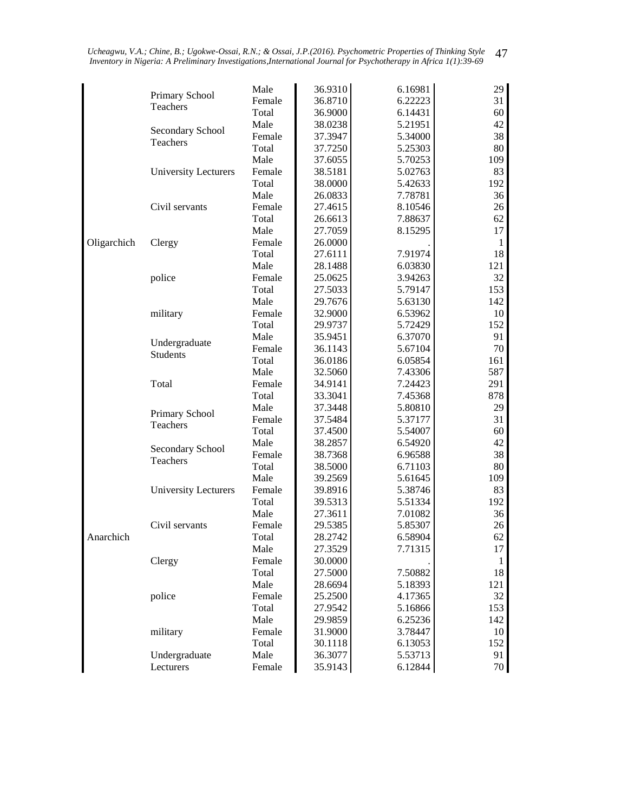|             |                      | Male   | 36.9310 | 6.16981 | 29           |
|-------------|----------------------|--------|---------|---------|--------------|
|             | Primary School       | Female | 36.8710 | 6.22223 | 31           |
|             | Teachers             | Total  | 36.9000 | 6.14431 | 60           |
|             |                      | Male   | 38.0238 | 5.21951 | 42           |
|             | Secondary School     | Female | 37.3947 | 5.34000 | 38           |
|             | Teachers             | Total  | 37.7250 | 5.25303 | 80           |
|             |                      | Male   | 37.6055 | 5.70253 | 109          |
|             | University Lecturers | Female | 38.5181 | 5.02763 | 83           |
|             |                      | Total  | 38.0000 | 5.42633 | 192          |
|             |                      | Male   | 26.0833 | 7.78781 | 36           |
|             | Civil servants       | Female | 27.4615 | 8.10546 | 26           |
|             |                      | Total  | 26.6613 | 7.88637 | 62           |
|             |                      | Male   | 27.7059 | 8.15295 | 17           |
| Oligarchich | Clergy               | Female | 26.0000 |         | $\mathbf{1}$ |
|             |                      | Total  | 27.6111 | 7.91974 | 18           |
|             |                      | Male   | 28.1488 | 6.03830 | 121          |
|             | police               | Female | 25.0625 | 3.94263 | 32           |
|             |                      | Total  | 27.5033 | 5.79147 | 153          |
|             |                      | Male   | 29.7676 | 5.63130 | 142          |
|             | military             | Female | 32.9000 | 6.53962 | 10           |
|             |                      | Total  | 29.9737 | 5.72429 | 152          |
|             |                      | Male   | 35.9451 | 6.37070 | 91           |
|             | Undergraduate        | Female | 36.1143 | 5.67104 | 70           |
|             | <b>Students</b>      | Total  | 36.0186 | 6.05854 | 161          |
|             |                      | Male   | 32.5060 | 7.43306 | 587          |
|             | Total                | Female | 34.9141 | 7.24423 | 291          |
|             |                      | Total  | 33.3041 | 7.45368 | 878          |
|             |                      | Male   | 37.3448 | 5.80810 | 29           |
|             | Primary School       | Female | 37.5484 | 5.37177 | 31           |
|             | Teachers             | Total  | 37.4500 | 5.54007 | 60           |
|             |                      | Male   | 38.2857 | 6.54920 | 42           |
|             | Secondary School     | Female | 38.7368 | 6.96588 | 38           |
|             | Teachers             | Total  | 38.5000 | 6.71103 | 80           |
|             |                      | Male   | 39.2569 | 5.61645 | 109          |
|             | University Lecturers | Female | 39.8916 | 5.38746 | 83           |
|             |                      | Total  | 39.5313 | 5.51334 | 192          |
|             |                      | Male   | 27.3611 | 7.01082 | 36           |
|             | Civil servants       | Female | 29.5385 | 5.85307 | 26           |
| Anarchich   |                      | Total  | 28.2742 | 6.58904 | 62           |
|             |                      | Male   | 27.3529 | 7.71315 | 17           |
|             | Clergy               | Female | 30.0000 |         | $\mathbf{1}$ |
|             |                      | Total  | 27.5000 | 7.50882 | 18           |
|             |                      | Male   | 28.6694 | 5.18393 | 121          |
|             | police               | Female | 25.2500 | 4.17365 | 32           |
|             |                      | Total  | 27.9542 | 5.16866 | 153          |
|             |                      | Male   | 29.9859 | 6.25236 | 142          |
|             | military             | Female | 31.9000 | 3.78447 | 10           |
|             |                      | Total  | 30.1118 | 6.13053 | 152          |
|             | Undergraduate        | Male   | 36.3077 | 5.53713 | 91           |
|             | Lecturers            | Female | 35.9143 | 6.12844 | 70           |
|             |                      |        |         |         |              |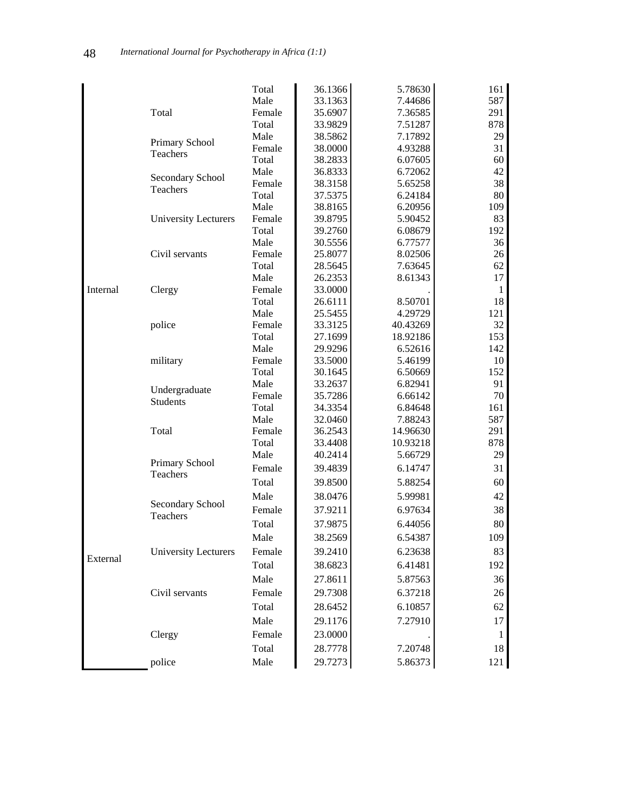|          |                              | Total  | 36.1366 | 5.78630  | 161          |
|----------|------------------------------|--------|---------|----------|--------------|
|          |                              | Male   | 33.1363 | 7.44686  | 587          |
|          | Total                        | Female | 35.6907 | 7.36585  | 291          |
|          |                              | Total  | 33.9829 | 7.51287  | 878          |
|          |                              | Male   | 38.5862 | 7.17892  | 29           |
|          | Primary School               | Female | 38.0000 | 4.93288  | 31           |
|          | Teachers                     | Total  | 38.2833 | 6.07605  | 60           |
|          | Secondary School             | Male   | 36.8333 | 6.72062  | 42           |
|          | Teachers                     | Female | 38.3158 | 5.65258  | 38           |
|          |                              | Total  | 37.5375 | 6.24184  | 80           |
|          |                              | Male   | 38.8165 | 6.20956  | 109          |
|          | <b>University Lecturers</b>  | Female | 39.8795 | 5.90452  | 83           |
|          |                              | Total  | 39.2760 | 6.08679  | 192          |
|          |                              | Male   | 30.5556 | 6.77577  | 36           |
|          | Civil servants               | Female | 25.8077 | 8.02506  | 26           |
|          |                              | Total  | 28.5645 | 7.63645  | 62           |
|          |                              | Male   | 26.2353 | 8.61343  | 17           |
| Internal | Clergy                       | Female | 33.0000 |          | 1            |
|          |                              | Total  | 26.6111 | 8.50701  | 18           |
|          |                              | Male   | 25.5455 | 4.29729  | 121          |
|          | police                       | Female | 33.3125 | 40.43269 | 32           |
|          |                              | Total  | 27.1699 | 18.92186 | 153          |
|          |                              | Male   | 29.9296 | 6.52616  | 142          |
|          | military                     | Female | 33.5000 | 5.46199  | 10           |
|          |                              | Total  | 30.1645 | 6.50669  | 152          |
|          | Undergraduate                | Male   | 33.2637 | 6.82941  | 91           |
|          | <b>Students</b>              | Female | 35.7286 | 6.66142  | 70           |
|          |                              | Total  | 34.3354 | 6.84648  | 161          |
|          |                              | Male   | 32.0460 | 7.88243  | 587          |
|          | Total                        | Female | 36.2543 | 14.96630 | 291          |
|          |                              | Total  | 33.4408 | 10.93218 | 878          |
|          | Primary School               | Male   | 40.2414 | 5.66729  | 29           |
|          | Teachers                     | Female | 39.4839 | 6.14747  | 31           |
|          |                              | Total  | 39.8500 | 5.88254  | 60           |
|          |                              | Male   | 38.0476 | 5.99981  | 42           |
|          | Secondary School<br>Teachers | Female | 37.9211 | 6.97634  | 38           |
|          |                              | Total  | 37.9875 | 6.44056  | 80           |
|          |                              | Male   | 38.2569 | 6.54387  | 109          |
|          | University Lecturers         | Female | 39.2410 | 6.23638  | 83           |
| External |                              | Total  | 38.6823 | 6.41481  | 192          |
|          |                              | Male   | 27.8611 | 5.87563  | 36           |
|          | Civil servants               | Female | 29.7308 | 6.37218  | 26           |
|          |                              | Total  | 28.6452 | 6.10857  | 62           |
|          |                              | Male   | 29.1176 | 7.27910  | 17           |
|          | Clergy                       | Female | 23.0000 |          | $\mathbf{1}$ |
|          |                              | Total  | 28.7778 | 7.20748  | 18           |
|          | police                       | Male   | 29.7273 | 5.86373  | 121          |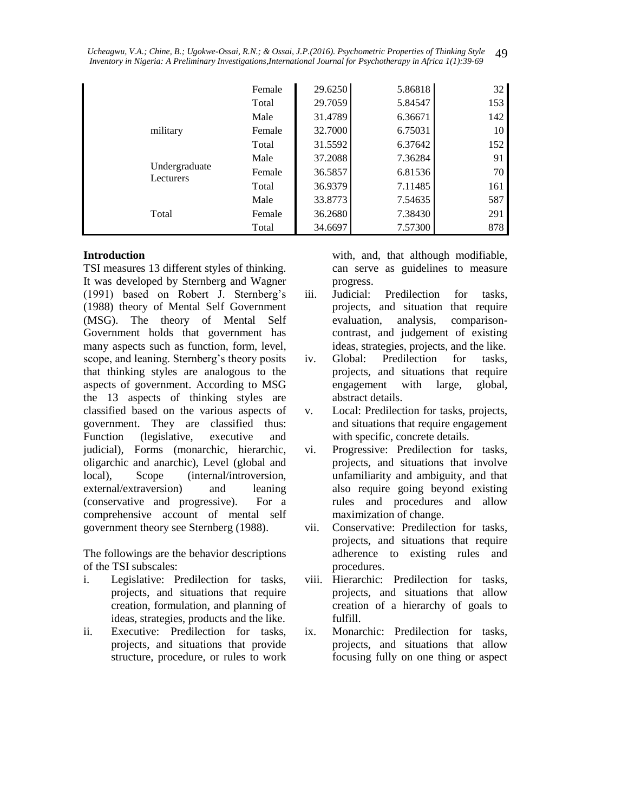|                            | Female | 29.6250 | 5.86818 | 32  |
|----------------------------|--------|---------|---------|-----|
|                            | Total  | 29.7059 | 5.84547 | 153 |
|                            | Male   | 31.4789 | 6.36671 | 142 |
| military                   | Female | 32.7000 | 6.75031 | 10  |
|                            | Total  | 31.5592 | 6.37642 | 152 |
|                            | Male   | 37.2088 | 7.36284 | 91  |
| Undergraduate<br>Lecturers | Female | 36.5857 | 6.81536 | 70  |
|                            | Total  | 36.9379 | 7.11485 | 161 |
|                            | Male   | 33.8773 | 7.54635 | 587 |
| Total                      | Female | 36.2680 | 7.38430 | 291 |
|                            | Total  | 34.6697 | 7.57300 | 878 |

#### **Introduction**

TSI measures 13 different styles of thinking. It was developed by Sternberg and Wagner (1991) based on Robert J. Sternberg's (1988) theory of Mental Self Government (MSG). The theory of Mental Self Government holds that government has many aspects such as function, form, level, scope, and leaning. Sternberg's theory posits that thinking styles are analogous to the aspects of government. According to MSG the 13 aspects of thinking styles are classified based on the various aspects of government. They are classified thus: Function (legislative, executive and judicial), Forms (monarchic, hierarchic, oligarchic and anarchic), Level (global and local), Scope (internal/introversion, external/extraversion) and leaning (conservative and progressive). For a comprehensive account of mental self government theory see Sternberg (1988).

The followings are the behavior descriptions of the TSI subscales:

- i. Legislative: Predilection for tasks, projects, and situations that require creation, formulation, and planning of ideas, strategies, products and the like.
- ii. Executive: Predilection for tasks, projects, and situations that provide structure, procedure, or rules to work

with, and, that although modifiable, can serve as guidelines to measure progress.

- iii. Judicial: Predilection for tasks, projects, and situation that require evaluation, analysis, comparisoncontrast, and judgement of existing ideas, strategies, projects, and the like.
- iv. Global: Predilection for tasks, projects, and situations that require engagement with large, global, abstract details.
- v. Local: Predilection for tasks, projects, and situations that require engagement with specific, concrete details.
- vi. Progressive: Predilection for tasks, projects, and situations that involve unfamiliarity and ambiguity, and that also require going beyond existing rules and procedures and allow maximization of change.
- vii. Conservative: Predilection for tasks, projects, and situations that require adherence to existing rules and procedures.
- viii. Hierarchic: Predilection for tasks, projects, and situations that allow creation of a hierarchy of goals to fulfill.
- ix. Monarchic: Predilection for tasks, projects, and situations that allow focusing fully on one thing or aspect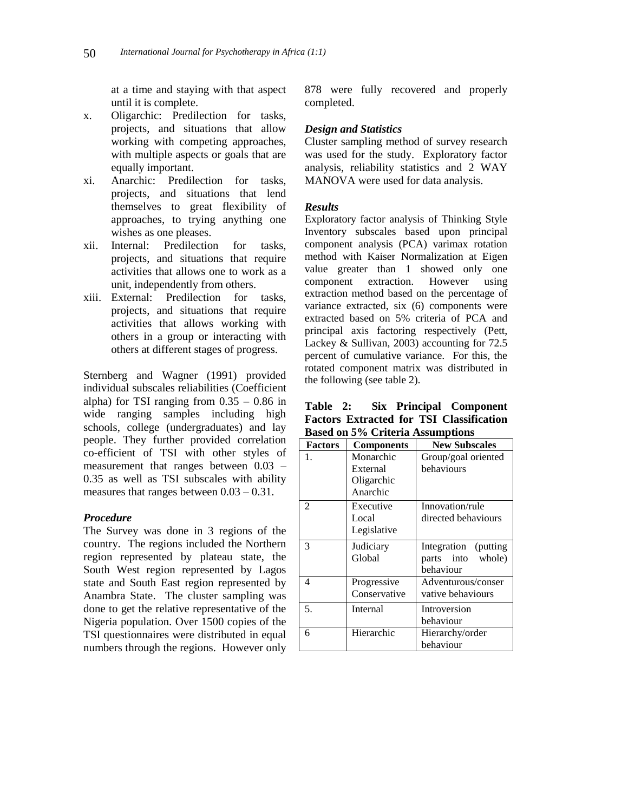at a time and staying with that aspect until it is complete.

- x. Oligarchic: Predilection for tasks, projects, and situations that allow working with competing approaches, with multiple aspects or goals that are equally important.
- xi. Anarchic: Predilection for tasks, projects, and situations that lend themselves to great flexibility of approaches, to trying anything one wishes as one pleases.
- xii. Internal: Predilection for tasks, projects, and situations that require activities that allows one to work as a unit, independently from others.
- xiii. External: Predilection for tasks, projects, and situations that require activities that allows working with others in a group or interacting with others at different stages of progress.

Sternberg and Wagner (1991) provided individual subscales reliabilities (Coefficient alpha) for TSI ranging from  $0.35 - 0.86$  in wide ranging samples including high schools, college (undergraduates) and lay people. They further provided correlation co-efficient of TSI with other styles of measurement that ranges between 0.03 – 0.35 as well as TSI subscales with ability measures that ranges between 0.03 – 0.31.

#### *Procedure*

The Survey was done in 3 regions of the country. The regions included the Northern region represented by plateau state, the South West region represented by Lagos state and South East region represented by Anambra State. The cluster sampling was done to get the relative representative of the Nigeria population. Over 1500 copies of the TSI questionnaires were distributed in equal numbers through the regions. However only

878 were fully recovered and properly completed.

#### *Design and Statistics*

Cluster sampling method of survey research was used for the study. Exploratory factor analysis, reliability statistics and 2 WAY MANOVA were used for data analysis.

#### *Results*

Exploratory factor analysis of Thinking Style Inventory subscales based upon principal component analysis (PCA) varimax rotation method with Kaiser Normalization at Eigen value greater than 1 showed only one component extraction. However using extraction method based on the percentage of variance extracted, six (6) components were extracted based on 5% criteria of PCA and principal axis factoring respectively (Pett, Lackey & Sullivan, 2003) accounting for 72.5 percent of cumulative variance. For this, the rotated component matrix was distributed in the following (see table 2).

**Table 2: Six Principal Component Factors Extracted for TSI Classification Based on 5% Criteria Assumptions**

| <b>Factors</b> | <b>Components</b>                               | <b>New Subscales</b>                                       |
|----------------|-------------------------------------------------|------------------------------------------------------------|
| 1.             | Monarchic<br>External<br>Oligarchic<br>Anarchic | Group/goal oriented<br>behaviours                          |
| 2              | Executive<br>Local<br>Legislative               | Innovation/rule<br>directed behaviours                     |
| 3              | Judiciary<br>Global                             | Integration (putting)<br>parts into<br>whole)<br>behaviour |
| 4              | Progressive<br>Conservative                     | Adventurous/conser<br>vative behaviours                    |
| 5.             | Internal                                        | Introversion<br>behaviour                                  |
| 6              | Hierarchic                                      | Hierarchy/order<br>behaviour                               |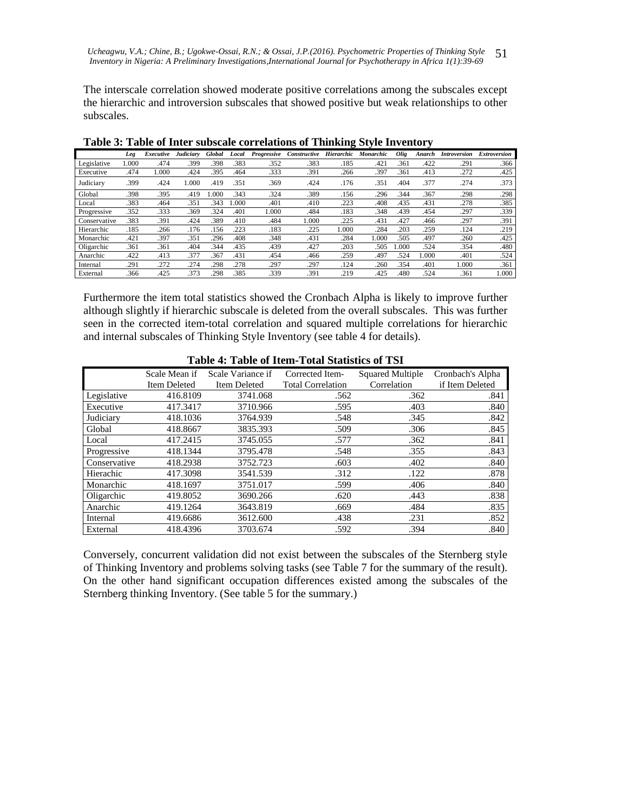The interscale correlation showed moderate positive correlations among the subscales except the hierarchic and introversion subscales that showed positive but weak relationships to other subscales.

|              | Leg  | Executive | Judiciary | Global | Local | Progressive | Constructive | Hierarchic | Monarchic | Olig | Anarch | <b>Introversion</b> | <b>Extroversion</b> |
|--------------|------|-----------|-----------|--------|-------|-------------|--------------|------------|-----------|------|--------|---------------------|---------------------|
| Legislative  | 000. | .474      | .399      | .398   | .383  | .352        | .383         | .185       | .421      | .361 | .422   | .291                | .366                |
| Executive    | .474 | 1.000     | .424      | .395   | .464  | .333        | .391         | .266       | .397      | .361 | .413   | .272                | .425                |
| Judiciary    | .399 | .424      | 1.000     | .419   | .351  | .369        | .424         | .176       | .351      | .404 | .377   | .274                | .373                |
| Global       | .398 | .395      | .419      | .000   | .343  | .324        | .389         | .156       | .296      | .344 | .367   | .298                | .298                |
| Local        | .383 | .464      | .351      | .343   | .000  | .401        | .410         | .223       | .408      | .435 | .431   | .278                | .385                |
| Progressive  | .352 | .333      | .369      | .324   | .401  | 1.000       | .484         | .183       | .348      | .439 | .454   | .297                | .339                |
| Conservative | .383 | .391      | .424      | .389   | .410  | .484        | 1.000        | 225        | .431      | .427 | .466   | .297                | .391                |
| Hierarchic   | .185 | .266      | .176      | .156   | 223   | .183        | .225         | 1.000      | .284      | .203 | 259    | .124                | .219                |
| Monarchic    | .421 | .397      | .351      | .296   | .408  | .348        | .431         | .284       | 1.000     | .505 | .497   | .260                | .425                |
| Oligarchic   | .361 | .361      | .404      | .344   | .435  | .439        | .427         | 203        | .505      | .000 | .524   | .354                | .480                |
| Anarchic     | .422 | .413      | .377      | .367   | .431  | .454        | .466         | .259       | .497      | .524 | .000   | .401                | .524                |
| Internal     | .291 | .272      | .274      | .298   | .278  | .297        | .297         | .124       | .260      | .354 | .401   | 1.000               | .361                |
| External     | .366 | .425      | .373      | .298   | .385  | .339        | .391         | .219       | .425      | .480 | .524   | .361                | 1.000               |

**Table 3: Table of Inter subscale correlations of Thinking Style Inventory** 

Furthermore the item total statistics showed the Cronbach Alpha is likely to improve further although slightly if hierarchic subscale is deleted from the overall subscales. This was further seen in the corrected item-total correlation and squared multiple correlations for hierarchic and internal subscales of Thinking Style Inventory (see table 4 for details).

|              | Scale Mean if | Scale Variance if | Corrected Item-          | <b>Squared Multiple</b> | Cronbach's Alpha |  |  |  |  |
|--------------|---------------|-------------------|--------------------------|-------------------------|------------------|--|--|--|--|
|              | Item Deleted  | Item Deleted      | <b>Total Correlation</b> | Correlation             | if Item Deleted  |  |  |  |  |
| Legislative  | 416.8109      | 3741.068          | .562                     | .362                    | .841             |  |  |  |  |
| Executive    | 417.3417      | 3710.966          | .595                     | .403                    | .840             |  |  |  |  |
| Judiciary    | 418.1036      | 3764.939          | .548                     | .345                    | .842             |  |  |  |  |
| Global       | 418.8667      | 3835.393          | .509                     | .306                    | .845             |  |  |  |  |
| Local        | 417.2415      | 3745.055          | .577                     | .362                    | .841             |  |  |  |  |
| Progressive  | 418.1344      | 3795.478          | .548                     | .355                    | .843             |  |  |  |  |
| Conservative | 418.2938      | 3752.723          | .603                     | .402                    | .840             |  |  |  |  |
| Hierachic    | 417.3098      | 3541.539          | .312                     | .122                    | .878             |  |  |  |  |
| Monarchic    | 418.1697      | 3751.017          | .599                     | .406                    | .840             |  |  |  |  |
| Oligarchic   | 419.8052      | 3690.266          | .620                     | .443                    | .838             |  |  |  |  |
| Anarchic     | 419.1264      | 3643.819          | .669                     | .484                    | .835             |  |  |  |  |
| Internal     | 419.6686      | 3612.600          | .438                     | .231                    | .852             |  |  |  |  |
| External     | 418.4396      | 3703.674          | .592                     | .394                    | .840             |  |  |  |  |

**Table 4: Table of Item-Total Statistics of TSI**

Conversely, concurrent validation did not exist between the subscales of the Sternberg style of Thinking Inventory and problems solving tasks (see Table 7 for the summary of the result). On the other hand significant occupation differences existed among the subscales of the Sternberg thinking Inventory. (See table 5 for the summary.)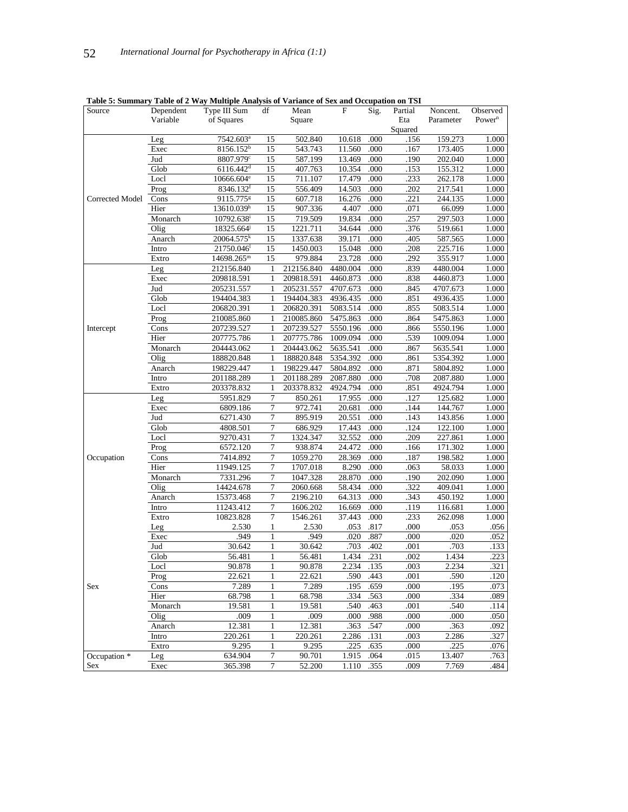| Source          | Dependent | Table 5. Summary Table of 2 <i>way</i> with the Analysis of variance of Sex and Occupation on 131<br>Type III Sum | df           | Mean               | F        | Sig. | Partial | Noncent.  | Observed           |
|-----------------|-----------|-------------------------------------------------------------------------------------------------------------------|--------------|--------------------|----------|------|---------|-----------|--------------------|
|                 | Variable  | of Squares                                                                                                        |              | Square             |          |      | Eta     | Parameter | Power <sup>n</sup> |
|                 |           |                                                                                                                   |              |                    |          |      | Squared |           |                    |
|                 |           |                                                                                                                   |              |                    |          |      |         |           |                    |
|                 | Leg       | 7542.603ª                                                                                                         | 15           | 502.840            | 10.618   | .000 | .156    | 159.273   | 1.000              |
|                 | Exec      | 8156.152 <sup>b</sup>                                                                                             | 15           | 543.743<br>587.199 | 11.560   | .000 | .167    | 173.405   | 1.000              |
|                 | Jud       | 8807.979c                                                                                                         | 15           |                    | 13.469   | .000 | .190    | 202.040   | 1.000              |
|                 | Glob      | $6116.442$ <sup>d</sup>                                                                                           | 15           | 407.763            | 10.354   | .000 | .153    | 155.312   | 1.000              |
|                 | Locl      | 10666.604 <sup>e</sup>                                                                                            | 15           | 711.107            | 17.479   | .000 | .233    | 262.178   | 1.000              |
|                 | Prog      | 8346.132 <sup>t</sup>                                                                                             | 15           | 556.409            | 14.503   | .000 | .202    | 217.541   | 1.000              |
| Corrected Model | Cons      | 9115.775 <sup>g</sup>                                                                                             | 15           | 607.718            | 16.276   | .000 | .221    | 244.135   | 1.000              |
|                 | Hier      | 13610.039h                                                                                                        | 15           | 907.336            | 4.407    | .000 | .071    | 66.099    | 1.000              |
|                 | Monarch   | 10792.638 <sup>i</sup>                                                                                            | 15           | 719.509            | 19.834   | .000 | .257    | 297.503   | 1.000              |
|                 | Olig      | 18325.664                                                                                                         | 15           | 1221.711           | 34.644   | .000 | .376    | 519.661   | 1.000              |
|                 | Anarch    | 20064.575 <sup>k</sup>                                                                                            | 15           | 1337.638           | 39.171   | .000 | .405    | 587.565   | 1.000              |
|                 | Intro     | 21750.046                                                                                                         | 15           | 1450.003           | 15.048   | .000 | .208    | 225.716   | 1.000              |
|                 | Extro     | 14698.265m                                                                                                        | 15           | 979.884            | 23.728   | .000 | .292    | 355.917   | 1.000              |
|                 | Leg       | 212156.840                                                                                                        | 1            | 212156.840         | 4480.004 | .000 | .839    | 4480.004  | 1.000              |
|                 | Exec      | 209818.591                                                                                                        | 1            | 209818.591         | 4460.873 | .000 | .838    | 4460.873  | 1.000              |
|                 | Jud       | 205231.557                                                                                                        | $\mathbf{1}$ | 205231.557         | 4707.673 | .000 | .845    | 4707.673  | 1.000              |
|                 | Glob      | 194404.383                                                                                                        | 1            | 194404.383         | 4936.435 | .000 | .851    | 4936.435  | 1.000              |
|                 | Locl      | 206820.391                                                                                                        | 1            | 206820.391         | 5083.514 | .000 | .855    | 5083.514  | 1.000              |
|                 | Prog      | 210085.860                                                                                                        | 1            | 210085.860         | 5475.863 | .000 | .864    | 5475.863  | 1.000              |
| Intercept       | Cons      | 207239.527                                                                                                        | 1            | 207239.527         | 5550.196 | .000 | .866    | 5550.196  | 1.000              |
|                 | Hier      | 207775.786                                                                                                        | 1            | 207775.786         | 1009.094 | .000 | .539    | 1009.094  | 1.000              |
|                 | Monarch   | 204443.062                                                                                                        | 1            | 204443.062         | 5635.541 | .000 | .867    | 5635.541  | 1.000              |
|                 | Olig      | 188820.848                                                                                                        | 1            | 188820.848         | 5354.392 | .000 | .861    | 5354.392  | 1.000              |
|                 | Anarch    | 198229.447                                                                                                        | 1            | 198229.447         | 5804.892 | .000 | .871    | 5804.892  | 1.000              |
|                 | Intro     | 201188.289                                                                                                        | 1            | 201188.289         | 2087.880 | .000 | .708    | 2087.880  | 1.000              |
|                 | Extro     | 203378.832                                                                                                        | $\mathbf{1}$ | 203378.832         | 4924.794 | .000 | .851    | 4924.794  | 1.000              |
|                 |           | 5951.829                                                                                                          | 7            | 850.261            | 17.955   | .000 | .127    | 125.682   | 1.000              |
|                 | Leg       |                                                                                                                   | 7            | 972.741            |          | .000 |         |           |                    |
|                 | Exec      | 6809.186                                                                                                          |              |                    | 20.681   |      | .144    | 144.767   | 1.000              |
|                 | Jud       | 6271.430                                                                                                          | 7            | 895.919            | 20.551   | .000 | .143    | 143.856   | 1.000              |
|                 | Glob      | 4808.501                                                                                                          | 7            | 686.929            | 17.443   | .000 | .124    | 122.100   | 1.000              |
|                 | Locl      | 9270.431                                                                                                          | 7            | 1324.347           | 32.552   | .000 | .209    | 227.861   | 1.000              |
|                 | Prog      | 6572.120                                                                                                          | 7            | 938.874            | 24.472   | .000 | .166    | 171.302   | 1.000              |
| Occupation      | Cons      | 7414.892                                                                                                          | 7            | 1059.270           | 28.369   | .000 | .187    | 198.582   | 1.000              |
|                 | Hier      | 11949.125                                                                                                         | 7            | 1707.018           | 8.290    | .000 | .063    | 58.033    | 1.000              |
|                 | Monarch   | 7331.296                                                                                                          | 7            | 1047.328           | 28.870   | .000 | .190    | 202.090   | 1.000              |
|                 | Olig      | 14424.678                                                                                                         | 7            | 2060.668           | 58.434   | .000 | .322    | 409.041   | 1.000              |
|                 | Anarch    | 15373.468                                                                                                         | 7            | 2196.210           | 64.313   | .000 | .343    | 450.192   | 1.000              |
|                 | Intro     | 11243.412                                                                                                         | 7            | 1606.202           | 16.669   | .000 | .119    | 116.681   | 1.000              |
|                 | Extro     | 10823.828                                                                                                         | 7            | 1546.261           | 37.443   | .000 | .233    | 262.098   | 1.000              |
|                 | Leg       | 2.530                                                                                                             | 1            | 2.530              | .053     | .817 | .000    | .053      | .056               |
|                 | Exec      | .949                                                                                                              | 1            | .949               | .020     | .887 | .000    | .020      | .052               |
|                 | Jud       | 30.642                                                                                                            | 1            | 30.642             | .703     | .402 | .001    | .703      | .133               |
|                 | Glob      | 56.481                                                                                                            | 1            | 56.481             | 1.434    | .231 | .002    | 1.434     | .223               |
|                 | Locl      | 90.878                                                                                                            | 1            | 90.878             | 2.234    | .135 | .003    | 2.234     | .321               |
|                 | Prog      | 22.621                                                                                                            | 1            | 22.621             | .590     | .443 | .001    | .590      | .120               |
| Sex             | Cons      | 7.289                                                                                                             | 1            | 7.289              | .195     | .659 | .000    | .195      | .073               |
|                 | Hier      | 68.798                                                                                                            | $\mathbf{1}$ | 68.798             | .334     | .563 | .000    | .334      | .089               |
|                 | Monarch   | 19.581                                                                                                            | $\mathbf{1}$ | 19.581             | .540     | .463 | .001    | .540      | .114               |
|                 | Olig      | .009                                                                                                              | $\mathbf{1}$ | .009               | .000     | .988 | .000    | .000      | .050               |
|                 | Anarch    | 12.381                                                                                                            | 1            | 12.381             | .363     | .547 | .000    | .363      | .092               |
|                 | Intro     | 220.261                                                                                                           | $\mathbf{1}$ | 220.261            | 2.286    | .131 | .003    | 2.286     | .327               |
|                 | Extro     | 9.295                                                                                                             | $\mathbf{1}$ | 9.295              | .225     | .635 | .000    | .225      | .076               |
| Occupation *    | Leg       | 634.904                                                                                                           | 7            | 90.701             | 1.915    | .064 | .015    | 13.407    |                    |
|                 |           |                                                                                                                   | $\tau$       |                    |          |      |         |           | .763               |
| Sex             | Exec      | 365.398                                                                                                           |              | 52.200             | 1.110    | .355 | .009    | 7.769     | .484               |

### **Table 5: Summary Table of 2 Way Multiple Analysis of Variance of Sex and Occupation on TSI**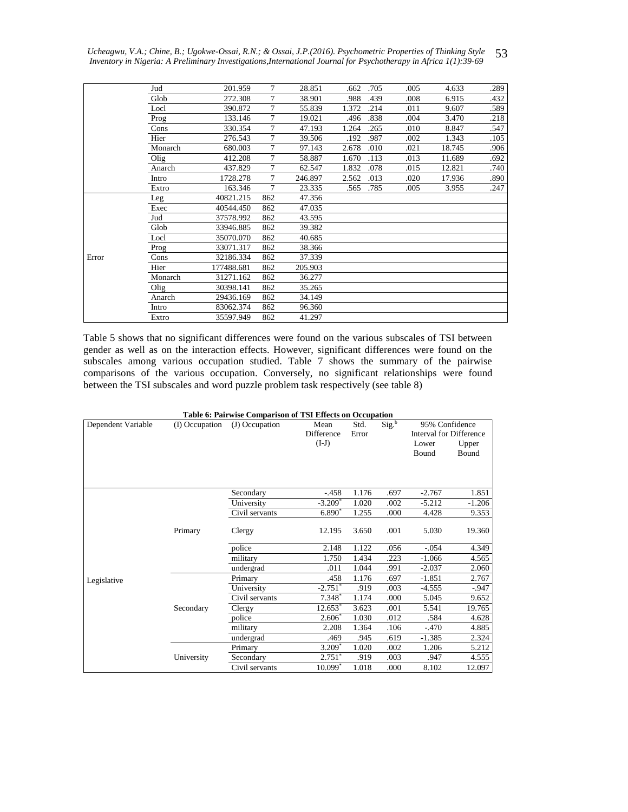|       | Jud     | 201.959    | 7              | 28.851  | .662  | .705 | .005 | 4.633  | .289 |
|-------|---------|------------|----------------|---------|-------|------|------|--------|------|
|       | Glob    | 272.308    | 7              | 38.901  | .988  | .439 | .008 | 6.915  | .432 |
|       | Locl    | 390.872    | 7              | 55.839  | 1.372 | .214 | .011 | 9.607  | .589 |
|       | Prog    | 133.146    | $\overline{7}$ | 19.021  | .496  | .838 | .004 | 3.470  | .218 |
|       | Cons    | 330.354    | $\overline{7}$ | 47.193  | 1.264 | .265 | .010 | 8.847  | .547 |
|       | Hier    | 276.543    | 7              | 39.506  | .192  | .987 | .002 | 1.343  | .105 |
|       | Monarch | 680.003    | 7              | 97.143  | 2.678 | .010 | .021 | 18.745 | .906 |
|       | Olig    | 412.208    | 7              | 58.887  | 1.670 | .113 | .013 | 11.689 | .692 |
|       | Anarch  | 437.829    | 7              | 62.547  | 1.832 | .078 | .015 | 12.821 | .740 |
|       | Intro   | 1728.278   | 7              | 246.897 | 2.562 | .013 | .020 | 17.936 | .890 |
|       | Extro   | 163.346    | 7              | 23.335  | .565  | .785 | .005 | 3.955  | .247 |
|       | Leg     | 40821.215  | 862            | 47.356  |       |      |      |        |      |
|       | Exec    | 40544.450  | 862            | 47.035  |       |      |      |        |      |
|       | Jud     | 37578.992  | 862            | 43.595  |       |      |      |        |      |
|       | Glob    | 33946.885  | 862            | 39.382  |       |      |      |        |      |
|       | Locl    | 35070.070  | 862            | 40.685  |       |      |      |        |      |
|       | Prog    | 33071.317  | 862            | 38.366  |       |      |      |        |      |
| Error | Cons    | 32186.334  | 862            | 37.339  |       |      |      |        |      |
|       | Hier    | 177488.681 | 862            | 205.903 |       |      |      |        |      |
|       | Monarch | 31271.162  | 862            | 36.277  |       |      |      |        |      |
|       | Olig    | 30398.141  | 862            | 35.265  |       |      |      |        |      |
|       | Anarch  | 29436.169  | 862            | 34.149  |       |      |      |        |      |
|       | Intro   | 83062.374  | 862            | 96.360  |       |      |      |        |      |
|       | Extro   | 35597.949  | 862            | 41.297  |       |      |      |        |      |
|       |         |            |                |         |       |      |      |        |      |

Table 5 shows that no significant differences were found on the various subscales of TSI between gender as well as on the interaction effects. However, significant differences were found on the subscales among various occupation studied. Table 7 shows the summary of the pairwise comparisons of the various occupation. Conversely, no significant relationships were found between the TSI subscales and word puzzle problem task respectively (see table 8)

|                    |                | Table 6: Pairwise Comparison of TSI Effects on Occupation |                       |       |                   |                                |          |
|--------------------|----------------|-----------------------------------------------------------|-----------------------|-------|-------------------|--------------------------------|----------|
| Dependent Variable | (I) Occupation | (J) Occupation                                            | Mean                  | Std.  | Sig. <sup>b</sup> | 95% Confidence                 |          |
|                    |                |                                                           | <b>Difference</b>     | Error |                   | <b>Interval for Difference</b> |          |
|                    |                |                                                           | $(I-J)$               |       |                   | Lower                          | Upper    |
|                    |                |                                                           |                       |       |                   | <b>Bound</b>                   | Bound    |
|                    |                |                                                           |                       |       |                   |                                |          |
|                    |                |                                                           |                       |       |                   |                                |          |
|                    |                |                                                           |                       |       |                   |                                |          |
|                    |                | Secondary                                                 | $-.458$               | 1.176 | .697              | $-2.767$                       | 1.851    |
|                    |                | University                                                | $-3.209*$             | 1.020 | .002              | $-5.212$                       | $-1.206$ |
|                    |                | Civil servants                                            | 6.890*                | 1.255 | .000              | 4.428                          | 9.353    |
|                    |                |                                                           |                       |       |                   |                                |          |
|                    | Primary        | Clergy                                                    | 12.195                | 3.650 | .001              | 5.030                          | 19.360   |
|                    |                | police                                                    | 2.148                 | 1.122 | .056              | $-.054$                        | 4.349    |
|                    |                | military                                                  | 1.750                 | 1.434 | .223              | $-1.066$                       | 4.565    |
|                    |                | undergrad                                                 | .011                  | 1.044 | .991              | $-2.037$                       | 2.060    |
| Legislative        |                | Primary                                                   | .458                  | 1.176 | .697              | $-1.851$                       | 2.767    |
|                    |                | University                                                | $-2.751$ <sup>*</sup> | .919  | .003              | $-4.555$                       | $-947$   |
|                    |                | Civil servants                                            | $7.348*$              | 1.174 | .000              | 5.045                          | 9.652    |
|                    | Secondary      | Clergy                                                    | 12.653*               | 3.623 | .001              | 5.541                          | 19.765   |
|                    |                | police                                                    | $2.606*$              | 1.030 | .012              | .584                           | 4.628    |
|                    |                | military                                                  | 2.208                 | 1.364 | .106              | $-.470$                        | 4.885    |
|                    |                | undergrad                                                 | .469                  | .945  | .619              | $-1.385$                       | 2.324    |
|                    |                | Primary                                                   | 3.209*                | 1.020 | .002              | 1.206                          | 5.212    |
|                    | University     | Secondary                                                 | $2.751*$              | .919  | .003              | .947                           | 4.555    |
|                    |                | Civil servants                                            | $10.099*$             | 1.018 | .000              | 8.102                          | 12.097   |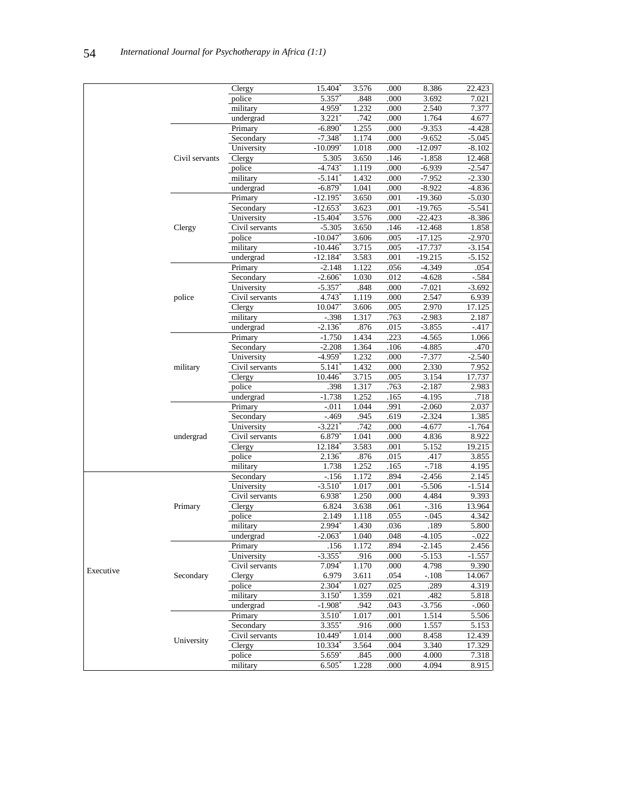|           |                | Clergy         | 15.404                 | 3.576 | .000 | 8.386     | 22.423   |
|-----------|----------------|----------------|------------------------|-------|------|-----------|----------|
|           |                | police         | 5.357                  | .848  | .000 | 3.692     | 7.021    |
|           |                | military       | 4.959*                 | 1.232 | .000 | 2.540     | 7.377    |
|           |                | undergrad      | 3.221'                 | .742  | .000 | 1.764     | 4.677    |
|           |                | Primary        | $-6.890*$              | 1.255 | .000 | $-9.353$  | -4.428   |
|           |                | Secondary      | $-7.348^*$             | 1.174 | .000 | $-9.652$  | $-5.045$ |
|           |                | University     | -10.099*               | 1.018 | .000 | $-12.097$ | $-8.102$ |
|           | Civil servants | Clergy         | 5.305                  | 3.650 | .146 | $-1.858$  | 12.468   |
|           |                | police         | $-4.743$ <sup>*</sup>  | 1.119 | .000 | $-6.939$  | $-2.547$ |
|           |                | military       | $-5.141$               | 1.432 | .000 | $-7.952$  | $-2.330$ |
|           |                | undergrad      | $-6.879*$              | 1.041 | .000 | $-8.922$  | $-4.836$ |
|           |                | Primary        | $-12.195$ <sup>*</sup> | 3.650 | .001 | -19.360   | -5.030   |
|           |                | Secondary      | $-12.653$ <sup>*</sup> | 3.623 | .001 | $-19.765$ | $-5.541$ |
|           |                | University     | $-15.404$ <sup>*</sup> | 3.576 | .000 | $-22.423$ | -8.386   |
|           | Clergy         | Civil servants | $-5.305$               | 3.650 | .146 | $-12.468$ | 1.858    |
|           |                | police         | $-10.047$              | 3.606 | .005 | $-17.125$ | $-2.970$ |
|           |                |                |                        |       |      |           | $-3.154$ |
|           |                | military       | $-10.446$ <sup>*</sup> | 3.715 | .005 | $-17.737$ |          |
|           |                | undergrad      | $-12.184*$             | 3.583 | .001 | $-19.215$ | $-5.152$ |
|           |                | Primary        | $-2.148$               | 1.122 | .056 | $-4.349$  | .054     |
|           |                | Secondary      | $-2.606$ <sup>*</sup>  | 1.030 | .012 | $-4.628$  | -.584    |
|           |                | University     | $-5.357$ <sup>*</sup>  | .848  | .000 | $-7.021$  | $-3.692$ |
|           | police         | Civil servants | 4.743*                 | 1.119 | .000 | 2.547     | 6.939    |
|           |                | Clergy         | 10.047                 | 3.606 | .005 | 2.970     | 17.125   |
|           |                | military       | $-.398$                | 1.317 | .763 | $-2.983$  | 2.187    |
|           |                | undergrad      | $-2.136^*$             | .876  | .015 | $-3.855$  | $-417$   |
|           |                | Primary        | $-1.750$               | 1.434 | .223 | $-4.565$  | 1.066    |
|           |                | Secondary      | $-2.208$               | 1.364 | .106 | $-4.885$  | .470     |
|           |                | University     | $-4.959*$              | 1.232 | .000 | $-7.377$  | $-2.540$ |
|           | military       | Civil servants | $5.141*$               | 1.432 | .000 | 2.330     | 7.952    |
|           |                | Clergy         | 10.446                 | 3.715 | .005 | 3.154     | 17.737   |
|           |                | police         | .398                   | 1.317 | .763 | $-2.187$  | 2.983    |
|           |                | undergrad      | $-1.738$               | 1.252 | .165 | $-4.195$  | .718     |
|           |                | Primary        | $-.011$                | 1.044 | .991 | $-2.060$  | 2.037    |
|           |                | Secondary      | $-469$                 | .945  | .619 | $-2.324$  | 1.385    |
|           |                | University     | $-3.221$ <sup>*</sup>  | .742  | .000 | $-4.677$  | $-1.764$ |
|           | undergrad      | Civil servants | 6.879                  | 1.041 | .000 | 4.836     | 8.922    |
|           |                | Clergy         | 12.184*                | 3.583 | .001 | 5.152     | 19.215   |
|           |                | police         | $2.136*$               | .876  | .015 | .417      | 3.855    |
|           |                | military       | 1.738                  | 1.252 | .165 | $-.718$   | 4.195    |
|           |                | Secondary      | $-.156$                | 1.172 | .894 | $-2.456$  | 2.145    |
|           |                | University     | $-3.510*$              | 1.017 | .001 | $-5.506$  | $-1.514$ |
|           |                | Civil servants | $6.938*$               | 1.250 | .000 | 4.484     | 9.393    |
|           | Primary        | Clergy         | 6.824                  | 3.638 | .061 | $-316$    | 13.964   |
|           |                | police         | 2.149                  | 1.118 | .055 | $-0.045$  | 4.342    |
|           |                | military       | 2.994*                 | 1.430 | .036 | .189      | 5.800    |
|           |                | undergrad      | $-2.063$ <sup>*</sup>  | 1.040 | .048 | $-4.105$  | $-0.022$ |
|           |                | Primary        | .156                   | 1.172 | .894 | $-2.145$  | 2.456    |
|           |                | University     | -3.355*                | .916  | .000 | $-5.153$  | $-1.557$ |
|           |                | Civil servants | $7.094*$               | 1.170 | .000 | 4.798     | 9.390    |
| Executive | Secondary      | Clergy         |                        |       |      |           |          |
|           |                |                | 6.979                  | 3.611 | .054 | -.108     | 14.067   |
|           |                | police         | $2.304^{*}$            | 1.027 | .025 | .289      | 4.319    |
|           |                | military       | $3.150*$               | 1.359 | .021 | .482      | 5.818    |
|           |                | undergrad      | $-1.908$ <sup>*</sup>  | .942  | .043 | $-3.756$  | $-060$   |
|           |                | Primary        | $3.510*$               | 1.017 | .001 | 1.514     | 5.506    |
|           |                | Secondary      | $3.355$ <sup>*</sup>   | .916  | .000 | 1.557     | 5.153    |
|           | University     | Civil servants | $10.449*$              | 1.014 | .000 | 8.458     | 12.439   |
|           |                | Clergy         | $10.334*$              | 3.564 | .004 | 3.340     | 17.329   |
|           |                | police         | $5.659*$               | .845  | .000 | 4.000     | 7.318    |
|           |                | military       | $6.505*$               | 1.228 | .000 | 4.094     | 8.915    |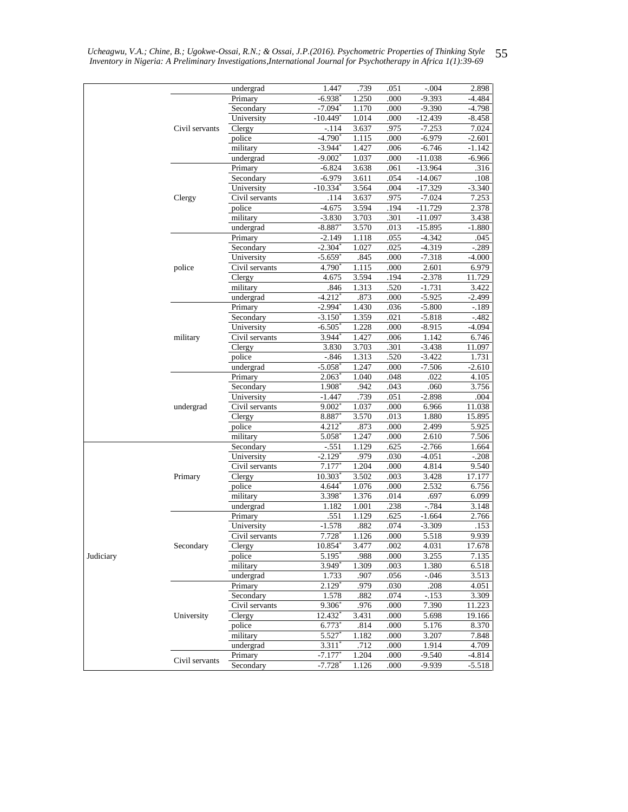|           |                | undergrad            | 1.447                  | .739           | .051         | $-.004$              | 2.898               |
|-----------|----------------|----------------------|------------------------|----------------|--------------|----------------------|---------------------|
|           |                | Primary              | $-6.938$ <sup>*</sup>  | 1.250          | .000         | $-9.393$             | $-4.484$            |
|           |                | Secondary            | $-7.094*$              | 1.170          | .000         | $-9.390$             | $-4.798$            |
|           |                | University           | $-10.449*$             | 1.014          | .000         | $-12.\overline{439}$ | $-8.458$            |
|           | Civil servants | Clergy               | $-.114$                | 3.637          | .975         | $-7.253$             | 7.024               |
|           |                | police               | $-4.790*$              | 1.115          | .000         | $-6.979$             | $-2.601$            |
|           |                | military             | $-3.944$ <sup>*</sup>  | 1.427          | .006         | $-6.746$             | $-1.142$            |
|           |                | undergrad            | $-9.002$ <sup>*</sup>  | 1.037          | .000         | $-11.038$            | $-6.966$            |
|           |                | Primary              | $-6.824$               | 3.638          | .061         | $-13.964$            | .316                |
|           |                | Secondary            | $-6.979$               | 3.611          | .054         | $-14.067$            | .108                |
|           |                | University           | $-10.334$ <sup>*</sup> | 3.564          | .004         | $-17.329$            | $-3.340$            |
|           | Clergy         | Civil servants       | .114                   | 3.637          | .975         | $-7.024$             | 7.253               |
|           |                | police               | $-4.675$               | 3.594          | .194         | $-11.729$            | 2.378               |
|           |                | military             | $-3.830$               | 3.703          | .301         | $-11.097$            | 3.438               |
|           |                | undergrad            | $-8.887$               | 3.570          | .013         | $-15.895$            | $-1.880$            |
|           |                | Primary<br>Secondary | $-2.149$<br>$-2.304*$  | 1.118<br>1.027 | .055         | $-4.342$             | .045                |
|           |                | University           | $-5.659*$              | .845           | .025<br>.000 | $-4.319$<br>$-7.318$ | $-.289$<br>$-4.000$ |
|           | police         | Civil servants       | 4.790 <sup>*</sup>     | 1.115          | .000         | 2.601                | 6.979               |
|           |                |                      |                        | 3.594          | .194         | $-2.378$             |                     |
|           |                | Clergy<br>military   | 4.675<br>.846          | 1.313          | .520         | $-1.731$             | 11.729<br>3.422     |
|           |                | undergrad            | $-4.212$ <sup>*</sup>  | .873           | .000         | $-5.925$             | $-2.499$            |
|           |                | Primary              | $-2.994$ <sup>*</sup>  | 1.430          | .036         | $-5.800$             | $-189$              |
|           |                | Secondary            | $-3.150^*$             | 1.359          | .021         | $-5.818$             | $-482$              |
|           |                | University           | $-6.505$               | 1.228          | .000         | $-8.915$             | $-4.094$            |
|           | military       | Civil servants       | $3.944$ <sup>*</sup>   | 1.427          | .006         | 1.142                | 6.746               |
|           |                | Clergy               | 3.830                  | 3.703          | .301         | $-3.438$             | 11.097              |
|           |                | police               | $-.846$                | 1.313          | .520         | $-3.422$             | 1.731               |
|           |                | undergrad            | $-5.058$ <sup>*</sup>  | 1.247          | .000         | $-7.506$             | $-2.610$            |
|           |                | Primary              | $2.063^*$              | 1.040          | .048         | .022                 | 4.105               |
|           |                | Secondary            | 1.908                  | .942           | .043         | .060                 | 3.756               |
|           |                | University           | $-1.447$               | .739           | .051         | $-2.898$             | .004                |
|           | undergrad      | Civil servants       | 9.002                  | 1.037          | .000         | 6.966                | 11.038              |
|           |                | Clergy               | 8.887                  | 3.570          | .013         | 1.880                | 15.895              |
|           |                | police               | $4.212*$               | .873           | .000         | 2.499                | 5.925               |
|           |                | military             | 5.058                  | 1.247          | .000         | 2.610                | 7.506               |
|           |                | Secondary            | $-.551$                | 1.129          | .625         | $-2.766$             | 1.664               |
|           |                | University           | $-2.129*$              | .979           | .030         | $-4.051$             | $-.208$             |
|           |                | Civil servants       | 7.177                  | 1.204          | .000         | 4.814                | 9.540               |
|           | Primary        | Clergy               | $10.303$ <sup>*</sup>  | 3.502          | .003         | 3.428                | 17.177              |
|           |                | police               | $4.644$ <sup>*</sup>   | 1.076          | .000         | 2.532                | 6.756               |
|           |                | military             | 3.398*                 | 1.376          | .014         | .697                 | 6.099               |
|           |                | undergrad            | 1.182                  | 1.001          | .238         | $-784$               | 3.148               |
|           |                | Primary              | .551                   | 1.129          | .625         | $-1.664$             | 2.766               |
|           |                | University           | $-1.578$               | .882           | .074         | $-3.309$             | .153                |
|           |                | Civil servants       | 7.728                  | 1.126          | .000         | 5.518                | 9.939               |
|           | Secondary      | Clergy               | 10.854                 | 3.477          | .002         | 4.031                | 17.678              |
| Judiciary |                | police               | 5.195                  | .988           | .000         | 3.255                | 7.135               |
|           |                | military             | 3.949*                 | 1.309          | .003         | 1.380                | 6.518               |
|           |                | undergrad            | 1.733                  | .907           | .056         | $-.046$              | 3.513               |
|           |                | Primary              | $2.129*$               | .979           | .030         | .208                 | 4.051               |
|           |                | Secondary            | 1.578                  | .882           | .074         | -.153                | 3.309               |
|           |                | Civil servants       | $9.306*$               | .976           | .000         | 7.390                | 11.223              |
|           | University     | Clergy               | 12.432                 | 3.431          | .000         | 5.698                | 19.166              |
|           |                | police               | $6.773^{\circ}$        | .814           | .000         | 5.176                | 8.370               |
|           |                | military             | 5.527                  | 1.182          | .000         | 3.207                | 7.848               |
|           |                | undergrad            | $3.311*$               | .712           | .000         | 1.914                | 4.709               |
|           | Civil servants | Primary              | $-7.177*$              | 1.204          | .000         | $-9.540$             | $-4.814$            |
|           |                | Secondary            | $-7.728$ <sup>*</sup>  | 1.126          | .000         | $-9.939$             | $-5.518$            |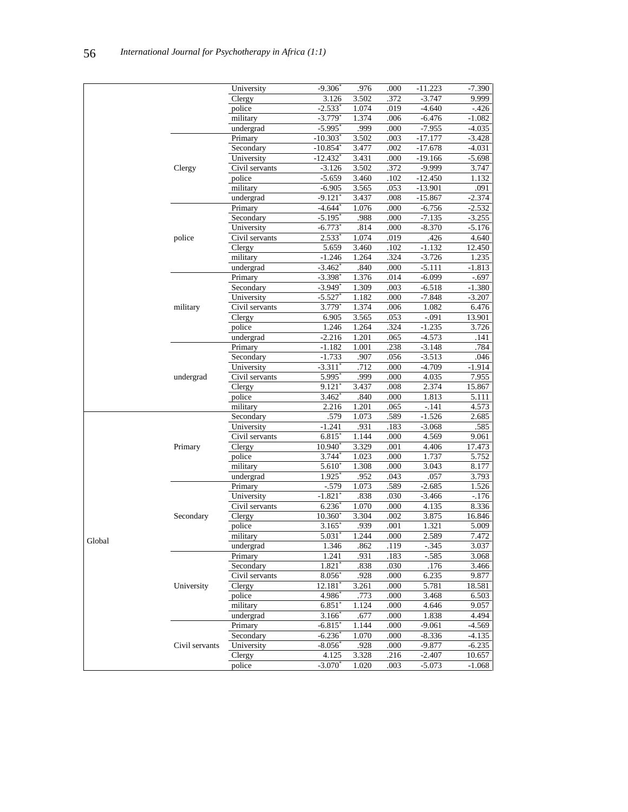|        |                | University           | $-9.306$               | .976  | .000 | $-11.223$ | $-7.390$ |
|--------|----------------|----------------------|------------------------|-------|------|-----------|----------|
|        |                | Clergy               | 3.126                  | 3.502 | .372 | $-3.747$  | 9.999    |
|        |                | police               | $-2.533*$              | 1.074 | .019 | $-4.640$  | $-426$   |
|        |                | military             | $-3.779*$              | 1.374 | .006 | $-6.476$  | $-1.082$ |
|        |                | undergrad            | $-5.995$ <sup>*</sup>  | .999  | .000 | $-7.955$  | $-4.035$ |
|        |                | Primary              | $-10.303$ <sup>*</sup> | 3.502 | .003 | $-17.177$ | $-3.428$ |
|        |                | Secondary            | $-10.854$ <sup>*</sup> | 3.477 | .002 | $-17.678$ | $-4.031$ |
|        |                | University           | $-12.432$ <sup>*</sup> | 3.431 | .000 | $-19.166$ | $-5.698$ |
|        | Clergy         | Civil servants       | $-3.126$               | 3.502 | .372 | $-9.999$  | 3.747    |
|        |                | police               | $-5.659$               | 3.460 | .102 | $-12.450$ | 1.132    |
|        |                | military             | $-6.905$               | 3.565 | .053 | $-13.901$ | .091     |
|        |                | undergrad            | -9.121'                | 3.437 | .008 | $-15.867$ | $-2.374$ |
|        |                | Primary              | $-4.644*$              | 1.076 | .000 | $-6.756$  | $-2.532$ |
|        |                | Secondary            | $-5.195$               | .988  | .000 | $-7.135$  | $-3.255$ |
|        |                | University           | $-6.773*$              | .814  | .000 | $-8.370$  | $-5.176$ |
|        | police         | Civil servants       | $2.533*$               | 1.074 | .019 | .426      | 4.640    |
|        |                | Clergy               | 5.659                  | 3.460 | .102 | $-1.132$  | 12.450   |
|        |                | military             | $-1.246$               | 1.264 | .324 | $-3.726$  | 1.235    |
|        |                | undergrad            | $-3.462$ <sup>*</sup>  | .840  | .000 | $-5.111$  | $-1.813$ |
|        |                | Primary              | $-3.398$ <sup>*</sup>  | 1.376 | .014 | $-6.099$  | $-.697$  |
|        |                | Secondary            | -3.949*                | 1.309 | .003 | $-6.518$  | $-1.380$ |
|        |                | University           | -5.527`                | 1.182 | .000 | $-7.848$  | $-3.207$ |
|        | military       | Civil servants       | $3.779*$               | 1.374 | .006 | 1.082     | 6.476    |
|        |                | Clergy               | 6.905                  | 3.565 | .053 | $-.091$   | 13.901   |
|        |                | police               | 1.246                  | 1.264 | .324 | $-1.235$  | 3.726    |
|        |                | undergrad            | $-2.216$               | 1.201 | .065 | $-4.573$  | .141     |
|        |                | Primary              | $-1.182$               | 1.001 | .238 | $-3.148$  | .784     |
|        |                | Secondary            | $-1.733$               | .907  | .056 | $-3.513$  | .046     |
|        |                | University           | $-3.311$ <sup>*</sup>  | .712  | .000 | $-4.709$  | $-1.914$ |
|        | undergrad      | Civil servants       | 5.995                  | .999  | .000 | 4.035     | 7.955    |
|        |                | <b>Clergy</b>        | $9.121$ <sup>*</sup>   | 3.437 | .008 | 2.374     | 15.867   |
|        |                | police               | 3.462                  | .840  | .000 | 1.813     | 5.111    |
|        |                | military             | 2.216                  | 1.201 | .065 | $-.141$   | 4.573    |
|        |                | Secondary            | .579                   | 1.073 | .589 | $-1.526$  | 2.685    |
|        |                | University           | $-1.241$               | .931  | .183 | $-3.068$  | .585     |
|        |                | Civil servants       | $6.815*$               | 1.144 | .000 | 4.569     | 9.061    |
|        | Primary        | $\overline{C}$ lergy | 10.940                 | 3.329 | .001 | 4.406     | 17.473   |
|        |                | police               | 3.744                  | 1.023 | .000 | 1.737     | 5.752    |
|        |                | military             | $5.610*$               | 1.308 | .000 | 3.043     | 8.177    |
|        |                | undergrad            | 1.925                  | .952  | .043 | .057      | 3.793    |
|        |                | Primary              | $-.579$                | 1.073 | .589 | $-2.685$  | 1.526    |
|        |                | University           | $-1.821$ <sup>*</sup>  | .838  | .030 | $-3.466$  | $-176$   |
|        |                | Civil servants       | 6.236                  | 1.070 | .000 | 4.135     | 8.336    |
|        | Secondary      | <b>Clergy</b>        | $10.360^*$             | 3.304 | .002 | 3.875     | 16.846   |
|        |                | police               | 3.165                  | .939  | .001 | 1.321     | 5.009    |
|        |                | military             | $5.031^*$              | 1.244 | .000 | 2.589     | 7.472    |
| Global |                | undergrad            | 1.346                  | .862  | .119 | $-345$    | 3.037    |
|        |                | Primary              | 1.241                  | .931  | .183 | $-.585$   | 3.068    |
|        |                | Secondary            | 1.821*                 | .838  | .030 | .176      | 3.466    |
|        |                | Civil servants       | 8.056                  | .928  | .000 | 6.235     | 9.877    |
|        | University     | Clergy               | 12.181                 | 3.261 | .000 | 5.781     | 18.581   |
|        |                | police               | 4.986                  | .773  | .000 | 3.468     | 6.503    |
|        |                | military             | 6.851                  | 1.124 | .000 | 4.646     | 9.057    |
|        |                | undergrad            | 3.166                  | .677  | .000 | 1.838     | 4.494    |
|        |                | Primary              | $-6.815$ <sup>*</sup>  | 1.144 | .000 | $-9.061$  | $-4.569$ |
|        |                | Secondary            | $-6.236$               | 1.070 | .000 | $-8.336$  | $-4.135$ |
|        | Civil servants | University           | $-8.056$               | .928  | .000 | $-9.877$  | $-6.235$ |
|        |                | Clergy               | 4.125                  | 3.328 | .216 | $-2.407$  | 10.657   |
|        |                | police               | $-3.070*$              | 1.020 | .003 | $-5.073$  | $-1.068$ |
|        |                |                      |                        |       |      |           |          |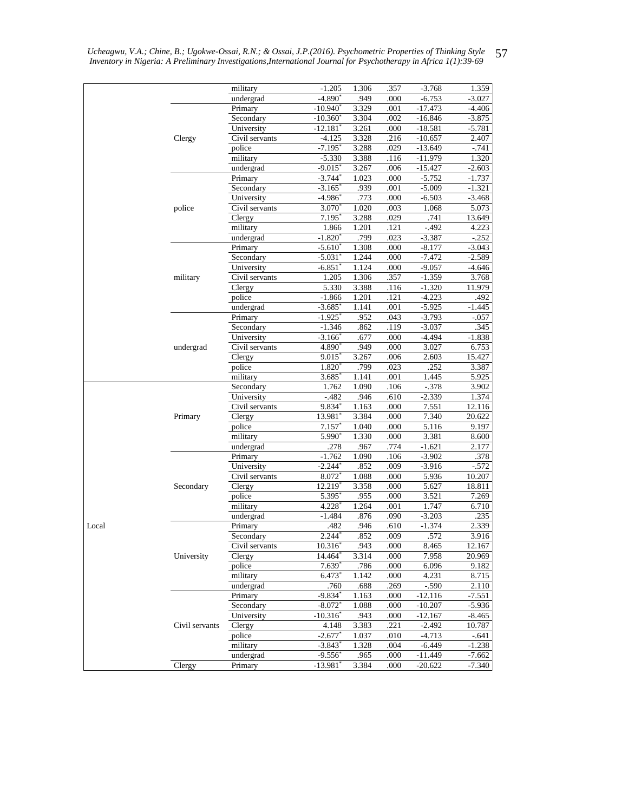| $-1.205$<br>1.306<br>.357<br>$-3.768$<br>1.359<br>.949<br>$-4.890^*$<br>.000<br>undergrad<br>$-6.753$<br>$-3.027$<br>3.329<br>Primary<br>$-10.940^*$<br>.001<br>$-17.473$<br>$-4.406$<br>3.304<br>$-3.875$<br>Secondary<br>$-10.360^{\circ}$<br>.002<br>$-16.846$<br>3.261<br>.000<br>University<br>$-12.181$<br>$-18.581$<br>$-5.781$<br>3.328<br>2.407<br>Clergy<br>Civil servants<br>$-4.125$<br>.216<br>$-10.657$<br>police<br>$-7.195$<br>3.288<br>.029<br>$-13.649$<br>$-741$<br>military<br>3.388<br>.116<br>$-11.979$<br>1.320<br>$-5.330$<br>undergrad<br>$-9.015$ <sup>*</sup><br>3.267<br>.006<br>$-15.427$<br>$-2.603$<br>$-3.744$ <sup>*</sup><br>1.023<br>.000<br>$-5.752$<br>Primary<br>$-1.737$<br>.001<br>$-5.009$<br>Secondary<br>$-3.165$<br>.939<br>$-1.321$<br>.773<br>$-4.986$ <sup>*</sup><br>.000<br>$-6.503$<br>$-3.468$<br>University<br>$3.070^*$<br>1.020<br>.003<br>5.073<br>police<br>Civil servants<br>1.068<br>$7.195*$<br>3.288<br>.029<br>.741<br>13.649<br>Clergy<br>1.201<br>$-.492$<br>military<br>1.866<br>.121<br>4.223<br>undergrad<br>$-1.820^*$<br>.799<br>.023<br>$-3.387$<br>$-.252$<br>$-5.610*$<br>1.308<br>$-3.043$<br>Primary<br>.000<br>$-8.177$<br>1.244<br>.000<br>$-7.472$<br>$-2.589$<br>Secondary<br>$-5.031$<br>University<br>1.124<br>$-9.057$<br>$-6.851$<br>.000<br>$-4.646$<br>Civil servants<br>1.205<br>1.306<br>.357<br>$-1.359$<br>3.768<br>military<br>5.330<br>3.388<br>$-1.320$<br>Clergy<br>.116<br>11.979<br>police<br>$-1.866$<br>1.201<br>.121<br>$-4.223$<br>.492<br>undergrad<br>1.141<br>$-1.445$<br>$-3.685$ <sup>*</sup><br>.001<br>$-5.925$<br>$-1.925$<br>.952<br>.043<br>$-3.793$<br>Primary<br>$-.057$<br>$-1.346$<br>.119<br>$-3.037$<br>.345<br>Secondary<br>.862<br>.677<br>.000<br>$-4.494$<br>University<br>$-3.166$ <sup>*</sup><br>$-1.838$<br>4.890*<br>.949<br>3.027<br>Civil servants<br>.000<br>6.753<br>undergrad<br>3.267<br>Clergy<br>9.015<br>.006<br>2.603<br>15.427<br>.023<br>.252<br>police<br>$1.820^*$<br>.799<br>3.387<br>military<br>3.685<br>1.141<br>.001<br>1.445<br>5.925<br>1.090<br>$-.378$<br>Secondary<br>1.762<br>.106<br>3.902<br>$-482$<br>.946<br>.610<br>$-2.339$<br>University<br>1.374<br>Civil servants<br>$9.834*$<br>1.163<br>.000<br>7.551<br>12.116<br>13.981<br>3.384<br>.000<br>7.340<br>20.622<br>Primary<br>Clergy<br>police<br>7.157<br>1.040<br>.000<br>5.116<br>9.197<br>5.990<br>1.330<br>military<br>.000<br>3.381<br>8.600<br>$-1.621$<br>.278<br>.967<br>.774<br>undergrad<br>2.177<br>$-1.762$<br>1.090<br>$-3.902$<br>.378<br>Primary<br>.106<br>$-2.244$ <sup>*</sup><br>.009<br>$-3.916$<br>University<br>.852<br>$-572$<br>Civil servants<br>8.072 <sup>*</sup><br>1.088<br>.000<br>5.936<br>10.207<br>Secondary<br>3.358<br>Clergy<br>12.219<br>.000<br>5.627<br>18.811<br>police<br>5.395<br>.955<br>.000<br>3.521<br>7.269<br>1.264<br>military<br>4.228<br>.001<br>1.747<br>6.710<br>$-1.484$<br>.876<br>.090<br>$-3.203$<br>.235<br>undergrad<br>.482<br>.946<br>2.339<br>Local<br>Primary<br>.610<br>$-1.374$<br>Secondary<br>$2.244*$<br>.852<br>.009<br>.572<br>3.916<br>.943<br>Civil servants<br>10.316<br>.000<br>8.465<br>12.167<br>University<br>Clergy<br>14.464*<br>3.314<br>.000<br>7.958<br>20.969<br>$7.639*$<br>6.096<br>police<br>.786<br>.000<br>9.182<br>military<br>$6.473*$<br>1.142<br>.000<br>4.231<br>8.715<br>undergrad<br>$-.590$<br>2.110<br>.760<br>.688<br>.269<br>Primary<br>$-9.834*$<br>.000<br>1.163<br>$-12.116$<br>$-7.551$<br>Secondary<br>$-8.072$ <sup>*</sup><br>1.088<br>.000<br>$-10.207$<br>$-5.936$<br>University<br>$-10.316$ <sup>*</sup><br>.943<br>.000<br>$-12.167$<br>$-8.465$<br>.221<br>10.787<br>Civil servants<br>Clergy<br>4.148<br>3.383<br>$-2.492$<br>police<br>$-2.677$ <sup>*</sup><br>.010<br>$-4.713$<br>$-.641$<br>1.037<br>$-3.843*$<br>1.328<br>$-6.449$<br>$-1.238$<br>military<br>.004<br>undergrad<br>$-9.556$ <sup>*</sup><br>.965<br>.000<br>-11.449<br>$-7.662$<br>Clergy<br>$-13.981$ <sup>*</sup><br>3.384<br>.000<br>$-20.622$<br>$-7.340$<br>Primary |  |          |  |  |  |
|-----------------------------------------------------------------------------------------------------------------------------------------------------------------------------------------------------------------------------------------------------------------------------------------------------------------------------------------------------------------------------------------------------------------------------------------------------------------------------------------------------------------------------------------------------------------------------------------------------------------------------------------------------------------------------------------------------------------------------------------------------------------------------------------------------------------------------------------------------------------------------------------------------------------------------------------------------------------------------------------------------------------------------------------------------------------------------------------------------------------------------------------------------------------------------------------------------------------------------------------------------------------------------------------------------------------------------------------------------------------------------------------------------------------------------------------------------------------------------------------------------------------------------------------------------------------------------------------------------------------------------------------------------------------------------------------------------------------------------------------------------------------------------------------------------------------------------------------------------------------------------------------------------------------------------------------------------------------------------------------------------------------------------------------------------------------------------------------------------------------------------------------------------------------------------------------------------------------------------------------------------------------------------------------------------------------------------------------------------------------------------------------------------------------------------------------------------------------------------------------------------------------------------------------------------------------------------------------------------------------------------------------------------------------------------------------------------------------------------------------------------------------------------------------------------------------------------------------------------------------------------------------------------------------------------------------------------------------------------------------------------------------------------------------------------------------------------------------------------------------------------------------------------------------------------------------------------------------------------------------------------------------------------------------------------------------------------------------------------------------------------------------------------------------------------------------------------------------------------------------------------------------------------------------------------------------------------------------------------------------------------------------------------------------------------------------------------------------------------------------------------------------------------------------------------------------------------------------------------------------------------------------------------------------------------------------------------------------------------------------------------------------------------------------------------------------------------|--|----------|--|--|--|
|                                                                                                                                                                                                                                                                                                                                                                                                                                                                                                                                                                                                                                                                                                                                                                                                                                                                                                                                                                                                                                                                                                                                                                                                                                                                                                                                                                                                                                                                                                                                                                                                                                                                                                                                                                                                                                                                                                                                                                                                                                                                                                                                                                                                                                                                                                                                                                                                                                                                                                                                                                                                                                                                                                                                                                                                                                                                                                                                                                                                                                                                                                                                                                                                                                                                                                                                                                                                                                                                                                                                                                                                                                                                                                                                                                                                                                                                                                                                                                                                                                                                             |  | military |  |  |  |
|                                                                                                                                                                                                                                                                                                                                                                                                                                                                                                                                                                                                                                                                                                                                                                                                                                                                                                                                                                                                                                                                                                                                                                                                                                                                                                                                                                                                                                                                                                                                                                                                                                                                                                                                                                                                                                                                                                                                                                                                                                                                                                                                                                                                                                                                                                                                                                                                                                                                                                                                                                                                                                                                                                                                                                                                                                                                                                                                                                                                                                                                                                                                                                                                                                                                                                                                                                                                                                                                                                                                                                                                                                                                                                                                                                                                                                                                                                                                                                                                                                                                             |  |          |  |  |  |
|                                                                                                                                                                                                                                                                                                                                                                                                                                                                                                                                                                                                                                                                                                                                                                                                                                                                                                                                                                                                                                                                                                                                                                                                                                                                                                                                                                                                                                                                                                                                                                                                                                                                                                                                                                                                                                                                                                                                                                                                                                                                                                                                                                                                                                                                                                                                                                                                                                                                                                                                                                                                                                                                                                                                                                                                                                                                                                                                                                                                                                                                                                                                                                                                                                                                                                                                                                                                                                                                                                                                                                                                                                                                                                                                                                                                                                                                                                                                                                                                                                                                             |  |          |  |  |  |
|                                                                                                                                                                                                                                                                                                                                                                                                                                                                                                                                                                                                                                                                                                                                                                                                                                                                                                                                                                                                                                                                                                                                                                                                                                                                                                                                                                                                                                                                                                                                                                                                                                                                                                                                                                                                                                                                                                                                                                                                                                                                                                                                                                                                                                                                                                                                                                                                                                                                                                                                                                                                                                                                                                                                                                                                                                                                                                                                                                                                                                                                                                                                                                                                                                                                                                                                                                                                                                                                                                                                                                                                                                                                                                                                                                                                                                                                                                                                                                                                                                                                             |  |          |  |  |  |
|                                                                                                                                                                                                                                                                                                                                                                                                                                                                                                                                                                                                                                                                                                                                                                                                                                                                                                                                                                                                                                                                                                                                                                                                                                                                                                                                                                                                                                                                                                                                                                                                                                                                                                                                                                                                                                                                                                                                                                                                                                                                                                                                                                                                                                                                                                                                                                                                                                                                                                                                                                                                                                                                                                                                                                                                                                                                                                                                                                                                                                                                                                                                                                                                                                                                                                                                                                                                                                                                                                                                                                                                                                                                                                                                                                                                                                                                                                                                                                                                                                                                             |  |          |  |  |  |
|                                                                                                                                                                                                                                                                                                                                                                                                                                                                                                                                                                                                                                                                                                                                                                                                                                                                                                                                                                                                                                                                                                                                                                                                                                                                                                                                                                                                                                                                                                                                                                                                                                                                                                                                                                                                                                                                                                                                                                                                                                                                                                                                                                                                                                                                                                                                                                                                                                                                                                                                                                                                                                                                                                                                                                                                                                                                                                                                                                                                                                                                                                                                                                                                                                                                                                                                                                                                                                                                                                                                                                                                                                                                                                                                                                                                                                                                                                                                                                                                                                                                             |  |          |  |  |  |
|                                                                                                                                                                                                                                                                                                                                                                                                                                                                                                                                                                                                                                                                                                                                                                                                                                                                                                                                                                                                                                                                                                                                                                                                                                                                                                                                                                                                                                                                                                                                                                                                                                                                                                                                                                                                                                                                                                                                                                                                                                                                                                                                                                                                                                                                                                                                                                                                                                                                                                                                                                                                                                                                                                                                                                                                                                                                                                                                                                                                                                                                                                                                                                                                                                                                                                                                                                                                                                                                                                                                                                                                                                                                                                                                                                                                                                                                                                                                                                                                                                                                             |  |          |  |  |  |
|                                                                                                                                                                                                                                                                                                                                                                                                                                                                                                                                                                                                                                                                                                                                                                                                                                                                                                                                                                                                                                                                                                                                                                                                                                                                                                                                                                                                                                                                                                                                                                                                                                                                                                                                                                                                                                                                                                                                                                                                                                                                                                                                                                                                                                                                                                                                                                                                                                                                                                                                                                                                                                                                                                                                                                                                                                                                                                                                                                                                                                                                                                                                                                                                                                                                                                                                                                                                                                                                                                                                                                                                                                                                                                                                                                                                                                                                                                                                                                                                                                                                             |  |          |  |  |  |
|                                                                                                                                                                                                                                                                                                                                                                                                                                                                                                                                                                                                                                                                                                                                                                                                                                                                                                                                                                                                                                                                                                                                                                                                                                                                                                                                                                                                                                                                                                                                                                                                                                                                                                                                                                                                                                                                                                                                                                                                                                                                                                                                                                                                                                                                                                                                                                                                                                                                                                                                                                                                                                                                                                                                                                                                                                                                                                                                                                                                                                                                                                                                                                                                                                                                                                                                                                                                                                                                                                                                                                                                                                                                                                                                                                                                                                                                                                                                                                                                                                                                             |  |          |  |  |  |
|                                                                                                                                                                                                                                                                                                                                                                                                                                                                                                                                                                                                                                                                                                                                                                                                                                                                                                                                                                                                                                                                                                                                                                                                                                                                                                                                                                                                                                                                                                                                                                                                                                                                                                                                                                                                                                                                                                                                                                                                                                                                                                                                                                                                                                                                                                                                                                                                                                                                                                                                                                                                                                                                                                                                                                                                                                                                                                                                                                                                                                                                                                                                                                                                                                                                                                                                                                                                                                                                                                                                                                                                                                                                                                                                                                                                                                                                                                                                                                                                                                                                             |  |          |  |  |  |
|                                                                                                                                                                                                                                                                                                                                                                                                                                                                                                                                                                                                                                                                                                                                                                                                                                                                                                                                                                                                                                                                                                                                                                                                                                                                                                                                                                                                                                                                                                                                                                                                                                                                                                                                                                                                                                                                                                                                                                                                                                                                                                                                                                                                                                                                                                                                                                                                                                                                                                                                                                                                                                                                                                                                                                                                                                                                                                                                                                                                                                                                                                                                                                                                                                                                                                                                                                                                                                                                                                                                                                                                                                                                                                                                                                                                                                                                                                                                                                                                                                                                             |  |          |  |  |  |
|                                                                                                                                                                                                                                                                                                                                                                                                                                                                                                                                                                                                                                                                                                                                                                                                                                                                                                                                                                                                                                                                                                                                                                                                                                                                                                                                                                                                                                                                                                                                                                                                                                                                                                                                                                                                                                                                                                                                                                                                                                                                                                                                                                                                                                                                                                                                                                                                                                                                                                                                                                                                                                                                                                                                                                                                                                                                                                                                                                                                                                                                                                                                                                                                                                                                                                                                                                                                                                                                                                                                                                                                                                                                                                                                                                                                                                                                                                                                                                                                                                                                             |  |          |  |  |  |
|                                                                                                                                                                                                                                                                                                                                                                                                                                                                                                                                                                                                                                                                                                                                                                                                                                                                                                                                                                                                                                                                                                                                                                                                                                                                                                                                                                                                                                                                                                                                                                                                                                                                                                                                                                                                                                                                                                                                                                                                                                                                                                                                                                                                                                                                                                                                                                                                                                                                                                                                                                                                                                                                                                                                                                                                                                                                                                                                                                                                                                                                                                                                                                                                                                                                                                                                                                                                                                                                                                                                                                                                                                                                                                                                                                                                                                                                                                                                                                                                                                                                             |  |          |  |  |  |
|                                                                                                                                                                                                                                                                                                                                                                                                                                                                                                                                                                                                                                                                                                                                                                                                                                                                                                                                                                                                                                                                                                                                                                                                                                                                                                                                                                                                                                                                                                                                                                                                                                                                                                                                                                                                                                                                                                                                                                                                                                                                                                                                                                                                                                                                                                                                                                                                                                                                                                                                                                                                                                                                                                                                                                                                                                                                                                                                                                                                                                                                                                                                                                                                                                                                                                                                                                                                                                                                                                                                                                                                                                                                                                                                                                                                                                                                                                                                                                                                                                                                             |  |          |  |  |  |
|                                                                                                                                                                                                                                                                                                                                                                                                                                                                                                                                                                                                                                                                                                                                                                                                                                                                                                                                                                                                                                                                                                                                                                                                                                                                                                                                                                                                                                                                                                                                                                                                                                                                                                                                                                                                                                                                                                                                                                                                                                                                                                                                                                                                                                                                                                                                                                                                                                                                                                                                                                                                                                                                                                                                                                                                                                                                                                                                                                                                                                                                                                                                                                                                                                                                                                                                                                                                                                                                                                                                                                                                                                                                                                                                                                                                                                                                                                                                                                                                                                                                             |  |          |  |  |  |
|                                                                                                                                                                                                                                                                                                                                                                                                                                                                                                                                                                                                                                                                                                                                                                                                                                                                                                                                                                                                                                                                                                                                                                                                                                                                                                                                                                                                                                                                                                                                                                                                                                                                                                                                                                                                                                                                                                                                                                                                                                                                                                                                                                                                                                                                                                                                                                                                                                                                                                                                                                                                                                                                                                                                                                                                                                                                                                                                                                                                                                                                                                                                                                                                                                                                                                                                                                                                                                                                                                                                                                                                                                                                                                                                                                                                                                                                                                                                                                                                                                                                             |  |          |  |  |  |
|                                                                                                                                                                                                                                                                                                                                                                                                                                                                                                                                                                                                                                                                                                                                                                                                                                                                                                                                                                                                                                                                                                                                                                                                                                                                                                                                                                                                                                                                                                                                                                                                                                                                                                                                                                                                                                                                                                                                                                                                                                                                                                                                                                                                                                                                                                                                                                                                                                                                                                                                                                                                                                                                                                                                                                                                                                                                                                                                                                                                                                                                                                                                                                                                                                                                                                                                                                                                                                                                                                                                                                                                                                                                                                                                                                                                                                                                                                                                                                                                                                                                             |  |          |  |  |  |
|                                                                                                                                                                                                                                                                                                                                                                                                                                                                                                                                                                                                                                                                                                                                                                                                                                                                                                                                                                                                                                                                                                                                                                                                                                                                                                                                                                                                                                                                                                                                                                                                                                                                                                                                                                                                                                                                                                                                                                                                                                                                                                                                                                                                                                                                                                                                                                                                                                                                                                                                                                                                                                                                                                                                                                                                                                                                                                                                                                                                                                                                                                                                                                                                                                                                                                                                                                                                                                                                                                                                                                                                                                                                                                                                                                                                                                                                                                                                                                                                                                                                             |  |          |  |  |  |
|                                                                                                                                                                                                                                                                                                                                                                                                                                                                                                                                                                                                                                                                                                                                                                                                                                                                                                                                                                                                                                                                                                                                                                                                                                                                                                                                                                                                                                                                                                                                                                                                                                                                                                                                                                                                                                                                                                                                                                                                                                                                                                                                                                                                                                                                                                                                                                                                                                                                                                                                                                                                                                                                                                                                                                                                                                                                                                                                                                                                                                                                                                                                                                                                                                                                                                                                                                                                                                                                                                                                                                                                                                                                                                                                                                                                                                                                                                                                                                                                                                                                             |  |          |  |  |  |
|                                                                                                                                                                                                                                                                                                                                                                                                                                                                                                                                                                                                                                                                                                                                                                                                                                                                                                                                                                                                                                                                                                                                                                                                                                                                                                                                                                                                                                                                                                                                                                                                                                                                                                                                                                                                                                                                                                                                                                                                                                                                                                                                                                                                                                                                                                                                                                                                                                                                                                                                                                                                                                                                                                                                                                                                                                                                                                                                                                                                                                                                                                                                                                                                                                                                                                                                                                                                                                                                                                                                                                                                                                                                                                                                                                                                                                                                                                                                                                                                                                                                             |  |          |  |  |  |
|                                                                                                                                                                                                                                                                                                                                                                                                                                                                                                                                                                                                                                                                                                                                                                                                                                                                                                                                                                                                                                                                                                                                                                                                                                                                                                                                                                                                                                                                                                                                                                                                                                                                                                                                                                                                                                                                                                                                                                                                                                                                                                                                                                                                                                                                                                                                                                                                                                                                                                                                                                                                                                                                                                                                                                                                                                                                                                                                                                                                                                                                                                                                                                                                                                                                                                                                                                                                                                                                                                                                                                                                                                                                                                                                                                                                                                                                                                                                                                                                                                                                             |  |          |  |  |  |
|                                                                                                                                                                                                                                                                                                                                                                                                                                                                                                                                                                                                                                                                                                                                                                                                                                                                                                                                                                                                                                                                                                                                                                                                                                                                                                                                                                                                                                                                                                                                                                                                                                                                                                                                                                                                                                                                                                                                                                                                                                                                                                                                                                                                                                                                                                                                                                                                                                                                                                                                                                                                                                                                                                                                                                                                                                                                                                                                                                                                                                                                                                                                                                                                                                                                                                                                                                                                                                                                                                                                                                                                                                                                                                                                                                                                                                                                                                                                                                                                                                                                             |  |          |  |  |  |
|                                                                                                                                                                                                                                                                                                                                                                                                                                                                                                                                                                                                                                                                                                                                                                                                                                                                                                                                                                                                                                                                                                                                                                                                                                                                                                                                                                                                                                                                                                                                                                                                                                                                                                                                                                                                                                                                                                                                                                                                                                                                                                                                                                                                                                                                                                                                                                                                                                                                                                                                                                                                                                                                                                                                                                                                                                                                                                                                                                                                                                                                                                                                                                                                                                                                                                                                                                                                                                                                                                                                                                                                                                                                                                                                                                                                                                                                                                                                                                                                                                                                             |  |          |  |  |  |
|                                                                                                                                                                                                                                                                                                                                                                                                                                                                                                                                                                                                                                                                                                                                                                                                                                                                                                                                                                                                                                                                                                                                                                                                                                                                                                                                                                                                                                                                                                                                                                                                                                                                                                                                                                                                                                                                                                                                                                                                                                                                                                                                                                                                                                                                                                                                                                                                                                                                                                                                                                                                                                                                                                                                                                                                                                                                                                                                                                                                                                                                                                                                                                                                                                                                                                                                                                                                                                                                                                                                                                                                                                                                                                                                                                                                                                                                                                                                                                                                                                                                             |  |          |  |  |  |
|                                                                                                                                                                                                                                                                                                                                                                                                                                                                                                                                                                                                                                                                                                                                                                                                                                                                                                                                                                                                                                                                                                                                                                                                                                                                                                                                                                                                                                                                                                                                                                                                                                                                                                                                                                                                                                                                                                                                                                                                                                                                                                                                                                                                                                                                                                                                                                                                                                                                                                                                                                                                                                                                                                                                                                                                                                                                                                                                                                                                                                                                                                                                                                                                                                                                                                                                                                                                                                                                                                                                                                                                                                                                                                                                                                                                                                                                                                                                                                                                                                                                             |  |          |  |  |  |
|                                                                                                                                                                                                                                                                                                                                                                                                                                                                                                                                                                                                                                                                                                                                                                                                                                                                                                                                                                                                                                                                                                                                                                                                                                                                                                                                                                                                                                                                                                                                                                                                                                                                                                                                                                                                                                                                                                                                                                                                                                                                                                                                                                                                                                                                                                                                                                                                                                                                                                                                                                                                                                                                                                                                                                                                                                                                                                                                                                                                                                                                                                                                                                                                                                                                                                                                                                                                                                                                                                                                                                                                                                                                                                                                                                                                                                                                                                                                                                                                                                                                             |  |          |  |  |  |
|                                                                                                                                                                                                                                                                                                                                                                                                                                                                                                                                                                                                                                                                                                                                                                                                                                                                                                                                                                                                                                                                                                                                                                                                                                                                                                                                                                                                                                                                                                                                                                                                                                                                                                                                                                                                                                                                                                                                                                                                                                                                                                                                                                                                                                                                                                                                                                                                                                                                                                                                                                                                                                                                                                                                                                                                                                                                                                                                                                                                                                                                                                                                                                                                                                                                                                                                                                                                                                                                                                                                                                                                                                                                                                                                                                                                                                                                                                                                                                                                                                                                             |  |          |  |  |  |
|                                                                                                                                                                                                                                                                                                                                                                                                                                                                                                                                                                                                                                                                                                                                                                                                                                                                                                                                                                                                                                                                                                                                                                                                                                                                                                                                                                                                                                                                                                                                                                                                                                                                                                                                                                                                                                                                                                                                                                                                                                                                                                                                                                                                                                                                                                                                                                                                                                                                                                                                                                                                                                                                                                                                                                                                                                                                                                                                                                                                                                                                                                                                                                                                                                                                                                                                                                                                                                                                                                                                                                                                                                                                                                                                                                                                                                                                                                                                                                                                                                                                             |  |          |  |  |  |
|                                                                                                                                                                                                                                                                                                                                                                                                                                                                                                                                                                                                                                                                                                                                                                                                                                                                                                                                                                                                                                                                                                                                                                                                                                                                                                                                                                                                                                                                                                                                                                                                                                                                                                                                                                                                                                                                                                                                                                                                                                                                                                                                                                                                                                                                                                                                                                                                                                                                                                                                                                                                                                                                                                                                                                                                                                                                                                                                                                                                                                                                                                                                                                                                                                                                                                                                                                                                                                                                                                                                                                                                                                                                                                                                                                                                                                                                                                                                                                                                                                                                             |  |          |  |  |  |
|                                                                                                                                                                                                                                                                                                                                                                                                                                                                                                                                                                                                                                                                                                                                                                                                                                                                                                                                                                                                                                                                                                                                                                                                                                                                                                                                                                                                                                                                                                                                                                                                                                                                                                                                                                                                                                                                                                                                                                                                                                                                                                                                                                                                                                                                                                                                                                                                                                                                                                                                                                                                                                                                                                                                                                                                                                                                                                                                                                                                                                                                                                                                                                                                                                                                                                                                                                                                                                                                                                                                                                                                                                                                                                                                                                                                                                                                                                                                                                                                                                                                             |  |          |  |  |  |
|                                                                                                                                                                                                                                                                                                                                                                                                                                                                                                                                                                                                                                                                                                                                                                                                                                                                                                                                                                                                                                                                                                                                                                                                                                                                                                                                                                                                                                                                                                                                                                                                                                                                                                                                                                                                                                                                                                                                                                                                                                                                                                                                                                                                                                                                                                                                                                                                                                                                                                                                                                                                                                                                                                                                                                                                                                                                                                                                                                                                                                                                                                                                                                                                                                                                                                                                                                                                                                                                                                                                                                                                                                                                                                                                                                                                                                                                                                                                                                                                                                                                             |  |          |  |  |  |
|                                                                                                                                                                                                                                                                                                                                                                                                                                                                                                                                                                                                                                                                                                                                                                                                                                                                                                                                                                                                                                                                                                                                                                                                                                                                                                                                                                                                                                                                                                                                                                                                                                                                                                                                                                                                                                                                                                                                                                                                                                                                                                                                                                                                                                                                                                                                                                                                                                                                                                                                                                                                                                                                                                                                                                                                                                                                                                                                                                                                                                                                                                                                                                                                                                                                                                                                                                                                                                                                                                                                                                                                                                                                                                                                                                                                                                                                                                                                                                                                                                                                             |  |          |  |  |  |
|                                                                                                                                                                                                                                                                                                                                                                                                                                                                                                                                                                                                                                                                                                                                                                                                                                                                                                                                                                                                                                                                                                                                                                                                                                                                                                                                                                                                                                                                                                                                                                                                                                                                                                                                                                                                                                                                                                                                                                                                                                                                                                                                                                                                                                                                                                                                                                                                                                                                                                                                                                                                                                                                                                                                                                                                                                                                                                                                                                                                                                                                                                                                                                                                                                                                                                                                                                                                                                                                                                                                                                                                                                                                                                                                                                                                                                                                                                                                                                                                                                                                             |  |          |  |  |  |
|                                                                                                                                                                                                                                                                                                                                                                                                                                                                                                                                                                                                                                                                                                                                                                                                                                                                                                                                                                                                                                                                                                                                                                                                                                                                                                                                                                                                                                                                                                                                                                                                                                                                                                                                                                                                                                                                                                                                                                                                                                                                                                                                                                                                                                                                                                                                                                                                                                                                                                                                                                                                                                                                                                                                                                                                                                                                                                                                                                                                                                                                                                                                                                                                                                                                                                                                                                                                                                                                                                                                                                                                                                                                                                                                                                                                                                                                                                                                                                                                                                                                             |  |          |  |  |  |
|                                                                                                                                                                                                                                                                                                                                                                                                                                                                                                                                                                                                                                                                                                                                                                                                                                                                                                                                                                                                                                                                                                                                                                                                                                                                                                                                                                                                                                                                                                                                                                                                                                                                                                                                                                                                                                                                                                                                                                                                                                                                                                                                                                                                                                                                                                                                                                                                                                                                                                                                                                                                                                                                                                                                                                                                                                                                                                                                                                                                                                                                                                                                                                                                                                                                                                                                                                                                                                                                                                                                                                                                                                                                                                                                                                                                                                                                                                                                                                                                                                                                             |  |          |  |  |  |
|                                                                                                                                                                                                                                                                                                                                                                                                                                                                                                                                                                                                                                                                                                                                                                                                                                                                                                                                                                                                                                                                                                                                                                                                                                                                                                                                                                                                                                                                                                                                                                                                                                                                                                                                                                                                                                                                                                                                                                                                                                                                                                                                                                                                                                                                                                                                                                                                                                                                                                                                                                                                                                                                                                                                                                                                                                                                                                                                                                                                                                                                                                                                                                                                                                                                                                                                                                                                                                                                                                                                                                                                                                                                                                                                                                                                                                                                                                                                                                                                                                                                             |  |          |  |  |  |
|                                                                                                                                                                                                                                                                                                                                                                                                                                                                                                                                                                                                                                                                                                                                                                                                                                                                                                                                                                                                                                                                                                                                                                                                                                                                                                                                                                                                                                                                                                                                                                                                                                                                                                                                                                                                                                                                                                                                                                                                                                                                                                                                                                                                                                                                                                                                                                                                                                                                                                                                                                                                                                                                                                                                                                                                                                                                                                                                                                                                                                                                                                                                                                                                                                                                                                                                                                                                                                                                                                                                                                                                                                                                                                                                                                                                                                                                                                                                                                                                                                                                             |  |          |  |  |  |
|                                                                                                                                                                                                                                                                                                                                                                                                                                                                                                                                                                                                                                                                                                                                                                                                                                                                                                                                                                                                                                                                                                                                                                                                                                                                                                                                                                                                                                                                                                                                                                                                                                                                                                                                                                                                                                                                                                                                                                                                                                                                                                                                                                                                                                                                                                                                                                                                                                                                                                                                                                                                                                                                                                                                                                                                                                                                                                                                                                                                                                                                                                                                                                                                                                                                                                                                                                                                                                                                                                                                                                                                                                                                                                                                                                                                                                                                                                                                                                                                                                                                             |  |          |  |  |  |
|                                                                                                                                                                                                                                                                                                                                                                                                                                                                                                                                                                                                                                                                                                                                                                                                                                                                                                                                                                                                                                                                                                                                                                                                                                                                                                                                                                                                                                                                                                                                                                                                                                                                                                                                                                                                                                                                                                                                                                                                                                                                                                                                                                                                                                                                                                                                                                                                                                                                                                                                                                                                                                                                                                                                                                                                                                                                                                                                                                                                                                                                                                                                                                                                                                                                                                                                                                                                                                                                                                                                                                                                                                                                                                                                                                                                                                                                                                                                                                                                                                                                             |  |          |  |  |  |
|                                                                                                                                                                                                                                                                                                                                                                                                                                                                                                                                                                                                                                                                                                                                                                                                                                                                                                                                                                                                                                                                                                                                                                                                                                                                                                                                                                                                                                                                                                                                                                                                                                                                                                                                                                                                                                                                                                                                                                                                                                                                                                                                                                                                                                                                                                                                                                                                                                                                                                                                                                                                                                                                                                                                                                                                                                                                                                                                                                                                                                                                                                                                                                                                                                                                                                                                                                                                                                                                                                                                                                                                                                                                                                                                                                                                                                                                                                                                                                                                                                                                             |  |          |  |  |  |
|                                                                                                                                                                                                                                                                                                                                                                                                                                                                                                                                                                                                                                                                                                                                                                                                                                                                                                                                                                                                                                                                                                                                                                                                                                                                                                                                                                                                                                                                                                                                                                                                                                                                                                                                                                                                                                                                                                                                                                                                                                                                                                                                                                                                                                                                                                                                                                                                                                                                                                                                                                                                                                                                                                                                                                                                                                                                                                                                                                                                                                                                                                                                                                                                                                                                                                                                                                                                                                                                                                                                                                                                                                                                                                                                                                                                                                                                                                                                                                                                                                                                             |  |          |  |  |  |
|                                                                                                                                                                                                                                                                                                                                                                                                                                                                                                                                                                                                                                                                                                                                                                                                                                                                                                                                                                                                                                                                                                                                                                                                                                                                                                                                                                                                                                                                                                                                                                                                                                                                                                                                                                                                                                                                                                                                                                                                                                                                                                                                                                                                                                                                                                                                                                                                                                                                                                                                                                                                                                                                                                                                                                                                                                                                                                                                                                                                                                                                                                                                                                                                                                                                                                                                                                                                                                                                                                                                                                                                                                                                                                                                                                                                                                                                                                                                                                                                                                                                             |  |          |  |  |  |
|                                                                                                                                                                                                                                                                                                                                                                                                                                                                                                                                                                                                                                                                                                                                                                                                                                                                                                                                                                                                                                                                                                                                                                                                                                                                                                                                                                                                                                                                                                                                                                                                                                                                                                                                                                                                                                                                                                                                                                                                                                                                                                                                                                                                                                                                                                                                                                                                                                                                                                                                                                                                                                                                                                                                                                                                                                                                                                                                                                                                                                                                                                                                                                                                                                                                                                                                                                                                                                                                                                                                                                                                                                                                                                                                                                                                                                                                                                                                                                                                                                                                             |  |          |  |  |  |
|                                                                                                                                                                                                                                                                                                                                                                                                                                                                                                                                                                                                                                                                                                                                                                                                                                                                                                                                                                                                                                                                                                                                                                                                                                                                                                                                                                                                                                                                                                                                                                                                                                                                                                                                                                                                                                                                                                                                                                                                                                                                                                                                                                                                                                                                                                                                                                                                                                                                                                                                                                                                                                                                                                                                                                                                                                                                                                                                                                                                                                                                                                                                                                                                                                                                                                                                                                                                                                                                                                                                                                                                                                                                                                                                                                                                                                                                                                                                                                                                                                                                             |  |          |  |  |  |
|                                                                                                                                                                                                                                                                                                                                                                                                                                                                                                                                                                                                                                                                                                                                                                                                                                                                                                                                                                                                                                                                                                                                                                                                                                                                                                                                                                                                                                                                                                                                                                                                                                                                                                                                                                                                                                                                                                                                                                                                                                                                                                                                                                                                                                                                                                                                                                                                                                                                                                                                                                                                                                                                                                                                                                                                                                                                                                                                                                                                                                                                                                                                                                                                                                                                                                                                                                                                                                                                                                                                                                                                                                                                                                                                                                                                                                                                                                                                                                                                                                                                             |  |          |  |  |  |
|                                                                                                                                                                                                                                                                                                                                                                                                                                                                                                                                                                                                                                                                                                                                                                                                                                                                                                                                                                                                                                                                                                                                                                                                                                                                                                                                                                                                                                                                                                                                                                                                                                                                                                                                                                                                                                                                                                                                                                                                                                                                                                                                                                                                                                                                                                                                                                                                                                                                                                                                                                                                                                                                                                                                                                                                                                                                                                                                                                                                                                                                                                                                                                                                                                                                                                                                                                                                                                                                                                                                                                                                                                                                                                                                                                                                                                                                                                                                                                                                                                                                             |  |          |  |  |  |
|                                                                                                                                                                                                                                                                                                                                                                                                                                                                                                                                                                                                                                                                                                                                                                                                                                                                                                                                                                                                                                                                                                                                                                                                                                                                                                                                                                                                                                                                                                                                                                                                                                                                                                                                                                                                                                                                                                                                                                                                                                                                                                                                                                                                                                                                                                                                                                                                                                                                                                                                                                                                                                                                                                                                                                                                                                                                                                                                                                                                                                                                                                                                                                                                                                                                                                                                                                                                                                                                                                                                                                                                                                                                                                                                                                                                                                                                                                                                                                                                                                                                             |  |          |  |  |  |
|                                                                                                                                                                                                                                                                                                                                                                                                                                                                                                                                                                                                                                                                                                                                                                                                                                                                                                                                                                                                                                                                                                                                                                                                                                                                                                                                                                                                                                                                                                                                                                                                                                                                                                                                                                                                                                                                                                                                                                                                                                                                                                                                                                                                                                                                                                                                                                                                                                                                                                                                                                                                                                                                                                                                                                                                                                                                                                                                                                                                                                                                                                                                                                                                                                                                                                                                                                                                                                                                                                                                                                                                                                                                                                                                                                                                                                                                                                                                                                                                                                                                             |  |          |  |  |  |
|                                                                                                                                                                                                                                                                                                                                                                                                                                                                                                                                                                                                                                                                                                                                                                                                                                                                                                                                                                                                                                                                                                                                                                                                                                                                                                                                                                                                                                                                                                                                                                                                                                                                                                                                                                                                                                                                                                                                                                                                                                                                                                                                                                                                                                                                                                                                                                                                                                                                                                                                                                                                                                                                                                                                                                                                                                                                                                                                                                                                                                                                                                                                                                                                                                                                                                                                                                                                                                                                                                                                                                                                                                                                                                                                                                                                                                                                                                                                                                                                                                                                             |  |          |  |  |  |
|                                                                                                                                                                                                                                                                                                                                                                                                                                                                                                                                                                                                                                                                                                                                                                                                                                                                                                                                                                                                                                                                                                                                                                                                                                                                                                                                                                                                                                                                                                                                                                                                                                                                                                                                                                                                                                                                                                                                                                                                                                                                                                                                                                                                                                                                                                                                                                                                                                                                                                                                                                                                                                                                                                                                                                                                                                                                                                                                                                                                                                                                                                                                                                                                                                                                                                                                                                                                                                                                                                                                                                                                                                                                                                                                                                                                                                                                                                                                                                                                                                                                             |  |          |  |  |  |
|                                                                                                                                                                                                                                                                                                                                                                                                                                                                                                                                                                                                                                                                                                                                                                                                                                                                                                                                                                                                                                                                                                                                                                                                                                                                                                                                                                                                                                                                                                                                                                                                                                                                                                                                                                                                                                                                                                                                                                                                                                                                                                                                                                                                                                                                                                                                                                                                                                                                                                                                                                                                                                                                                                                                                                                                                                                                                                                                                                                                                                                                                                                                                                                                                                                                                                                                                                                                                                                                                                                                                                                                                                                                                                                                                                                                                                                                                                                                                                                                                                                                             |  |          |  |  |  |
|                                                                                                                                                                                                                                                                                                                                                                                                                                                                                                                                                                                                                                                                                                                                                                                                                                                                                                                                                                                                                                                                                                                                                                                                                                                                                                                                                                                                                                                                                                                                                                                                                                                                                                                                                                                                                                                                                                                                                                                                                                                                                                                                                                                                                                                                                                                                                                                                                                                                                                                                                                                                                                                                                                                                                                                                                                                                                                                                                                                                                                                                                                                                                                                                                                                                                                                                                                                                                                                                                                                                                                                                                                                                                                                                                                                                                                                                                                                                                                                                                                                                             |  |          |  |  |  |
|                                                                                                                                                                                                                                                                                                                                                                                                                                                                                                                                                                                                                                                                                                                                                                                                                                                                                                                                                                                                                                                                                                                                                                                                                                                                                                                                                                                                                                                                                                                                                                                                                                                                                                                                                                                                                                                                                                                                                                                                                                                                                                                                                                                                                                                                                                                                                                                                                                                                                                                                                                                                                                                                                                                                                                                                                                                                                                                                                                                                                                                                                                                                                                                                                                                                                                                                                                                                                                                                                                                                                                                                                                                                                                                                                                                                                                                                                                                                                                                                                                                                             |  |          |  |  |  |
|                                                                                                                                                                                                                                                                                                                                                                                                                                                                                                                                                                                                                                                                                                                                                                                                                                                                                                                                                                                                                                                                                                                                                                                                                                                                                                                                                                                                                                                                                                                                                                                                                                                                                                                                                                                                                                                                                                                                                                                                                                                                                                                                                                                                                                                                                                                                                                                                                                                                                                                                                                                                                                                                                                                                                                                                                                                                                                                                                                                                                                                                                                                                                                                                                                                                                                                                                                                                                                                                                                                                                                                                                                                                                                                                                                                                                                                                                                                                                                                                                                                                             |  |          |  |  |  |
|                                                                                                                                                                                                                                                                                                                                                                                                                                                                                                                                                                                                                                                                                                                                                                                                                                                                                                                                                                                                                                                                                                                                                                                                                                                                                                                                                                                                                                                                                                                                                                                                                                                                                                                                                                                                                                                                                                                                                                                                                                                                                                                                                                                                                                                                                                                                                                                                                                                                                                                                                                                                                                                                                                                                                                                                                                                                                                                                                                                                                                                                                                                                                                                                                                                                                                                                                                                                                                                                                                                                                                                                                                                                                                                                                                                                                                                                                                                                                                                                                                                                             |  |          |  |  |  |
|                                                                                                                                                                                                                                                                                                                                                                                                                                                                                                                                                                                                                                                                                                                                                                                                                                                                                                                                                                                                                                                                                                                                                                                                                                                                                                                                                                                                                                                                                                                                                                                                                                                                                                                                                                                                                                                                                                                                                                                                                                                                                                                                                                                                                                                                                                                                                                                                                                                                                                                                                                                                                                                                                                                                                                                                                                                                                                                                                                                                                                                                                                                                                                                                                                                                                                                                                                                                                                                                                                                                                                                                                                                                                                                                                                                                                                                                                                                                                                                                                                                                             |  |          |  |  |  |
|                                                                                                                                                                                                                                                                                                                                                                                                                                                                                                                                                                                                                                                                                                                                                                                                                                                                                                                                                                                                                                                                                                                                                                                                                                                                                                                                                                                                                                                                                                                                                                                                                                                                                                                                                                                                                                                                                                                                                                                                                                                                                                                                                                                                                                                                                                                                                                                                                                                                                                                                                                                                                                                                                                                                                                                                                                                                                                                                                                                                                                                                                                                                                                                                                                                                                                                                                                                                                                                                                                                                                                                                                                                                                                                                                                                                                                                                                                                                                                                                                                                                             |  |          |  |  |  |
|                                                                                                                                                                                                                                                                                                                                                                                                                                                                                                                                                                                                                                                                                                                                                                                                                                                                                                                                                                                                                                                                                                                                                                                                                                                                                                                                                                                                                                                                                                                                                                                                                                                                                                                                                                                                                                                                                                                                                                                                                                                                                                                                                                                                                                                                                                                                                                                                                                                                                                                                                                                                                                                                                                                                                                                                                                                                                                                                                                                                                                                                                                                                                                                                                                                                                                                                                                                                                                                                                                                                                                                                                                                                                                                                                                                                                                                                                                                                                                                                                                                                             |  |          |  |  |  |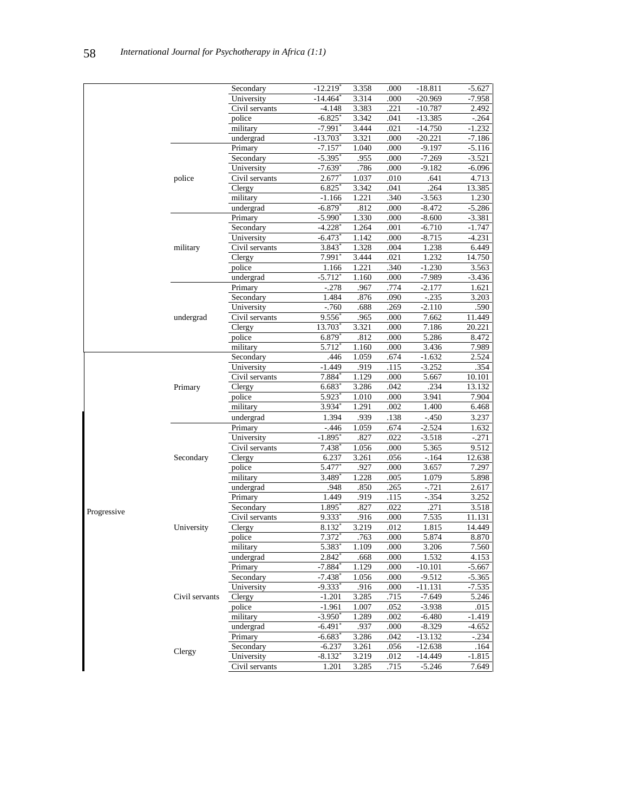|             |                | Secondary            | $-12.219*$             | 3.358 | .000 | $-18.811$ | $-5.627$ |
|-------------|----------------|----------------------|------------------------|-------|------|-----------|----------|
|             |                | University           | $-14.464$ <sup>*</sup> | 3.314 | .000 | $-20.969$ | $-7.958$ |
|             |                | Civil servants       | $-4.148$               | 3.383 | .221 | $-10.787$ | 2.492    |
|             |                | police               | $-6.825$               | 3.342 | .041 | $-13.385$ | $-.264$  |
|             |                | military             | $-7.991$ <sup>*</sup>  | 3.444 | .021 | $-14.750$ | $-1.232$ |
|             |                | undergrad            | $-13.703$ <sup>*</sup> | 3.321 | .000 | $-20.221$ | $-7.186$ |
|             |                | Primary              | $-7.157$               | 1.040 | .000 | $-9.197$  | $-5.116$ |
|             |                | Secondary            | -5.395°                | .955  | .000 | $-7.269$  | $-3.521$ |
|             |                | University           | -7.639*                | .786  | .000 | $-9.182$  | $-6.096$ |
|             | police         | Civil servants       | $2.677*$               | 1.037 | .010 | .641      | 4.713    |
|             |                | Clergy               | 6.825                  | 3.342 | .041 | .264      | 13.385   |
|             |                | military             | $-1.166$               | 1.221 | .340 | $-3.563$  | 1.230    |
|             |                | undergrad            | $-6.879*$              | .812  | .000 | $-8.472$  | $-5.286$ |
|             |                | Primary              | $-5.990$ <sup>*</sup>  | 1.330 | .000 |           |          |
|             |                |                      |                        |       |      | $-8.600$  | $-3.381$ |
|             |                | Secondary            | $-4.228$               | 1.264 | .001 | $-6.710$  | $-1.747$ |
|             |                | University           | $-6.473$               | 1.142 | .000 | $-8.715$  | $-4.231$ |
|             | military       | Civil servants       | 3.843                  | 1.328 | .004 | 1.238     | 6.449    |
|             |                | Clergy               | $7.991^{\ast}$         | 3.444 | .021 | 1.232     | 14.750   |
|             |                | police               | 1.166                  | 1.221 | .340 | $-1.230$  | 3.563    |
|             |                | undergrad            | $-5.712$ <sup>*</sup>  | 1.160 | .000 | $-7.989$  | $-3.436$ |
|             |                | Primary              | $-.278$                | .967  | .774 | $-2.177$  | 1.621    |
|             |                | Secondary            | 1.484                  | .876  | .090 | $-.235$   | 3.203    |
|             |                | University           | $-.760$                | .688  | .269 | $-2.110$  | .590     |
|             | undergrad      | Civil servants       | 9.556                  | .965  | .000 | 7.662     | 11.449   |
|             |                | Clergy               | 13.703                 | 3.321 | .000 | 7.186     | 20.221   |
|             |                | police               | $6.879*$               | .812  | .000 | 5.286     | 8.472    |
|             |                | military             | 5.712                  | 1.160 | .000 | 3.436     | 7.989    |
|             |                | Secondary            | .446                   | 1.059 | .674 | $-1.632$  | 2.524    |
|             |                | University           | $-1.449$               | .919  | .115 | $-3.252$  | .354     |
|             |                | Civil servants       | 7.884                  | 1.129 | .000 | 5.667     | 10.101   |
|             | Primary        | Clergy               | $6.683*$               | 3.286 | .042 | .234      | 13.132   |
|             |                | police               | 5.923                  | 1.010 | .000 | 3.941     | 7.904    |
|             |                | military             | 3.934                  | 1.291 | .002 | 1.400     | 6.468    |
|             |                | undergrad            | 1.394                  | .939  | .138 | $-.450$   | 3.237    |
|             |                |                      |                        | 1.059 | .674 |           |          |
|             |                | Primary              | $-446$                 | .827  | .022 | $-2.524$  | 1.632    |
|             |                | University           | $-1.895$               |       |      | $-3.518$  | $-.271$  |
|             |                | Civil servants       | $7.438*$               | 1.056 | .000 | 5.365     | 9.512    |
|             | Secondary      | Clergy               | 6.237                  | 3.261 | .056 | $-164$    | 12.638   |
|             |                | police               | 5.477                  | .927  | .000 | 3.657     | 7.297    |
|             |                | military             | $3.489*$               | 1.228 | .005 | 1.079     | 5.898    |
|             |                | undergrad            | .948                   | .850  | .265 | $-.721$   | 2.617    |
|             |                | Primary              | 1.449                  | .919  | .115 | $-.354$   | 3.252    |
| Progressive |                | Secondary            | 1.895                  | .827  | .022 | .271      | 3.518    |
|             |                | Civil servants       | 9.333*                 | .916  | .000 | 7.535     | 11.131   |
|             | University     | $\overline{C}$ lergy | 8.132                  | 3.219 | .012 | 1.815     | 14.449   |
|             |                | police               | 7.372*                 | .763  | .000 | 5.874     | 8.870    |
|             |                | military             | 5.383*                 | 1.109 | .000 | 3.206     | 7.560    |
|             |                | undergrad            | $2.842$ <sup>*</sup>   | .668  | .000 | 1.532     | 4.153    |
|             |                | Primary              | $-7.884*$              | 1.129 | .000 | $-10.101$ | $-5.667$ |
|             |                | Secondary            | $-7.438$ <sup>*</sup>  | 1.056 | .000 | $-9.512$  | $-5.365$ |
|             |                | University           | $-9.333*$              | .916  | .000 | $-11.131$ | $-7.535$ |
|             | Civil servants | Clergy               | $-1.201$               | 3.285 | .715 | $-7.649$  | 5.246    |
|             |                | police               | $-1.961$               | 1.007 | .052 | $-3.938$  | .015     |
|             |                | military             | $-3.950^*$             | 1.289 | .002 | $-6.480$  | $-1.419$ |
|             |                | undergrad            | $-6.491$ <sup>*</sup>  | .937  | .000 | $-8.329$  | $-4.652$ |
|             |                | Primary              | $-6.683*$              | 3.286 | .042 | $-13.132$ | $-.234$  |
|             |                | Secondary            | $-6.237$               | 3.261 | .056 | $-12.638$ | .164     |
|             | Clergy         | University           | -8.132*                | 3.219 | .012 | -14.449   | $-1.815$ |
|             |                | Civil servants       | 1.201                  | 3.285 |      | $-5.246$  | 7.649    |
|             |                |                      |                        |       | .715 |           |          |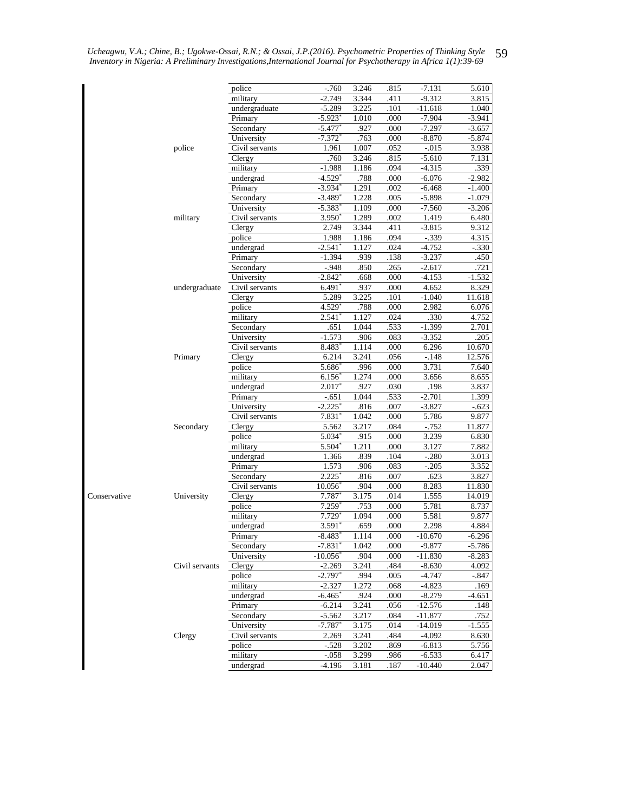|              |                | police                       | $-760$                         | 3.246         | .815         | $-7.131$             | 5.610             |
|--------------|----------------|------------------------------|--------------------------------|---------------|--------------|----------------------|-------------------|
|              |                | military                     | $-2.749$                       | 3.344         | .411         | $-9.312$             | 3.815             |
|              |                | undergraduate                | $-5.289$                       | 3.225         | .101         | $-11.618$            | 1.040             |
|              |                | Primary                      | $-5.923$ <sup>*</sup>          | 1.010         | .000         | $-7.904$             | $-3.941$          |
|              |                | Secondary                    | $-5.477$                       | .927          | .000         | $-7.297$             | $-3.657$          |
|              |                | University                   | $-7.372$ <sup>*</sup>          | .763          | .000         | $-8.870$             | $-5.874$          |
|              | police         | Civil servants               | 1.961                          | 1.007         | .052         | $-0.015$             | 3.938             |
|              |                | Clergy                       | .760                           | 3.246         | .815         | $-5.610$             | 7.131             |
|              |                | military<br>undergrad        | $-1.988$<br>$-4.529*$          | 1.186<br>.788 | .094<br>.000 | $-4.315$<br>$-6.076$ | .339<br>$-2.982$  |
|              |                | Primary                      | $-3.934$ <sup>*</sup>          | 1.291         | .002         | $-6.468$             | $-1.400$          |
|              |                | Secondary                    | $-3.489$ <sup>*</sup>          | 1.228         | .005         | $-5.898$             | $-1.079$          |
|              |                | University                   | $-5.383$                       | 1.109         | .000         | $-7.560$             | $-3.206$          |
|              | military       | Civil servants               | $3.950^*$                      | 1.289         | .002         | 1.419                | 6.480             |
|              |                | Clergy                       | 2.749                          | 3.344         | .411         | $-3.815$             | 9.312             |
|              |                | police                       | 1.988                          | 1.186         | .094         | $-.339$              | 4.315             |
|              |                | undergrad                    | $-2.541$ <sup>*</sup>          | 1.127         | .024         | $-4.752$             | $-330$            |
|              |                | Primary                      | $-1.394$                       | .939          | .138         | $-3.237$             | .450              |
|              |                | Secondary                    | $-.948$                        | .850          | .265         | $-2.617$             | .721              |
|              |                | University                   | -2.842*                        | .668          | .000         | $-4.153$             | $-1.532$          |
|              | undergraduate  | Civil servants               | $6.491^*$                      | .937          | .000         | 4.652                | 8.329             |
|              |                | Clergy                       | 5.289                          | 3.225         | .101         | $-1.040$             | 11.618            |
|              |                | police                       | $4.529*$                       | .788          | .000         | 2.982                | 6.076             |
|              |                | military                     | 2.541 $^{\circ}$               | 1.127         | .024         | .330                 | 4.752             |
|              |                | Secondary                    | .651                           | 1.044         | .533         | $-1.399$             | 2.701             |
|              |                | University<br>Civil servants | $-1.573$                       | .906<br>1.114 | .083         | $-3.352$             | .205              |
|              | Primary        |                              | 8.483<br>6.214                 |               | .000<br>.056 | 6.296                | 10.670<br>12.576  |
|              |                | Clergy<br>police             | $5.686^{\circ}$                | 3.241<br>.996 | .000         | $-.148$<br>3.731     | 7.640             |
|              |                | military                     | $6.156^*$                      | 1.274         | .000         | 3.656                | 8.655             |
|              |                | undergrad                    | $2.017*$                       | .927          | .030         | .198                 | 3.837             |
|              |                | Primary                      | $-.651$                        | 1.044         | .533         | $-2.701$             | 1.399             |
|              |                | University                   | $-2.225$                       | .816          | .007         | $-3.827$             | $-.623$           |
|              |                | Civil servants               | 7.831°                         | 1.042         | .000         | 5.786                | 9.877             |
|              | Secondary      | Clergy                       | 5.562                          | 3.217         | .084         | $-0.752$             | 11.877            |
|              |                | police                       | $5.034*$                       | .915          | .000         | 3.239                | 6.830             |
|              |                | military                     | $5.504*$                       | 1.211         | .000         | 3.127                | 7.882             |
|              |                | undergrad                    | 1.366                          | .839          | .104         | $-.280$              | 3.013             |
|              |                | Primary                      | 1.573                          | .906          | .083         | $-.205$              | 3.352             |
|              |                | Secondary                    | $2.225*$                       | .816          | .007         | .623                 | 3.827             |
|              |                | Civil servants               | $10.056^*$                     | .904          | .000         | 8.283                | 11.830            |
| Conservative | University     | Clergy                       | 7.787                          | 3.175         | .014         | 1.555                | 14.019            |
|              |                | police                       | $7.259$ <sup>*</sup>           | .753          | .000         | 5.781                | 8.737             |
|              |                | military                     | $7.729*$                       | 1.094         | .000         | 5.581                | 9.877             |
|              |                | undergrad<br>Primary         | 3.591<br>$-8.483$ <sup>*</sup> | .659<br>1.114 | .000<br>.000 | 2.298<br>$-10.670$   | 4.884<br>$-6.296$ |
|              |                | Secondary                    | $-7.831$                       | 1.042         | .000         | $-9.877$             | $-5.786$          |
|              |                | University                   | $-10.056$ <sup>*</sup>         | .904          | .000         | $-11.830$            | $-8.283$          |
|              | Civil servants | Clergy                       | $-2.269$                       | 3.241         | .484         | $-8.630$             | 4.092             |
|              |                | police                       | $-2.797*$                      | .994          | .005         | $-4.747$             | -.847             |
|              |                | military                     | $-2.327$                       | 1.272         | .068         | $-4.823$             | .169              |
|              |                | undergrad                    | $-6.465$                       | .924          | .000         | $-8.279$             | $-4.651$          |
|              |                | Primary                      | $-6.214$                       | 3.241         | .056         | $-12.576$            | .148              |
|              |                | Secondary                    | $-5.562$                       | 3.217         | .084         | $-11.877$            | .752              |
|              |                | University                   | -7.787*                        | 3.175         | .014         | $-14.019$            | $-1.555$          |
|              | Clergy         | Civil servants               | 2.269                          | 3.241         | .484         | $-4.092$             | 8.630             |
|              |                | police                       | $-.528$                        | 3.202         | .869         | $-6.813$             | 5.756             |
|              |                | military                     | $-.058$                        | 3.299         | .986         | $-6.533$             | 6.417             |
|              |                | undergrad                    | -4.196                         | 3.181         | .187         | $-10.440$            | 2.047             |

*Ucheagwu, V.A.; Chine, B.; Ugokwe-Ossai, R.N.; & Ossai, J.P.(2016). Psychometric Properties of Thinking Style Inventory in Nigeria: A Preliminary Investigations,International Journal for Psychotherapy in Africa 1(1):39-69* 59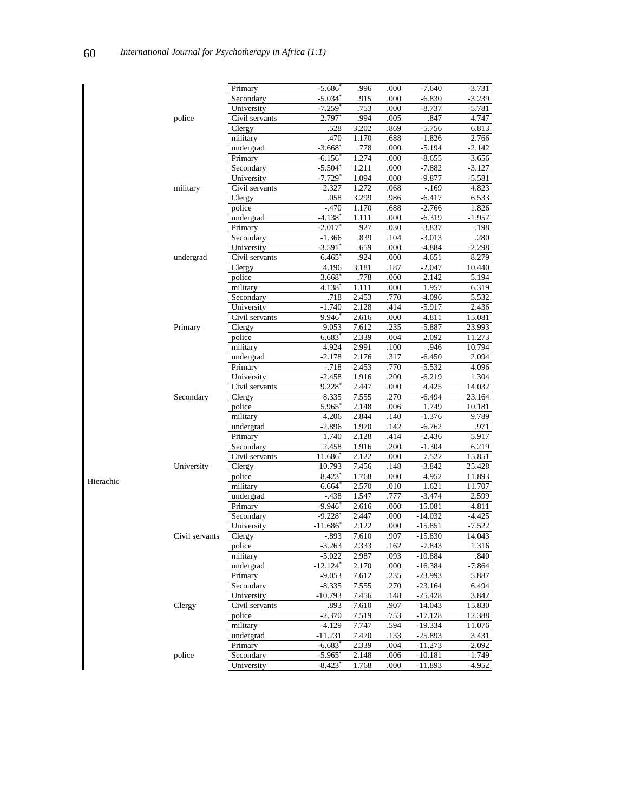|           |                | Primary        | $-5.686$ <sup>*</sup>  | .996  | .000 | $-7.640$           | $-3.731$ |
|-----------|----------------|----------------|------------------------|-------|------|--------------------|----------|
|           |                | Secondary      | $-5.034$               | .915  | .000 | $-6.830$           | $-3.239$ |
|           |                | University     | $-7.259*$              | .753  | .000 | $-8.737$           | $-5.781$ |
|           | police         | Civil servants | 2.797                  | .994  | .005 | .847               | 4.747    |
|           |                | Clergy         | .528                   | 3.202 | .869 | $-5.756$           | 6.813    |
|           |                | military       | .470                   | 1.170 | .688 | $-1.826$           | 2.766    |
|           |                | undergrad      | $-3.668$ <sup>*</sup>  | .778  | .000 | $-5.194$           | $-2.142$ |
|           |                | Primary        | $-6.156$ <sup>*</sup>  | 1.274 | .000 | $-8.655$           | $-3.656$ |
|           |                | Secondary      | $-5.504$ <sup>*</sup>  | 1.211 | .000 | $-7.882$           | $-3.127$ |
|           |                | University     | $-7.729$ <sup>*</sup>  | 1.094 | .000 | $-9.877$           | $-5.581$ |
|           | military       | Civil servants | 2.327                  | 1.272 | .068 | $-169$             | 4.823    |
|           |                | Clergy         | .058                   | 3.299 | .986 | $-6.417$           | 6.533    |
|           |                | police         | $-.470$                | 1.170 | .688 | $-2.766$           | 1.826    |
|           |                | undergrad      | $-4.138$ <sup>*</sup>  | 1.111 | .000 | $-6.319$           | $-1.957$ |
|           |                | Primary        | $-2.017$ <sup>*</sup>  | .927  | .030 | $-3.837$           | $-198$   |
|           |                | Secondary      | $-1.366$               | .839  | .104 | $-3.013$           | .280     |
|           |                |                | $-3.591$ <sup>*</sup>  | .659  | .000 | $-4.884$           | $-2.298$ |
|           |                | University     |                        |       |      |                    |          |
|           | undergrad      | Civil servants | $6.465^{\circ}$        | .924  | .000 | 4.651              | 8.279    |
|           |                | Clergy         | 4.196                  | 3.181 | .187 | $-2.047$           | 10.440   |
|           |                | police         | $3.668^*$              | .778  | .000 | 2.142              | 5.194    |
|           |                | military       | $4.138*$               | 1.111 | .000 | 1.957              | 6.319    |
|           |                | Secondary      | .718                   | 2.453 | .770 | $-4.096$           | 5.532    |
|           |                | University     | $-1.740$               | 2.128 | .414 | $-5.917$           | 2.436    |
|           |                | Civil servants | $9.946^{\circ}$        | 2.616 | .000 | 4.811              | 15.081   |
|           | Primary        | Clergy         | 9.053                  | 7.612 | .235 | $-5.887$           | 23.993   |
|           |                | police         | $6.683*$               | 2.339 | .004 | 2.092              | 11.273   |
|           |                | military       | 4.924                  | 2.991 | .100 | $-.946$            | 10.794   |
|           |                | undergrad      | $-2.178$               | 2.176 | .317 | $-6.450$           | 2.094    |
|           |                | Primary        | $-.718$                | 2.453 | .770 | $-5.532$           | 4.096    |
|           |                | University     | $-2.458$               | 1.916 | .200 | $-6.219$           | 1.304    |
|           |                | Civil servants | $9.228*$               | 2.447 | .000 | 4.425              | 14.032   |
|           | Secondary      | Clergy         | 8.335                  | 7.555 | .270 | -6.494             | 23.164   |
|           |                | police         | 5.965                  | 2.148 | .006 | $\overline{1.749}$ | 10.181   |
|           |                | military       | 4.206                  | 2.844 | .140 | $-1.376$           | 9.789    |
|           |                | undergrad      | $-2.896$               | 1.970 | .142 | $-6.762$           | .971     |
|           |                | Primary        | 1.740                  | 2.128 | .414 | $-2.436$           | 5.917    |
|           |                | Secondary      | 2.458                  | 1.916 | .200 | $-1.304$           | 6.219    |
|           |                | Civil servants | 11.686                 | 2.122 | .000 | 7.522              | 15.851   |
|           | University     | Clergy         | 10.793                 | 7.456 | .148 | $-3.842$           | 25.428   |
|           |                | police         | 8.423                  | 1.768 | .000 | 4.952              | 11.893   |
| Hierachic |                | military       | $6.664*$               | 2.570 | .010 | 1.621              | 11.707   |
|           |                | undergrad      | $-.438$                | 1.547 | .777 | $-3.474$           | 2.599    |
|           |                | Primary        | $-9.946^*$             | 2.616 | .000 | $-15.081$          | $-4.811$ |
|           |                | Secondary      | $-9.228$ <sup>*</sup>  | 2.447 | .000 | $-14.032$          | -4.425   |
|           |                | University     | $-11.686^{\circ}$      | 2.122 | .000 | $-15.851$          | $-7.522$ |
|           | Civil servants | Clergy         | $-.893$                | 7.610 | .907 | $-15.830$          | 14.043   |
|           |                | police         | $-3.263$               | 2.333 | .162 | $-7.843$           | 1.316    |
|           |                | military       | $-5.022$               | 2.987 | .093 | $-10.884$          | .840     |
|           |                | undergrad      | $-12.124$ <sup>*</sup> | 2.170 | .000 | $-16.384$          | $-7.864$ |
|           |                | Primary        | $-9.053$               | 7.612 | .235 | $-23.993$          | 5.887    |
|           |                | Secondary      |                        | 7.555 | .270 | $-23.164$          |          |
|           |                |                | $-8.335$               |       |      |                    | 6.494    |
|           |                | University     | $-10.793$              | 7.456 | .148 | $-25.428$          | 3.842    |
|           | Clergy         | Civil servants | .893                   | 7.610 | .907 | $-14.043$          | 15.830   |
|           |                | police         | $-2.370$               | 7.519 | .753 | $-17.128$          | 12.388   |
|           |                | military       | $-4.129$               | 7.747 | .594 | $-19.334$          | 11.076   |
|           |                | undergrad      | -11.231                | 7.470 | .133 | $-25.893$          | 3.431    |
|           |                | Primary        | $-6.683$ <sup>*</sup>  | 2.339 | .004 | $-11.273$          | $-2.092$ |
|           | police         | Secondary      | $-5.965$ <sup>*</sup>  | 2.148 | .006 | $-10.181$          | $-1.749$ |
|           |                | University     | $-8.423$ <sup>*</sup>  | 1.768 | .000 | $-11.893$          | $-4.952$ |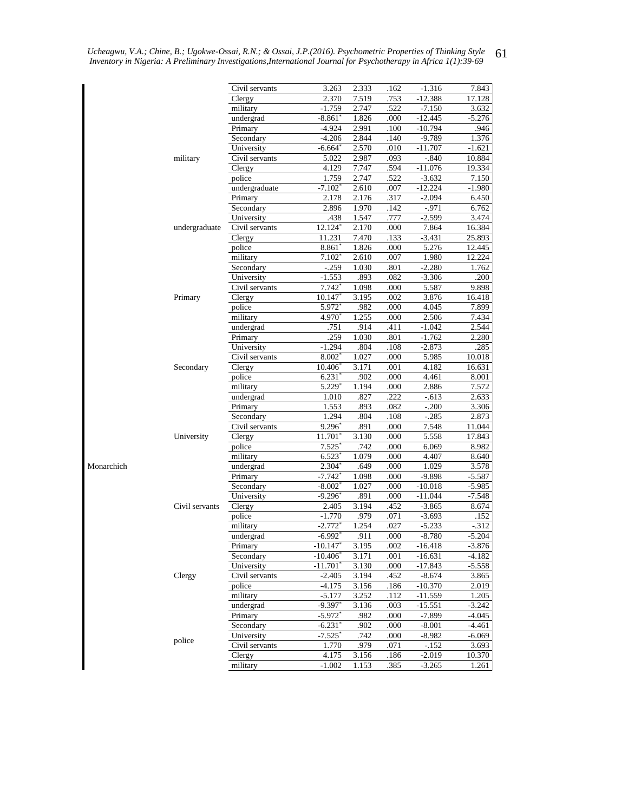|            |                | Civil servants                         | 3.263                             | 2.333          | .162         | $-1.316$              | 7.843              |
|------------|----------------|----------------------------------------|-----------------------------------|----------------|--------------|-----------------------|--------------------|
|            |                | Clergy                                 | 2.370                             | 7.519          | .753         | $-12.388$             | 17.128             |
|            |                | military                               | $-1.759$                          | 2.747          | .522         | $-7.150$              | 3.632              |
|            |                | undergrad                              | $-8.861$ $^*$                     | 1.826          | .000         | $-12.445$             | $-5.276$           |
|            |                | Primary                                | $-4.924$                          | 2.991          | .100         | $-10.794$             | .946               |
|            |                | Secondary                              | $-4.206$                          | 2.844          | .140         | $-9.789$              | 1.376              |
|            |                | University                             | $-6.664$                          | 2.570          | .010         | $-11.707$             | $-1.621$           |
|            | military       | Civil servants                         | 5.022                             | 2.987          | .093         | $-.840$               | 10.884             |
|            |                | Clergy<br>police                       | 4.129                             | 7.747<br>2.747 | .594         | $-11.076$             | 19.334             |
|            |                | undergraduate                          | 1.759<br>$-7.102$ <sup>*</sup>    | 2.610          | .522<br>.007 | $-3.632$<br>$-12.224$ | 7.150<br>$-1.980$  |
|            |                | Primary                                | 2.178                             | 2.176          | .317         | $-2.094$              | 6.450              |
|            |                | Secondary                              | 2.896                             | 1.970          | .142         | $-971$                | 6.762              |
|            |                | University                             | .438                              | 1.547          | .777         | $-2.599$              | 3.474              |
|            | undergraduate  | Civil servants                         | 12.124*                           | 2.170          | .000         | 7.864                 | 16.384             |
|            |                | Clergy                                 | 11.231                            | 7.470          | .133         | $-3.431$              | 25.893             |
|            |                | police                                 | $8.861$ <sup>*</sup>              | 1.826          | .000         | 5.276                 | 12.445             |
|            |                | military                               | $7.102^*$                         | 2.610          | .007         | 1.980                 | 12.224             |
|            |                | Secondary                              | $-.259$                           | 1.030          | .801         | $-2.280$              | 1.762              |
|            |                | University                             | $-1.553$                          | .893           | .082         | $-3.306$              | .200               |
|            |                | Civil servants                         | 7.742                             | 1.098          | .000         | 5.587                 | 9.898              |
|            | Primary        | Clergy                                 | 10.147                            | 3.195          | .002         | 3.876                 | 16.418             |
|            |                | police                                 | 5.972                             | .982           | .000         | 4.045                 | 7.899              |
|            |                | military                               | 4.970                             | 1.255          | .000         | 2.506                 | 7.434              |
|            |                | undergrad                              | .751                              | .914           | .411         | $-1.042$              | 2.544              |
|            |                | Primary                                | .259                              | 1.030          | .801         | $-1.762$              | 2.280              |
|            |                | University                             | $-1.294$                          | 804            | .108         | $-2.873$              | 285                |
|            | Secondary      | Civil servants<br>$\overline{C}$ lergy | $8.002*$<br>10.406                | 1.027<br>3.171 | .000<br>.001 | 5.985<br>4.182        | 10.018<br>16.631   |
|            |                | police                                 | $6.231*$                          | .902           | .000         | 4.461                 | 8.001              |
|            |                | military                               | $5.229*$                          | 1.194          | .000         | 2.886                 | 7.572              |
|            |                | undergrad                              | 1.010                             | .827           | .222         | $-.613$               | 2.633              |
|            |                | Primary                                | 1.553                             | .893           | .082         | $-.200$               | 3.306              |
|            |                | Secondary                              | 1.294                             | .804           | .108         | $-.285$               | 2.873              |
|            |                | Civil servants                         | $9.296*$                          | .891           | .000         | 7.548                 | 11.044             |
|            | University     | Clergy                                 | 11.701                            | 3.130          | .000         | 5.558                 | 17.843             |
|            |                | police                                 | 7.525                             | .742           | .000         | 6.069                 | 8.982              |
|            |                | military                               | $6.523*$                          | 1.079          | .000         | 4.407                 | 8.640              |
| Monarchich |                | undergrad                              | $2.304*$                          | 649            | .000         | 1.029                 | 3.578              |
|            |                | Primary                                | $-7.742$ <sup>*</sup>             | 1.098          | .000         | $-9.898$              | $-5.587$           |
|            |                | Secondary                              | $-8.002$ <sup>*</sup>             | 1.027          | .000         | $-10.018$             | $-5.985$           |
|            |                | University                             | $-9.296$                          | .891           | .000         | $-11.044$             | $-7.548$           |
|            | Civil servants | Clergy                                 | 2.405                             | 3.194          | .452         | $-3.865$              | 8.674              |
|            |                | police                                 | $-1.770$                          | .979           | .071         | $-3.693$              | .152               |
|            |                | military<br>undergrad                  | $-2.772$ <sup>*</sup><br>$-6.992$ | 1.254<br>.911  | .027<br>.000 | $-5.233$<br>$-8.780$  | $-312$<br>$-5.204$ |
|            |                | Primary                                | $-10.147$                         | 3.195          | .002         | $-16.418$             | $-3.876$           |
|            |                | Secondary                              | $-10.406^*$                       | 3.171          | .001         | $-16.631$             | $-4.182$           |
|            |                | University                             | $-11.701*$                        | 3.130          | .000         | $-17.843$             | $-5.558$           |
|            | Clergy         | Civil servants                         | $-2.405$                          | 3.194          | .452         | $-8.674$              | 3.865              |
|            |                | police                                 | $-4.175$                          | 3.156          | .186         | $-10.370$             | 2.019              |
|            |                | military                               | $-5.177$                          | 3.252          | .112         | $-11.559$             | 1.205              |
|            |                | undergrad                              | $-9.397$ <sup>*</sup>             | 3.136          | .003         | $-15.551$             | $-3.242$           |
|            |                | Primary                                | $-5.972$ <sup>*</sup>             | .982           | .000         | $-7.899$              | -4.045             |
|            |                | Secondary                              | $-6.231$ <sup>*</sup>             | .902           | .000         | $-8.001$              | -4.461             |
|            | police         | University                             | $-7.525$ <sup>*</sup>             | .742           | .000         | -8.982                | $-6.069$           |
|            |                | Civil servants                         | 1.770                             | .979           | .071         | $-.152$               | 3.693              |
|            |                | Clergy                                 | 4.175                             | 3.156          | .186         | $-2.019$              | 10.370             |
|            |                | military                               | $-1.002$                          | 1.153          | .385         | $-3.265$              | 1.261              |

*Ucheagwu, V.A.; Chine, B.; Ugokwe-Ossai, R.N.; & Ossai, J.P.(2016). Psychometric Properties of Thinking Style Inventory in Nigeria: A Preliminary Investigations,International Journal for Psychotherapy in Africa 1(1):39-69* 61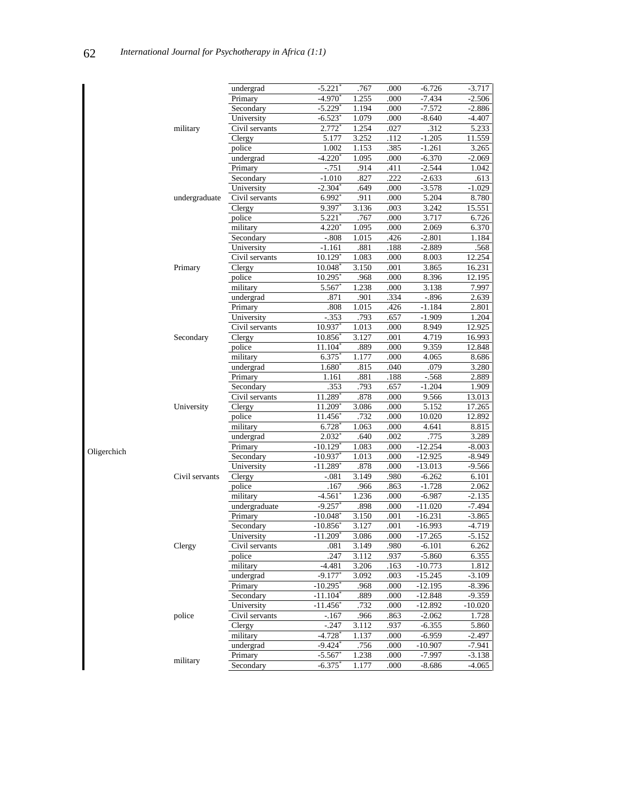|             |                | undergrad      | $-5.221$               | .767  | .000 | $-6.726$  | $-3.717$  |
|-------------|----------------|----------------|------------------------|-------|------|-----------|-----------|
|             |                | Primary        | $-4.970$ <sup>*</sup>  | 1.255 | .000 | $-7.434$  | $-2.506$  |
|             |                | Secondary      | $-5.229$ <sup>*</sup>  | 1.194 | .000 | $-7.572$  | $-2.886$  |
|             |                | University     | $-6.523*$              | 1.079 | .000 | $-8.640$  | -4.407    |
|             | military       | Civil servants | 2.772                  | 1.254 | .027 | .312      | 5.233     |
|             |                | Clergy         | 5.177                  | 3.252 | .112 | $-1.205$  | 11.559    |
|             |                | police         | 1.002                  | 1.153 | .385 | $-1.261$  | 3.265     |
|             |                | undergrad      | $-4.220*$              | 1.095 | .000 | $-6.370$  | $-2.069$  |
|             |                | Primary        | $-751$                 | .914  | .411 | $-2.544$  | 1.042     |
|             |                | Secondary      | $-1.010$               | .827  | .222 | $-2.633$  | .613      |
|             |                | University     | $-2.304^*$             | .649  | .000 | $-3.578$  | $-1.029$  |
|             | undergraduate  | Civil servants | $6.992*$               | .911  | .000 | 5.204     | 8.780     |
|             |                | Clergy         | 9.397                  | 3.136 | .003 | 3.242     | 15.551    |
|             |                | police         | 5.221                  | .767  | .000 | 3.717     | 6.726     |
|             |                | military       | $4.220*$               | 1.095 | .000 | 2.069     | 6.370     |
|             |                | Secondary      | $-.808$                | 1.015 | .426 | $-2.801$  | 1.184     |
|             |                | University     | $-1.161$               | .881  | .188 | $-2.889$  | .568      |
|             |                |                | $10.129$ <sup>*</sup>  |       |      |           |           |
|             |                | Civil servants |                        | 1.083 | .000 | 8.003     | 12.254    |
|             | Primary        | Clergy         | $10.048*$              | 3.150 | .001 | 3.865     | 16.231    |
|             |                | police         | 10.295                 | .968  | .000 | 8.396     | 12.195    |
|             |                | military       | 5.567*                 | 1.238 | .000 | 3.138     | 7.997     |
|             |                | undergrad      | .871                   | .901  | .334 | $-896$    | 2.639     |
|             | Secondary      | Primary        | .808                   | 1.015 | .426 | $-1.184$  | 2.801     |
|             |                | University     | $-.353$                | .793  | .657 | $-1.909$  | 1.204     |
|             |                | Civil servants | 10.937                 | 1.013 | .000 | 8.949     | 12.925    |
|             |                | Clergy         | $10.856^*$             | 3.127 | .001 | 4.719     | 16.993    |
|             |                | police         | 11.104 $*$             | .889  | .000 | 9.359     | 12.848    |
|             |                | military       | 6.375                  | 1.177 | .000 | 4.065     | 8.686     |
|             |                | undergrad      | $1.680*$               | .815  | .040 | .079      | 3.280     |
|             |                | Primary        | 1.161                  | .881  | .188 | $-.568$   | 2.889     |
|             |                | Secondary      | .353                   | .793  | .657 | $-1.204$  | 1.909     |
|             |                | Civil servants | 11.289*                | .878  | .000 | 9.566     | 13.013    |
|             | University     | Clergy         | 11.209 <sup>*</sup>    | 3.086 | .000 | 5.152     | 17.265    |
|             |                | police         | 11.456                 | .732  | .000 | 10.020    | 12.892    |
|             |                | military       | 6.728                  | 1.063 | .000 | 4.641     | 8.815     |
|             |                | undergrad      | 2.032                  | .640  | .002 | .775      | 3.289     |
| Oligerchich |                | Primary        | $-10.129$ <sup>*</sup> | 1.083 | .000 | $-12.254$ | $-8.003$  |
|             |                | Secondary      | $-10.937$ <sup>*</sup> | 1.013 | .000 | $-12.925$ | $-8.949$  |
|             |                | University     | $-11.289$ <sup>*</sup> | .878  | .000 | $-13.013$ | $-9.566$  |
|             | Civil servants | Clergy         | $-.081$                | 3.149 | .980 | $-6.262$  | 6.101     |
|             |                | police         | .167                   | .966  | .863 | $-1.728$  | 2.062     |
|             |                | military       | $-4.561$ <sup>*</sup>  | 1.236 | .000 | $-6.987$  | $-2.135$  |
|             |                | undergraduate  | $-9.257$ <sup>*</sup>  | .898  | .000 | $-11.020$ | $-7.494$  |
|             |                | Primary        | $-10.048$ <sup>*</sup> | 3.150 | .001 | $-16.231$ | $-3.865$  |
|             |                | Secondary      | $-10.856^{\circ}$      | 3.127 | .001 | -16.993   | $-4.719$  |
|             |                | University     | $-11.209$ <sup>*</sup> | 3.086 | .000 | $-17.265$ | $-5.152$  |
|             | Clergy         | Civil servants | .081                   | 3.149 | .980 | $-6.101$  | 6.262     |
|             |                | police         | .247                   | 3.112 | .937 | $-5.860$  | 6.355     |
|             |                | military       | $-4.481$               | 3.206 | .163 | $-10.773$ | 1.812     |
|             |                | undergrad      | $-9.177$ <sup>*</sup>  | 3.092 | .003 | $-15.245$ | $-3.109$  |
|             |                | Primary        | $-10.295$ *            | .968  | .000 | $-12.195$ | $-8.396$  |
|             | police         | Secondary      | $-11.104*$             | .889  | .000 | $-12.848$ | $-9.359$  |
|             |                | University     | $-11.456$ <sup>*</sup> | .732  | .000 | $-12.892$ | $-10.020$ |
|             |                | Civil servants | $-167$                 | .966  | .863 | $-2.062$  | 1.728     |
|             |                | Clergy         | $-.247$                | 3.112 | .937 | $-6.355$  | 5.860     |
|             |                | military       | $-4.728$ <sup>*</sup>  | 1.137 | .000 | $-6.959$  | $-2.497$  |
|             |                | undergrad      | $-9.424$ <sup>*</sup>  | .756  | .000 | $-10.907$ | $-7.941$  |
|             |                | Primary        | $-5.567$               | 1.238 | .000 | $-7.997$  | $-3.138$  |
|             | military       | Secondary      | $-6.375$ <sup>*</sup>  | 1.177 | .000 | $-8.686$  | $-4.065$  |
|             |                |                |                        |       |      |           |           |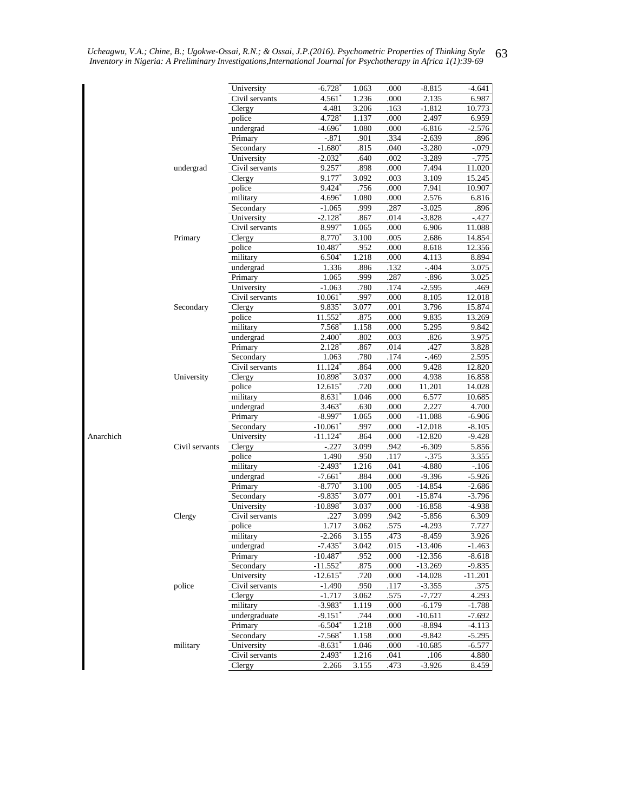|           |                | University                  | $-6.728$ <sup>*</sup>  | 1.063        | .000         | $-8.815$       | -4.641         |
|-----------|----------------|-----------------------------|------------------------|--------------|--------------|----------------|----------------|
|           |                | Civil servants              | 4.561                  | 1.236        | .000         | 2.135          | 6.987          |
|           |                | Clergy                      | 4.481                  | 3.206        | .163         | $-1.812$       | 10.773         |
|           |                | police                      | 4.728                  | 1.137        | .000         | 2.497          | 6.959          |
|           |                | undergrad                   | -4.696°                | 1.080        | .000         | $-6.816$       | $-2.576$       |
|           |                | Primary                     | $-.871$                | .901         | .334         | $-2.639$       | .896           |
|           |                | Secondary                   | $-1.680^*$             | .815         | .040         | $-3.280$       | $-.079$        |
|           |                | University                  | $-2.032$ <sup>*</sup>  | .640         | .002         | $-3.289$       | $-0.775$       |
|           | undergrad      | Civil servants              | 9.257                  | .898         | .000         | 7.494          | 11.020         |
|           |                | Clergy                      | 9.177                  | 3.092        | .003         | 3.109          | 15.245         |
|           |                | police                      | 9.424                  | .756         | .000         | 7.941          | 10.907         |
|           |                | military                    | 4.696                  | 1.080        | .000         | 2.576          | 6.816          |
|           |                | Secondary                   | $-1.065$               | .999         | .287         | $-3.025$       | .896           |
|           |                | University                  | -2.128°                | .867         | .014         | $-3.828$       | $-.427$        |
|           |                | Civil servants              | 8.997                  | 1.065        | .000         | 6.906          | 11.088         |
|           | Primary        | Clergy                      | 8.770                  | 3.100        | .005         | 2.686          | 14.854         |
|           |                | police                      | 10.487                 | .952         | .000         | 8.618          | 12.356         |
|           |                | military                    | $6.504*$               | 1.218        | .000         | 4.113          | 8.894          |
|           |                | undergrad                   | 1.336                  | .886         | .132         | $-.404$        | 3.075          |
|           |                | Primary                     | 1.065                  | .999         | .287         | $-.896$        | 3.025          |
|           |                | University                  | $-1.063$               | .780         | .174         | $-2.595$       | .469           |
|           |                | Civil servants              | $10.061^*$             | .997         | .000         | 8.105          | 12.018         |
|           | Secondary      | <b>Clergy</b>               | 9.835                  | 3.077        | .001         | 3.796          | 15.874         |
|           |                | police                      | 11.552                 | .875         | .000         | 9.835          | 13.269         |
|           |                | military                    | $7.568^{\circ}$        | 1.158        | .000         | 5.295          | 9.842          |
|           |                |                             | $2.400^*$              | .802         | .003         | .826           | 3.975          |
|           |                | undergrad                   |                        |              |              |                |                |
|           |                | Primary                     | 2.128                  | .867<br>.780 | .014<br>.174 | .427<br>$-469$ | 3.828<br>2.595 |
|           |                | Secondary<br>Civil servants | 1.063<br>11.124        | .864         | .000         | 9.428          | 12.820         |
|           |                |                             |                        |              |              |                |                |
|           | University     | Clergy                      | 10.898                 | 3.037        | .000         | 4.938          | 16.858         |
|           |                | police                      | 12.615                 | .720         | .000         | 11.201         | 14.028         |
|           |                | military                    | 8.631                  | 1.046        | .000         | 6.577          | 10.685         |
|           |                | undergrad                   | $3.463^{\circ}$        | .630         | .000         | 2.227          | 4.700          |
|           |                | Primary                     | $-8.997$               | 1.065        | .000         | $-11.088$      | $-6.906$       |
|           |                | Secondary                   | $-10.061$              | .997         | .000         | $-12.018$      | -8.105         |
| Anarchich |                | University                  | $-11.124$              | .864         | .000         | $-12.820$      | $-9.428$       |
|           | Civil servants | Clergy                      | $-.227$                | 3.099        | .942         | $-6.309$       | 5.856          |
|           |                | police                      | 1.490                  | .950         | .117         | $-375$         | 3.355          |
|           |                | military                    | $-2.493$ <sup>*</sup>  | 1.216        | .041         | $-4.880$       | $-.106$        |
|           |                | undergrad                   | $-7.661$               | .884         | .000         | $-9.396$       | $-5.926$       |
|           |                | Primary                     | $-8.770^{*}$           | 3.100        | .005         | $-14.854$      | $-2.686$       |
|           |                | Secondary                   | $-9.835$ <sup>*</sup>  | 3.077        | .001         | $-15.874$      | $-3.796$       |
|           |                | University                  | $-10.898$ <sup>*</sup> | 3.037        | .000         | $-16.858$      | -4.938         |
|           | Clergy         | Civil servants              | .227                   | 3.099        | .942         | $-5.856$       | 6.309          |
|           |                | police                      | 1.717                  | 3.062        | .575         | $-4.293$       | 7.727          |
|           |                | military                    | $-2.266$               | 3.155        | .473         | $-8.459$       | 3.926          |
|           |                | undergrad                   | $-7.435$               | 3.042        | .015         | $-13.406$      | $-1.463$       |
|           |                | Primary                     | $-10.487$ <sup>*</sup> | .952         | .000         | $-12.356$      | $-8.618$       |
|           |                | Secondary                   | $-11.552$ <sup>*</sup> | .875         | .000         | $-13.269$      | -9.835         |
|           |                | University                  | $-12.615$ <sup>*</sup> | .720         | .000         | -14.028        | $-11.201$      |
|           | police         | Civil servants              | $-1.490$               | .950         | .117         | $-3.355$       | .375           |
|           |                | Clergy                      | $-1.717$               | 3.062        | .575         | $-7.727$       | 4.293          |
|           |                | military                    | -3.983*                | 1.119        | .000         | $-6.179$       | $-1.788$       |
|           |                | undergraduate               | -9.151"                | .744         | .000         | -10.611        | $-7.692$       |
|           |                | Primary                     | -6.504*                | 1.218        | .000         | $-8.894$       | $-4.113$       |
|           |                | Secondary                   | $-7.568$ <sup>*</sup>  | 1.158        | .000         | $-9.842$       | $-5.295$       |
|           | military       | University                  | $-8.631'$              | 1.046        | .000         | -10.685        | -6.577         |
|           |                | Civil servants              | $2.493*$               | 1.216        | .041         | .106           | 4.880          |
|           |                |                             | 2.266                  | 3.155        | .473         | $-3.926$       | 8.459          |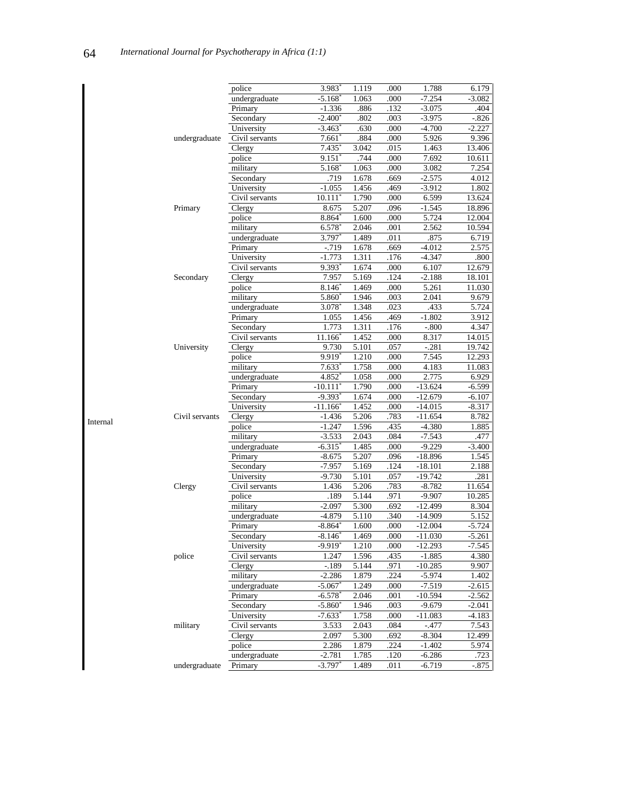|          |                | police         | $3.983$ <sup>*</sup>   | 1.119 | .000 | 1.788     | 6.179    |
|----------|----------------|----------------|------------------------|-------|------|-----------|----------|
|          |                | undergraduate  | $-5.168$ <sup>*</sup>  | 1.063 | .000 | $-7.254$  | $-3.082$ |
|          |                | Primary        | $-1.336$               | .886  | .132 | $-3.075$  | .404     |
|          |                | Secondary      | $-2.400*$              | .802  | .003 | $-3.975$  | $-.826$  |
|          |                | University     | $-3.463$               | .630  | .000 | $-4.700$  | $-2.227$ |
|          | undergraduate  | Civil servants | $7.661*$               | .884  | .000 | 5.926     | 9.396    |
|          |                | Clergy         | 7.435                  | 3.042 | .015 | 1.463     | 13.406   |
|          |                | police         | $9.151*$               | .744  | .000 | 7.692     | 10.611   |
|          |                | military       | $5.168$ <sup>*</sup>   | 1.063 | .000 | 3.082     | 7.254    |
|          |                | Secondary      | .719                   | 1.678 | .669 | $-2.575$  | 4.012    |
|          | Primary        | University     | $-1.055$               | 1.456 | .469 | $-3.912$  | 1.802    |
|          |                | Civil servants | $10.111$ <sup>*</sup>  | 1.790 | .000 | 6.599     | 13.624   |
|          |                | Clergy         | 8.675                  | 5.207 | .096 | $-1.545$  | 18.896   |
|          |                | police         | 8.864*                 | 1.600 | .000 | 5.724     | 12.004   |
|          |                | military       | 6.578                  | 2.046 | .001 | 2.562     | 10.594   |
|          |                | undergraduate  | 3.797*                 | 1.489 | .011 | .875      | 6.719    |
|          |                | Primary        | $-0.719$               | 1.678 | .669 | $-4.012$  | 2.575    |
|          |                | University     | $-1.773$               | 1.311 | .176 | $-4.347$  | .800     |
|          |                | Civil servants | $9.393*$               | 1.674 | .000 | 6.107     | 12.679   |
|          | Secondary      | Clergy         | 7.957                  | 5.169 | .124 | $-2.188$  | 18.101   |
|          |                | police         | $8.146*$               | 1.469 | .000 | 5.261     | 11.030   |
|          |                | military       | 5.860                  | 1.946 | .003 | 2.041     | 9.679    |
|          |                | undergraduate  | $3.078^{\circ}$        | 1.348 | .023 | .433      | 5.724    |
|          |                | Primary        | 1.055                  | 1.456 | .469 | $-1.802$  | 3.912    |
|          |                | Secondary      | 1.773                  | 1.311 | .176 | $-.800$   | 4.347    |
|          |                | Civil servants | 11.166                 | 1.452 | .000 | 8.317     | 14.015   |
|          | University     | Clergy         | 9.730                  | 5.101 | .057 | $-.281$   | 19.742   |
|          |                | police         | $9.919*$               | 1.210 | .000 | 7.545     | 12.293   |
|          |                | military       | $7.633*$               | 1.758 | .000 | 4.183     | 11.083   |
|          |                | undergraduate  | 4.852                  | 1.058 | .000 | 2.775     | 6.929    |
|          |                | Primary        | $-10.111$              | 1.790 | .000 | $-13.624$ | $-6.599$ |
|          |                | Secondary      | $-9.393$ <sup>*</sup>  | 1.674 | .000 | $-12.679$ | $-6.107$ |
|          |                | University     | $-11.166$ <sup>*</sup> | 1.452 | .000 | $-14.015$ | $-8.317$ |
|          | Civil servants | Clergy         | $-1.436$               | 5.206 | .783 | $-11.654$ | 8.782    |
| Internal |                | police         | $-1.247$               | 1.596 | .435 | $-4.380$  | 1.885    |
|          |                | military       | $-3.533$               | 2.043 | .084 | $-7.543$  | .477     |
|          |                | undergraduate  | $-6.315*$              | 1.485 | .000 | $-9.229$  | $-3.400$ |
|          |                | Primary        | $-8.675$               | 5.207 | .096 | $-18.896$ | 1.545    |
|          | Clergy         | Secondary      | $-7.957$               | 5.169 | .124 | $-18.101$ | 2.188    |
|          |                | University     | $-9.730$               | 5.101 | .057 | $-19.742$ | .281     |
|          |                | Civil servants | 1.436                  | 5.206 | .783 | $-8.782$  | 11.654   |
|          |                | police         | .189                   | 5.144 | .971 | $-9.907$  | 10.285   |
|          |                | military       | $-2.097$               | 5.300 | .692 | $-12.499$ | 8.304    |
|          |                | undergraduate  | $-4.879$               | 5.110 | .340 | $-14.909$ | 5.152    |
|          | police         | Primary        | $-8.864*$              | 1.600 | .000 | $-12.004$ | $-5.724$ |
|          |                | Secondary      | -8.146*                | 1.469 | .000 | $-11.030$ | $-5.261$ |
|          |                | University     | $-9.919$ <sup>*</sup>  | 1.210 | .000 | $-12.293$ | $-7.545$ |
|          |                | Civil servants | 1.247                  | 1.596 | .435 | $-1.885$  | 4.380    |
|          |                | Clergy         | $-.189$                | 5.144 | .971 | $-10.285$ | 9.907    |
|          |                | military       | $-2.286$               | 1.879 | .224 | $-5.974$  | 1.402    |
|          |                | undergraduate  | $-5.067$               | 1.249 | .000 | $-7.519$  | $-2.615$ |
|          |                | Primary        | $-6.578$ <sup>*</sup>  | 2.046 | .001 | $-10.594$ | $-2.562$ |
|          |                | Secondary      | $-5.860*$              | 1.946 | .003 | $-9.679$  | $-2.041$ |
|          |                | University     | $-7.633$ <sup>*</sup>  | 1.758 | .000 | $-11.083$ | $-4.183$ |
|          | military       | Civil servants | 3.533                  | 2.043 | .084 | $-.477$   | 7.543    |
|          |                | Clergy         | 2.097                  | 5.300 | .692 | $-8.304$  | 12.499   |
|          |                | police         | 2.286                  | 1.879 | .224 | $-1.402$  | 5.974    |
|          |                | undergraduate  | $-2.781$               | 1.785 | .120 | $-6.286$  | .723     |
|          |                | Primary        | $-3.797*$              | 1.489 | .011 | $-6.719$  | $-875$   |
|          | undergraduate  |                |                        |       |      |           |          |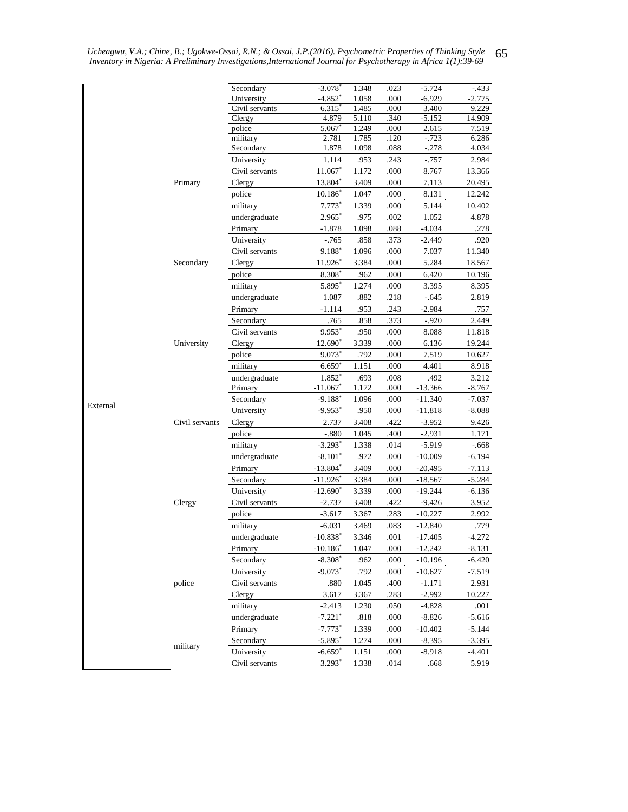|          |                | Secondary        | $-3.078$              | 1.348          | .023         | $-5.724$          | $-433$          |
|----------|----------------|------------------|-----------------------|----------------|--------------|-------------------|-----------------|
|          |                | University       | $-4.852$              | 1.058          | .000         | $-6.929$          | $-2.775$        |
|          |                | Civil servants   | 6.315                 | 1.485          | .000         | 3.400             | 9.229           |
|          |                | Clergy<br>police | 4.879<br>5.067        | 5.110<br>1.249 | .340<br>.000 | $-5.152$<br>2.615 | 14.909<br>7.519 |
|          |                | military         | 2.781                 | 1.785          | .120         | $-723$            | 6.286           |
|          |                | Secondary        | 1.878                 | 1.098          | .088         | $-.278$           | 4.034           |
|          |                | University       | 1.114                 | .953           | .243         | $-0.757$          | 2.984           |
|          |                | Civil servants   | 11.067*               | 1.172          | .000         | 8.767             | 13.366          |
|          | Primary        | Clergy           | 13.804*               | 3.409          | .000         | 7.113             | 20.495          |
|          |                | police           | $10.186*$             | 1.047          | .000         | 8.131             | 12.242          |
|          |                | military         | $7.773*$              | 1.339          | .000         | 5.144             | 10.402          |
|          |                | undergraduate    | $2.965^*$             | .975           | .002         | 1.052             | 4.878           |
|          |                | Primary          | $-1.878$              | 1.098          | .088         | $-4.034$          | .278            |
|          |                | University       | $-765$                | .858           | .373         | $-2.449$          | .920            |
|          |                | Civil servants   | 9.188*                | 1.096          | .000         | 7.037             | 11.340          |
|          |                |                  |                       |                |              |                   |                 |
|          | Secondary      | Clergy           | 11.926*               | 3.384          | .000         | 5.284             | 18.567          |
|          |                | police           | 8.308                 | .962           | .000         | 6.420             | 10.196          |
|          |                | military         | 5.895*                | 1.274          | .000         | 3.395             | 8.395           |
|          |                | undergraduate    | 1.087                 | .882           | .218         | $-.645$           | 2.819           |
|          |                | Primary          | $-1.114$              | .953           | .243         | $-2.984$          | .757            |
|          |                | Secondary        | .765                  | .858           | .373         | $-.920$           | 2.449           |
|          |                | Civil servants   | 9.953*                | .950           | .000         | 8.088             | 11.818          |
|          | University     | Clergy           | 12.690*               | 3.339          | .000         | 6.136             | 19.244          |
|          |                | police           | $9.073*$              | .792           | .000         | 7.519             | 10.627          |
|          |                | military         | $6.659*$              | 1.151          | .000         | 4.401             | 8.918           |
|          |                | undergraduate    | 1.852 <sup>*</sup>    | .693           | .008         | .492              | 3.212           |
|          |                | Primary          | $-11.067$             | 1.172          | .000         | $-13.366$         | $-8.767$        |
| External |                | Secondary        | $-9.188*$             | 1.096          | .000         | $-11.340$         | $-7.037$        |
|          |                | University       | $-9.953$ <sup>*</sup> | .950           | .000         | $-11.818$         | $-8.088$        |
|          | Civil servants | Clergy           | 2.737                 | 3.408          | .422         | $-3.952$          | 9.426           |
|          |                | police           | $-.880$               | 1.045          | .400         | $-2.931$          | 1.171           |
|          |                | military         | $-3.293*$             | 1.338          | .014         | $-5.919$          | $-668$          |
|          |                | undergraduate    | $-8.101*$             | .972           | .000         | $-10.009$         | $-6.194$        |
|          |                | Primary          | $-13.804*$            | 3.409          | .000         | $-20.495$         | $-7.113$        |
|          |                | Secondary        | $-11.926^*$           | 3.384          | .000         | $-18.567$         | $-5.284$        |
|          |                | University       | $-12.690*$            | 3.339          | .000         | $-19.244$         | $-6.136$        |
|          | Clergy         | Civil servants   | $-2.737$              | 3.408          | .422         | $-9.426$          | 3.952           |
|          |                | police           | $-3.617$              | 3.367          | .283         | $-10.227$         | 2.992           |
|          |                | military         | $-6.031$              | 3.469          | .083         | $-12.840$         | .779            |
|          |                | undergraduate    | $-10.838*$            | 3.346          | .001         | $-17.405$         | $-4.272$        |
|          |                | Primary          | $-10.186*$            | 1.047          | .000         | $-12.242$         | $-8.131$        |
|          |                | Secondary        | $-8.308*$             | .962           | .000         | $-10.196$         | $-6.420$        |
|          |                | University       | $-9.073*$             | .792           | .000         | $-10.627$         | $-7.519$        |
|          | police         | Civil servants   | .880                  | 1.045          | .400         | $-1.171$          | 2.931           |
|          |                | Clergy           | 3.617                 | 3.367          | .283         | $-2.992$          | 10.227          |
|          |                | military         | $-2.413$              | 1.230          | .050         | $-4.828$          | .001            |
|          |                | undergraduate    | $-7.221$ <sup>*</sup> | .818           | .000         | $-8.826$          | $-5.616$        |
|          |                | Primary          | $-7.773*$             | 1.339          | .000         | $-10.402$         | $-5.144$        |
|          |                | Secondary        | $-5.895*$             | 1.274          | .000         | $-8.395$          | $-3.395$        |
|          | military       |                  |                       |                |              | $-8.918$          |                 |
|          |                | University       | $-6.659*$             | 1.151          | .000         |                   | $-4.401$        |
|          |                | Civil servants   | $3.293*$              | 1.338          | .014         | .668              | 5.919           |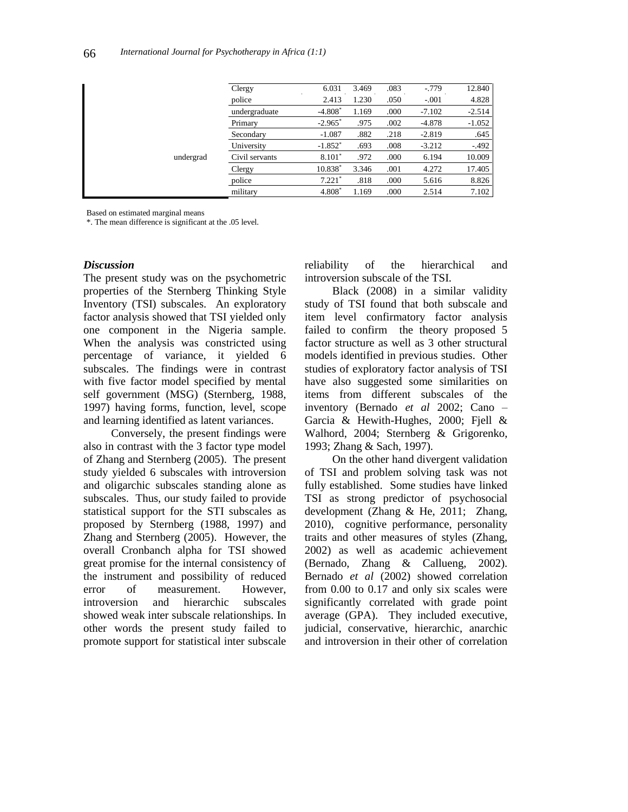|           | Clergy         | 6.031                 | 3.469 | .083 | $-0.779$ | 12.840   |
|-----------|----------------|-----------------------|-------|------|----------|----------|
|           | police         | 2.413                 | 1.230 | .050 | $-.001$  | 4.828    |
|           | undergraduate  | $-4.808*$             | 1.169 | .000 | $-7.102$ | $-2.514$ |
|           | Primary        | $-2.965$ <sup>*</sup> | .975  | .002 | $-4.878$ | $-1.052$ |
|           | Secondary      | $-1.087$              | .882  | .218 | $-2.819$ | .645     |
|           | University     | $-1.852*$             | .693  | .008 | $-3.212$ | $-.492$  |
| undergrad | Civil servants | $8.101*$              | .972  | .000 | 6.194    | 10.009   |
|           | Clergy         | $10.838*$             | 3.346 | .001 | 4.272    | 17.405   |
|           | police         | $7.221*$              | .818  | .000 | 5.616    | 8.826    |
|           | military       | 4.808                 | 1.169 | .000 | 2.514    | 7.102    |
|           |                |                       |       |      |          |          |

Based on estimated marginal means

\*. The mean difference is significant at the .05 level.

#### *Discussion*

The present study was on the psychometric properties of the Sternberg Thinking Style Inventory (TSI) subscales. An exploratory factor analysis showed that TSI yielded only one component in the Nigeria sample. When the analysis was constricted using percentage of variance, it yielded 6 subscales. The findings were in contrast with five factor model specified by mental self government (MSG) (Sternberg, 1988, 1997) having forms, function, level, scope and learning identified as latent variances.

Conversely, the present findings were also in contrast with the 3 factor type model of Zhang and Sternberg (2005). The present study yielded 6 subscales with introversion and oligarchic subscales standing alone as subscales. Thus, our study failed to provide statistical support for the STI subscales as proposed by Sternberg (1988, 1997) and Zhang and Sternberg (2005). However, the overall Cronbanch alpha for TSI showed great promise for the internal consistency of the instrument and possibility of reduced error of measurement. However, introversion and hierarchic subscales showed weak inter subscale relationships. In other words the present study failed to promote support for statistical inter subscale

reliability of the hierarchical and introversion subscale of the TSI.

Black (2008) in a similar validity study of TSI found that both subscale and item level confirmatory factor analysis failed to confirm the theory proposed 5 factor structure as well as 3 other structural models identified in previous studies. Other studies of exploratory factor analysis of TSI have also suggested some similarities on items from different subscales of the inventory (Bernado *et al* 2002; Cano – Garcia & Hewith-Hughes, 2000; Fjell & Walhord, 2004; Sternberg & Grigorenko, 1993; Zhang & Sach, 1997).

On the other hand divergent validation of TSI and problem solving task was not fully established. Some studies have linked TSI as strong predictor of psychosocial development (Zhang & He, 2011; Zhang, 2010), cognitive performance, personality traits and other measures of styles (Zhang, 2002) as well as academic achievement (Bernado, Zhang & Callueng, 2002). Bernado *et al* (2002) showed correlation from 0.00 to 0.17 and only six scales were significantly correlated with grade point average (GPA). They included executive, judicial, conservative, hierarchic, anarchic and introversion in their other of correlation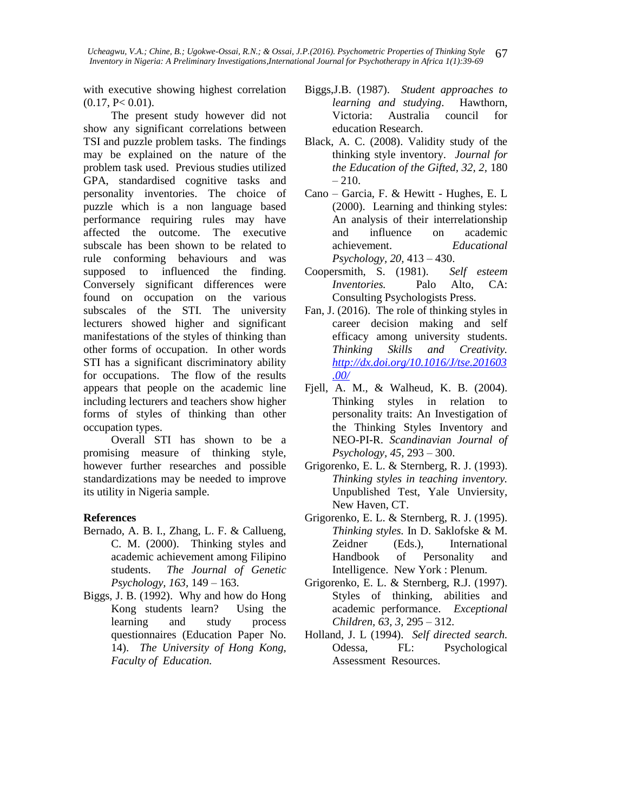with executive showing highest correlation  $(0.17, P<0.01).$ 

The present study however did not show any significant correlations between TSI and puzzle problem tasks. The findings may be explained on the nature of the problem task used. Previous studies utilized GPA, standardised cognitive tasks and personality inventories. The choice of puzzle which is a non language based performance requiring rules may have affected the outcome. The executive subscale has been shown to be related to rule conforming behaviours and was supposed to influenced the finding. Conversely significant differences were found on occupation on the various subscales of the STI. The university lecturers showed higher and significant manifestations of the styles of thinking than other forms of occupation. In other words STI has a significant discriminatory ability for occupations. The flow of the results appears that people on the academic line including lecturers and teachers show higher forms of styles of thinking than other occupation types.

Overall STI has shown to be a promising measure of thinking style, however further researches and possible standardizations may be needed to improve its utility in Nigeria sample.

#### **References**

- Bernado, A. B. I., Zhang, L. F. & Callueng, C. M. (2000). Thinking styles and academic achievement among Filipino students. *The Journal of Genetic Psychology, 163,* 149 – 163.
- Biggs, J. B. (1992). Why and how do Hong Kong students learn? Using the learning and study process questionnaires (Education Paper No. 14). *The University of Hong Kong, Faculty of Education.*
- Biggs,J.B. (1987). *Student approaches to learning and studying*. Hawthorn, Victoria: Australia council for education Research.
- Black, A. C. (2008). Validity study of the thinking style inventory. *Journal for the Education of the Gifted, 32, 2,* 180  $-210.$
- Cano Garcia, F. & Hewitt Hughes, E. L (2000). Learning and thinking styles: An analysis of their interrelationship and influence on academic achievement. *Educational Psychology, 20,* 413 – 430.
- Coopersmith, S. (1981). *Self esteem Inventories.* Palo Alto, CA: Consulting Psychologists Press.
- Fan, J. (2016). The role of thinking styles in career decision making and self efficacy among university students. *Thinking Skills and Creativity. [http://dx.doi.org/10.1016/J/tse.201603](http://dx.doi.org/10.1016/J/tse.201603.00/) [.00/](http://dx.doi.org/10.1016/J/tse.201603.00/)*
- Fjell, A. M., & Walheud, K. B. (2004). Thinking styles in relation to personality traits: An Investigation of the Thinking Styles Inventory and NEO-PI-R. *Scandinavian Journal of Psychology, 45,* 293 – 300.
- Grigorenko, E. L. & Sternberg, R. J. (1993). *Thinking styles in teaching inventory.* Unpublished Test, Yale Unviersity, New Haven, CT.
- Grigorenko, E. L. & Sternberg, R. J. (1995). *Thinking styles.* In D. Saklofske & M. Zeidner (Eds.), International Handbook of Personality and Intelligence. New York : Plenum.
- Grigorenko, E. L. & Sternberg, R.J. (1997). Styles of thinking, abilities and academic performance. *Exceptional Children, 63, 3,* 295 – 312.
- Holland, J. L (1994). *Self directed search.* Odessa, FL: Psychological Assessment Resources.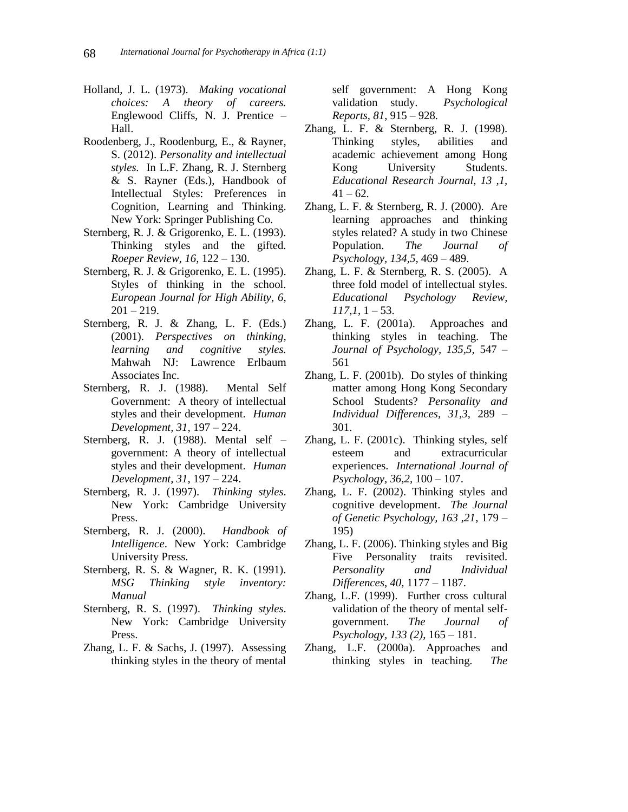- Holland, J. L. (1973). *Making vocational choices: A theory of careers.*  Englewood Cliffs, N. J. Prentice – Hall.
- Roodenberg, J., Roodenburg, E., & Rayner, S. (2012). *Personality and intellectual styles.* In L.F. Zhang, R. J. Sternberg & S. Rayner (Eds.), Handbook of Intellectual Styles: Preferences in Cognition, Learning and Thinking. New York: Springer Publishing Co.
- Sternberg, R. J. & Grigorenko, E. L. (1993). Thinking styles and the gifted. *Roeper Review, 16,* 122 – 130.
- Sternberg, R. J. & Grigorenko, E. L. (1995). Styles of thinking in the school. *European Journal for High Ability, 6,*  $201 - 219.$
- Sternberg, R. J. & Zhang, L. F. (Eds.) (2001). *Perspectives on thinking, learning and cognitive styles.*  Mahwah NJ: Lawrence Erlbaum Associates Inc.
- Sternberg, R. J. (1988). Mental Self Government: A theory of intellectual styles and their development. *Human Development, 31*, 197 – 224.
- Sternberg, R. J. (1988). Mental self government: A theory of intellectual styles and their development. *Human Development, 31,* 197 – 224.
- Sternberg, R. J. (1997). *Thinking styles*. New York: Cambridge University Press.
- Sternberg, R. J. (2000). *Handbook of Intelligence*. New York: Cambridge University Press.
- Sternberg, R. S. & Wagner, R. K. (1991). *MSG Thinking style inventory: Manual*
- Sternberg, R. S. (1997). *Thinking styles*. New York: Cambridge University Press.
- Zhang, L. F. & Sachs, J. (1997). Assessing thinking styles in the theory of mental

self government: A Hong Kong validation study. *Psychological Reports, 81*, 915 – 928.

- Zhang, L. F. & Sternberg, R. J. (1998). Thinking styles, abilities and academic achievement among Hong Kong University Students. *Educational Research Journal, 13 ,1,*  $41 - 62$ .
- Zhang, L. F. & Sternberg, R. J. (2000). Are learning approaches and thinking styles related? A study in two Chinese Population. *The Journal of Psychology, 134,5,* 469 – 489.
- Zhang, L. F. & Sternberg, R. S. (2005). A three fold model of intellectual styles. *Educational Psychology Review, 117,1*, 1 – 53.
- Zhang, L. F. (2001a). Approaches and thinking styles in teaching. The *Journal of Psychology, 135,5,* 547 – 561
- Zhang, L. F. (2001b). Do styles of thinking matter among Hong Kong Secondary School Students? *Personality and Individual Differences, 31,3,* 289 – 301.
- Zhang, L. F. (2001c). Thinking styles, self esteem and extracurricular experiences. *International Journal of Psychology, 36,2,* 100 – 107.
- Zhang, L. F. (2002). Thinking styles and cognitive development. *The Journal of Genetic Psychology, 163 ,21*, 179 – 195)
- Zhang, L. F. (2006). Thinking styles and Big Five Personality traits revisited. *Personality and Individual Differences, 40,* 1177 – 1187.
- Zhang, L.F. (1999). Further cross cultural validation of the theory of mental selfgovernment. *The Journal of Psychology, 133 (2)*, 165 – 181.
- Zhang, L.F. (2000a). Approaches and thinking styles in teaching. *The*